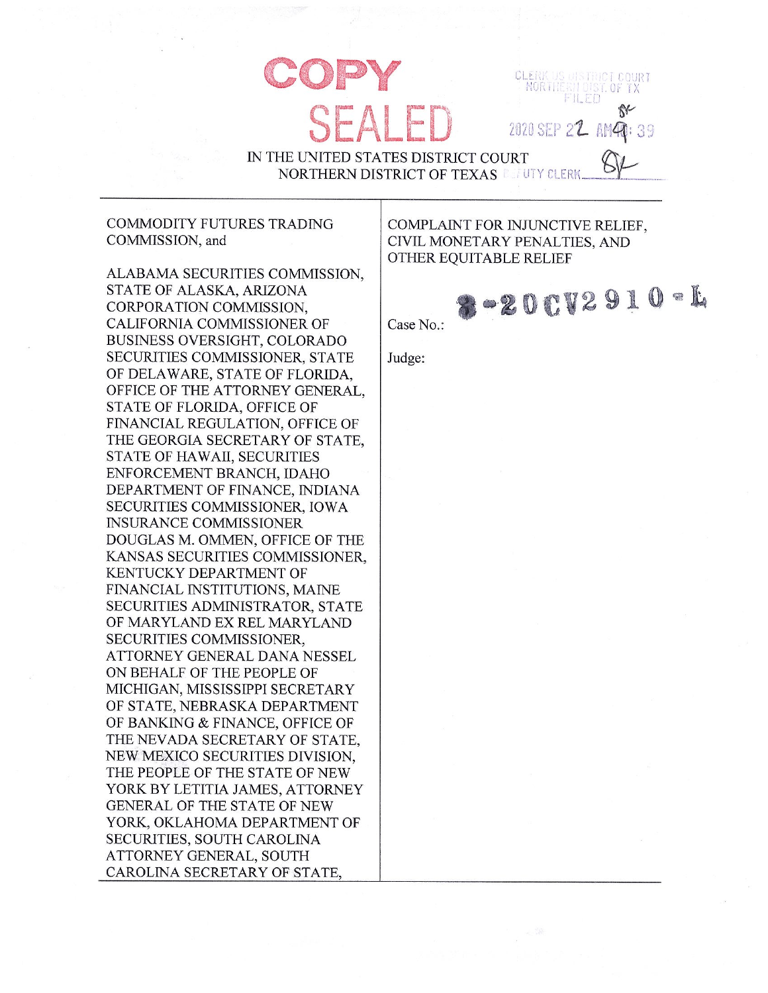NORTHE 2020 SEP 22 AM40: 39

IN THE UNITED STATES DISTRICT COURT **NORTHERN DISTRICT OF TEXAS LEUTY CLERE** 

## **COMMODITY FUTURES TRADING** COMMISSION, and

ALABAMA SECURITIES COMMISSION, STATE OF ALASKA, ARIZONA CORPORATION COMMISSION. CALIFORNIA COMMISSIONER OF **BUSINESS OVERSIGHT, COLORADO** SECURITIES COMMISSIONER, STATE OF DELAWARE, STATE OF FLORIDA. OFFICE OF THE ATTORNEY GENERAL, STATE OF FLORIDA, OFFICE OF FINANCIAL REGULATION, OFFICE OF THE GEORGIA SECRETARY OF STATE. STATE OF HAWAII, SECURITIES ENFORCEMENT BRANCH, IDAHO DEPARTMENT OF FINANCE, INDIANA SECURITIES COMMISSIONER, IOWA **INSURANCE COMMISSIONER** DOUGLAS M. OMMEN, OFFICE OF THE KANSAS SECURITIES COMMISSIONER. KENTUCKY DEPARTMENT OF FINANCIAL INSTITUTIONS, MAINE SECURITIES ADMINISTRATOR, STATE OF MARYLAND EX REL MARYLAND SECURITIES COMMISSIONER. ATTORNEY GENERAL DANA NESSEL ON BEHALF OF THE PEOPLE OF MICHIGAN, MISSISSIPPI SECRETARY OF STATE, NEBRASKA DEPARTMENT OF BANKING & FINANCE, OFFICE OF THE NEVADA SECRETARY OF STATE, NEW MEXICO SECURITIES DIVISION. THE PEOPLE OF THE STATE OF NEW YORK BY LETITIA JAMES, ATTORNEY GENERAL OF THE STATE OF NEW YORK, OKLAHOMA DEPARTMENT OF SECURITIES, SOUTH CAROLINA ATTORNEY GENERAL, SOUTH CAROLINA SECRETARY OF STATE,

COMPLAINT FOR INJUNCTIVE RELIEF. CIVIL MONETARY PENALTIES, AND OTHER EQUITABLE RELIEF

CLERK

 $-2002910 - 1$ Case No.:

Judge: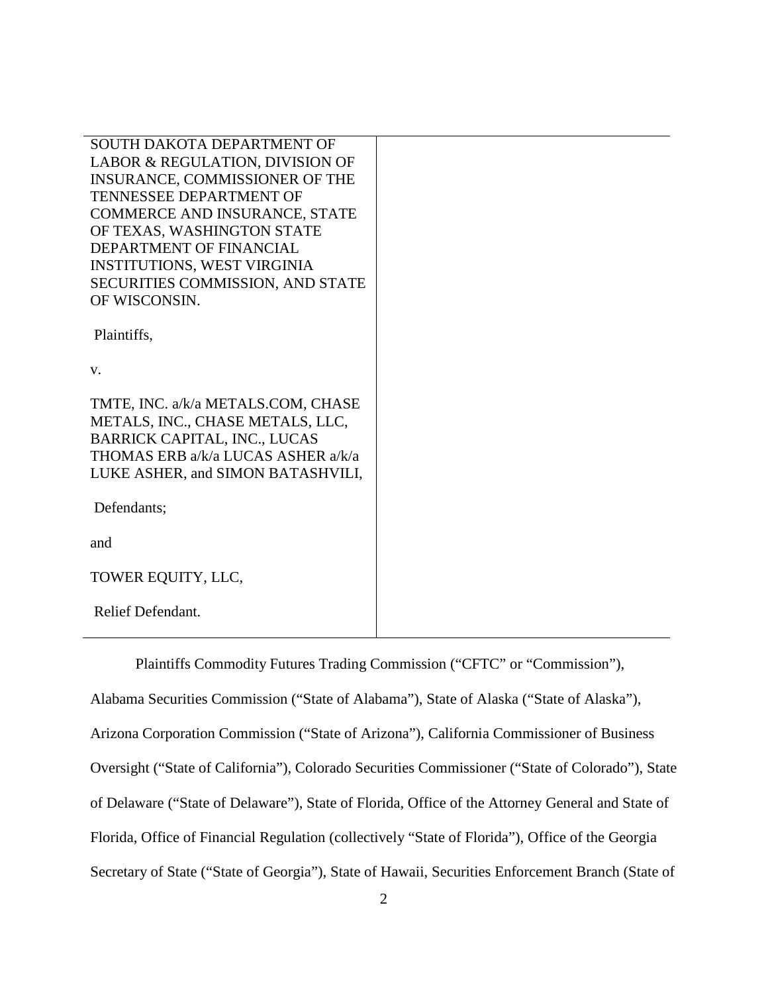SOUTH DAKOTA DEPARTMENT OF LABOR & REGULATION, DIVISION OF INSURANCE, COMMISSIONER OF THE TENNESSEE DEPARTMENT OF COMMERCE AND INSURANCE, STATE OF TEXAS, WASHINGTON STATE DEPARTMENT OF FINANCIAL INSTITUTIONS, WEST VIRGINIA SECURITIES COMMISSION, AND STATE OF WISCONSIN.

Plaintiffs,

v.

TMTE, INC. a/k/a METALS.COM, CHASE METALS, INC., CHASE METALS, LLC, BARRICK CAPITAL, INC., LUCAS THOMAS ERB a/k/a LUCAS ASHER a/k/a LUKE ASHER, and SIMON BATASHVILI,

Defendants;

and

TOWER EQUITY, LLC,

Relief Defendant.

Plaintiffs Commodity Futures Trading Commission ("CFTC" or "Commission"),

Alabama Securities Commission ("State of Alabama"), State of Alaska ("State of Alaska"), Arizona Corporation Commission ("State of Arizona"), California Commissioner of Business Oversight ("State of California"), Colorado Securities Commissioner ("State of Colorado"), State of Delaware ("State of Delaware"), State of Florida, Office of the Attorney General and State of Florida, Office of Financial Regulation (collectively "State of Florida"), Office of the Georgia Secretary of State ("State of Georgia"), State of Hawaii, Securities Enforcement Branch (State of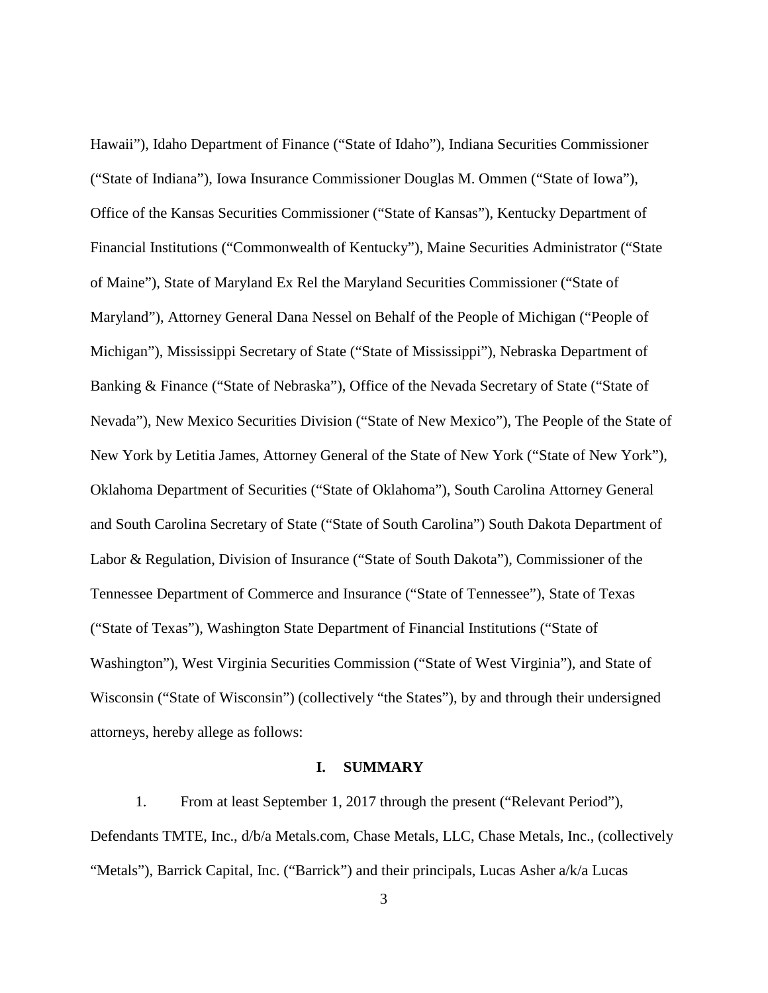Hawaii"), Idaho Department of Finance ("State of Idaho"), Indiana Securities Commissioner ("State of Indiana"), Iowa Insurance Commissioner Douglas M. Ommen ("State of Iowa"), Office of the Kansas Securities Commissioner ("State of Kansas"), Kentucky Department of Financial Institutions ("Commonwealth of Kentucky"), Maine Securities Administrator ("State of Maine"), State of Maryland Ex Rel the Maryland Securities Commissioner ("State of Maryland"), Attorney General Dana Nessel on Behalf of the People of Michigan ("People of Michigan"), Mississippi Secretary of State ("State of Mississippi"), Nebraska Department of Banking & Finance ("State of Nebraska"), Office of the Nevada Secretary of State ("State of Nevada"), New Mexico Securities Division ("State of New Mexico"), The People of the State of New York by Letitia James, Attorney General of the State of New York ("State of New York"), Oklahoma Department of Securities ("State of Oklahoma"), South Carolina Attorney General and South Carolina Secretary of State ("State of South Carolina") South Dakota Department of Labor & Regulation, Division of Insurance ("State of South Dakota"), Commissioner of the Tennessee Department of Commerce and Insurance ("State of Tennessee"), State of Texas ("State of Texas"), Washington State Department of Financial Institutions ("State of Washington"), West Virginia Securities Commission ("State of West Virginia"), and State of Wisconsin ("State of Wisconsin") (collectively "the States"), by and through their undersigned attorneys, hereby allege as follows:

#### **I. SUMMARY**

1. From at least September 1, 2017 through the present ("Relevant Period"), Defendants TMTE, Inc., d/b/a Metals.com, Chase Metals, LLC, Chase Metals, Inc., (collectively "Metals"), Barrick Capital, Inc. ("Barrick") and their principals, Lucas Asher a/k/a Lucas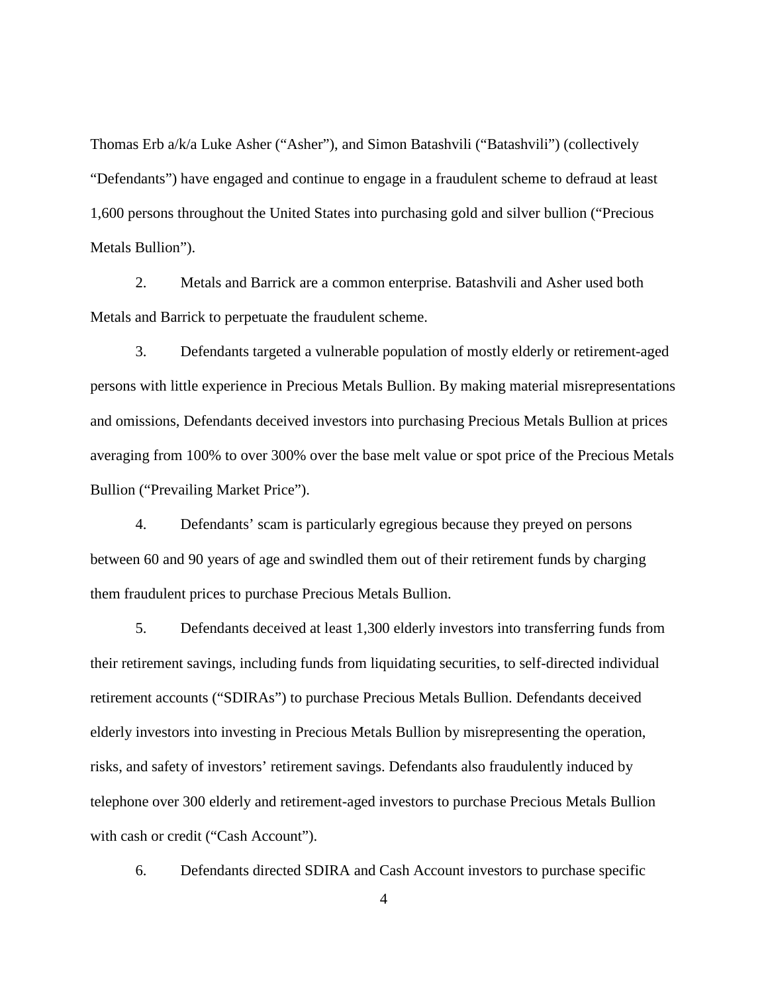Thomas Erb a/k/a Luke Asher ("Asher"), and Simon Batashvili ("Batashvili") (collectively "Defendants") have engaged and continue to engage in a fraudulent scheme to defraud at least 1,600 persons throughout the United States into purchasing gold and silver bullion ("Precious Metals Bullion").

2. Metals and Barrick are a common enterprise. Batashvili and Asher used both Metals and Barrick to perpetuate the fraudulent scheme.

3. Defendants targeted a vulnerable population of mostly elderly or retirement-aged persons with little experience in Precious Metals Bullion. By making material misrepresentations and omissions, Defendants deceived investors into purchasing Precious Metals Bullion at prices averaging from 100% to over 300% over the base melt value or spot price of the Precious Metals Bullion ("Prevailing Market Price").

4. Defendants' scam is particularly egregious because they preyed on persons between 60 and 90 years of age and swindled them out of their retirement funds by charging them fraudulent prices to purchase Precious Metals Bullion.

5. Defendants deceived at least 1,300 elderly investors into transferring funds from their retirement savings, including funds from liquidating securities, to self-directed individual retirement accounts ("SDIRAs") to purchase Precious Metals Bullion. Defendants deceived elderly investors into investing in Precious Metals Bullion by misrepresenting the operation, risks, and safety of investors' retirement savings. Defendants also fraudulently induced by telephone over 300 elderly and retirement-aged investors to purchase Precious Metals Bullion with cash or credit ("Cash Account").

6. Defendants directed SDIRA and Cash Account investors to purchase specific

4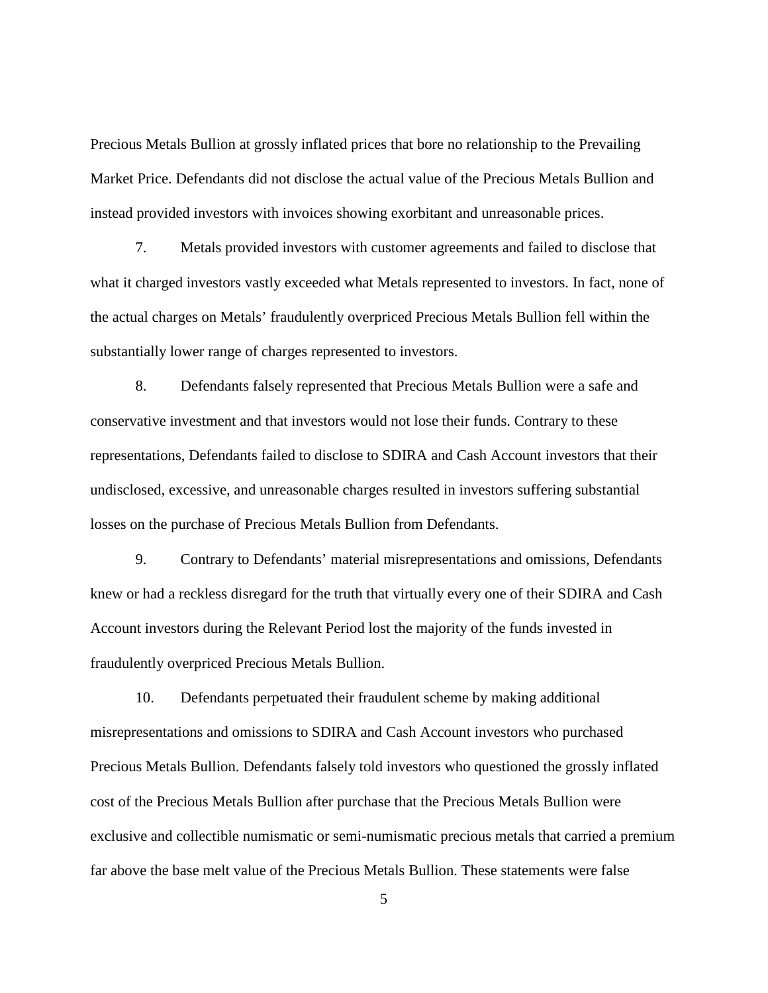Precious Metals Bullion at grossly inflated prices that bore no relationship to the Prevailing Market Price. Defendants did not disclose the actual value of the Precious Metals Bullion and instead provided investors with invoices showing exorbitant and unreasonable prices.

7. Metals provided investors with customer agreements and failed to disclose that what it charged investors vastly exceeded what Metals represented to investors. In fact, none of the actual charges on Metals' fraudulently overpriced Precious Metals Bullion fell within the substantially lower range of charges represented to investors.

8. Defendants falsely represented that Precious Metals Bullion were a safe and conservative investment and that investors would not lose their funds. Contrary to these representations, Defendants failed to disclose to SDIRA and Cash Account investors that their undisclosed, excessive, and unreasonable charges resulted in investors suffering substantial losses on the purchase of Precious Metals Bullion from Defendants.

9. Contrary to Defendants' material misrepresentations and omissions, Defendants knew or had a reckless disregard for the truth that virtually every one of their SDIRA and Cash Account investors during the Relevant Period lost the majority of the funds invested in fraudulently overpriced Precious Metals Bullion.

10. Defendants perpetuated their fraudulent scheme by making additional misrepresentations and omissions to SDIRA and Cash Account investors who purchased Precious Metals Bullion. Defendants falsely told investors who questioned the grossly inflated cost of the Precious Metals Bullion after purchase that the Precious Metals Bullion were exclusive and collectible numismatic or semi-numismatic precious metals that carried a premium far above the base melt value of the Precious Metals Bullion. These statements were false

5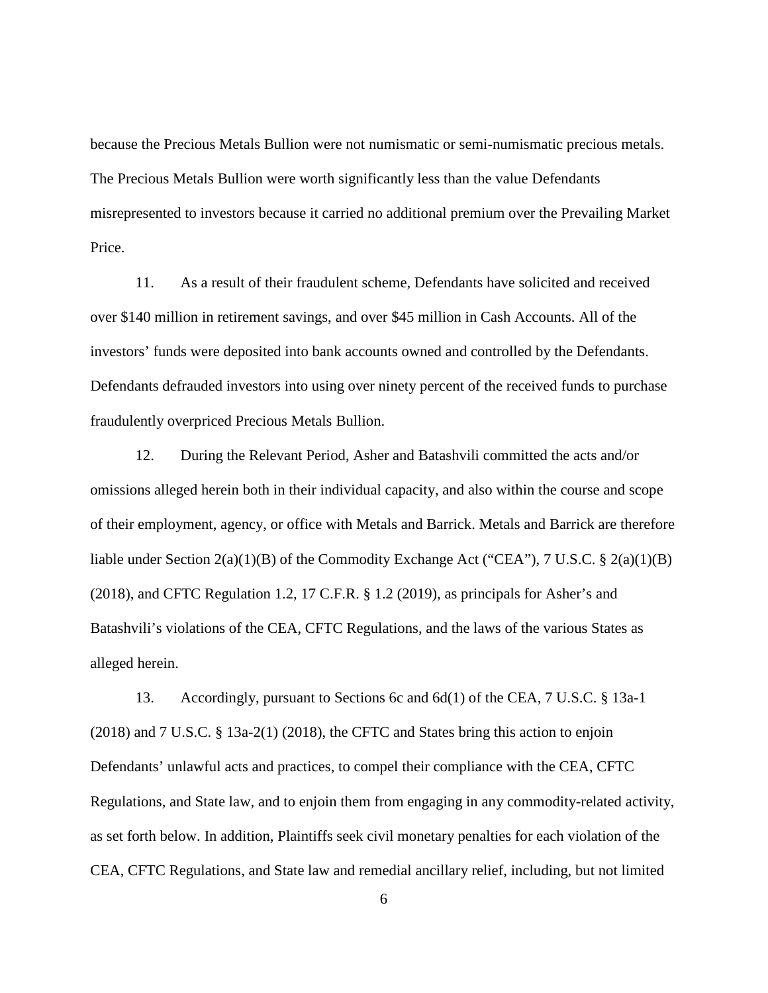because the Precious Metals Bullion were not numismatic or semi-numismatic precious metals. The Precious Metals Bullion were worth significantly less than the value Defendants misrepresented to investors because it carried no additional premium over the Prevailing Market Price.

11. As a result of their fraudulent scheme, Defendants have solicited and received over \$140 million in retirement savings, and over \$45 million in Cash Accounts. All of the investors' funds were deposited into bank accounts owned and controlled by the Defendants. Defendants defrauded investors into using over ninety percent of the received funds to purchase fraudulently overpriced Precious Metals Bullion.

12. During the Relevant Period, Asher and Batashvili committed the acts and/or omissions alleged herein both in their individual capacity, and also within the course and scope of their employment, agency, or office with Metals and Barrick. Metals and Barrick are therefore liable under Section  $2(a)(1)(B)$  of the Commodity Exchange Act ("CEA"), 7 U.S.C. §  $2(a)(1)(B)$ (2018), and CFTC Regulation 1.2, 17 C.F.R. § 1.2 (2019), as principals for Asher's and Batashvili's violations of the CEA, CFTC Regulations, and the laws of the various States as alleged herein.

13. Accordingly, pursuant to Sections 6c and 6d(1) of the CEA, 7 U.S.C. § 13a-1 (2018) and 7 U.S.C. § 13a-2(1) (2018), the CFTC and States bring this action to enjoin Defendants' unlawful acts and practices, to compel their compliance with the CEA, CFTC Regulations, and State law, and to enjoin them from engaging in any commodity-related activity, as set forth below. In addition, Plaintiffs seek civil monetary penalties for each violation of the CEA, CFTC Regulations, and State law and remedial ancillary relief, including, but not limited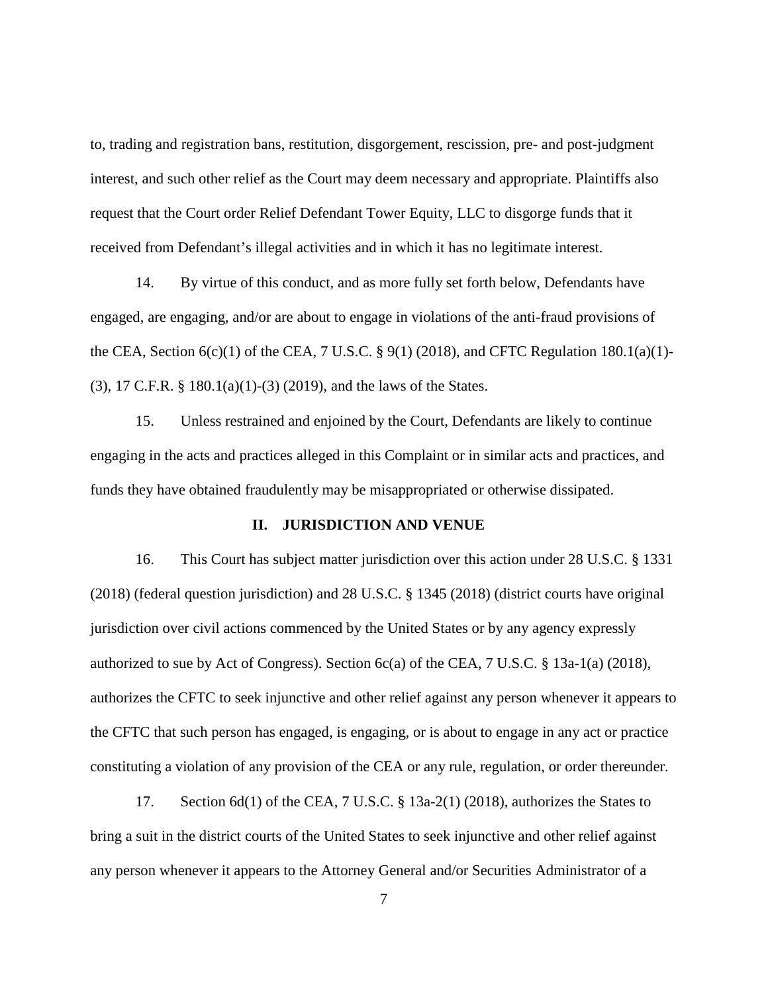to, trading and registration bans, restitution, disgorgement, rescission, pre- and post-judgment interest, and such other relief as the Court may deem necessary and appropriate. Plaintiffs also request that the Court order Relief Defendant Tower Equity, LLC to disgorge funds that it received from Defendant's illegal activities and in which it has no legitimate interest.

14. By virtue of this conduct, and as more fully set forth below, Defendants have engaged, are engaging, and/or are about to engage in violations of the anti-fraud provisions of the CEA, Section  $6(c)(1)$  of the CEA, 7 U.S.C. § 9(1) (2018), and CFTC Regulation 180.1(a)(1)-(3), 17 C.F.R. § 180.1(a)(1)-(3) (2019), and the laws of the States.

15. Unless restrained and enjoined by the Court, Defendants are likely to continue engaging in the acts and practices alleged in this Complaint or in similar acts and practices, and funds they have obtained fraudulently may be misappropriated or otherwise dissipated.

## **II. JURISDICTION AND VENUE**

16. This Court has subject matter jurisdiction over this action under 28 U.S.C. § 1331 (2018) (federal question jurisdiction) and 28 U.S.C. § 1345 (2018) (district courts have original jurisdiction over civil actions commenced by the United States or by any agency expressly authorized to sue by Act of Congress). Section 6c(a) of the CEA, 7 U.S.C. § 13a-1(a) (2018), authorizes the CFTC to seek injunctive and other relief against any person whenever it appears to the CFTC that such person has engaged, is engaging, or is about to engage in any act or practice constituting a violation of any provision of the CEA or any rule, regulation, or order thereunder.

17. Section 6d(1) of the CEA, 7 U.S.C. § 13a-2(1) (2018), authorizes the States to bring a suit in the district courts of the United States to seek injunctive and other relief against any person whenever it appears to the Attorney General and/or Securities Administrator of a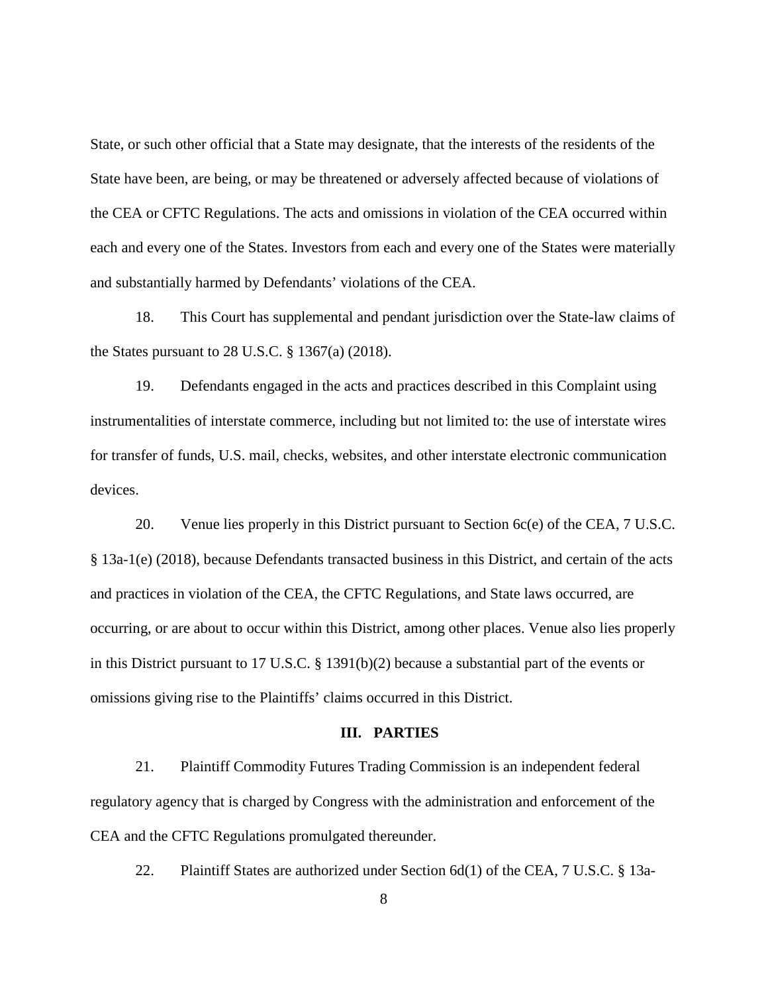State, or such other official that a State may designate, that the interests of the residents of the State have been, are being, or may be threatened or adversely affected because of violations of the CEA or CFTC Regulations. The acts and omissions in violation of the CEA occurred within each and every one of the States. Investors from each and every one of the States were materially and substantially harmed by Defendants' violations of the CEA.

18. This Court has supplemental and pendant jurisdiction over the State-law claims of the States pursuant to 28 U.S.C. § 1367(a) (2018).

19. Defendants engaged in the acts and practices described in this Complaint using instrumentalities of interstate commerce, including but not limited to: the use of interstate wires for transfer of funds, U.S. mail, checks, websites, and other interstate electronic communication devices.

20. Venue lies properly in this District pursuant to Section 6c(e) of the CEA, 7 U.S.C. § 13a-1(e) (2018), because Defendants transacted business in this District, and certain of the acts and practices in violation of the CEA, the CFTC Regulations, and State laws occurred, are occurring, or are about to occur within this District, among other places. Venue also lies properly in this District pursuant to 17 U.S.C. § 1391(b)(2) because a substantial part of the events or omissions giving rise to the Plaintiffs' claims occurred in this District.

#### **III. PARTIES**

21. Plaintiff Commodity Futures Trading Commission is an independent federal regulatory agency that is charged by Congress with the administration and enforcement of the CEA and the CFTC Regulations promulgated thereunder.

22. Plaintiff States are authorized under Section 6d(1) of the CEA, 7 U.S.C. § 13a-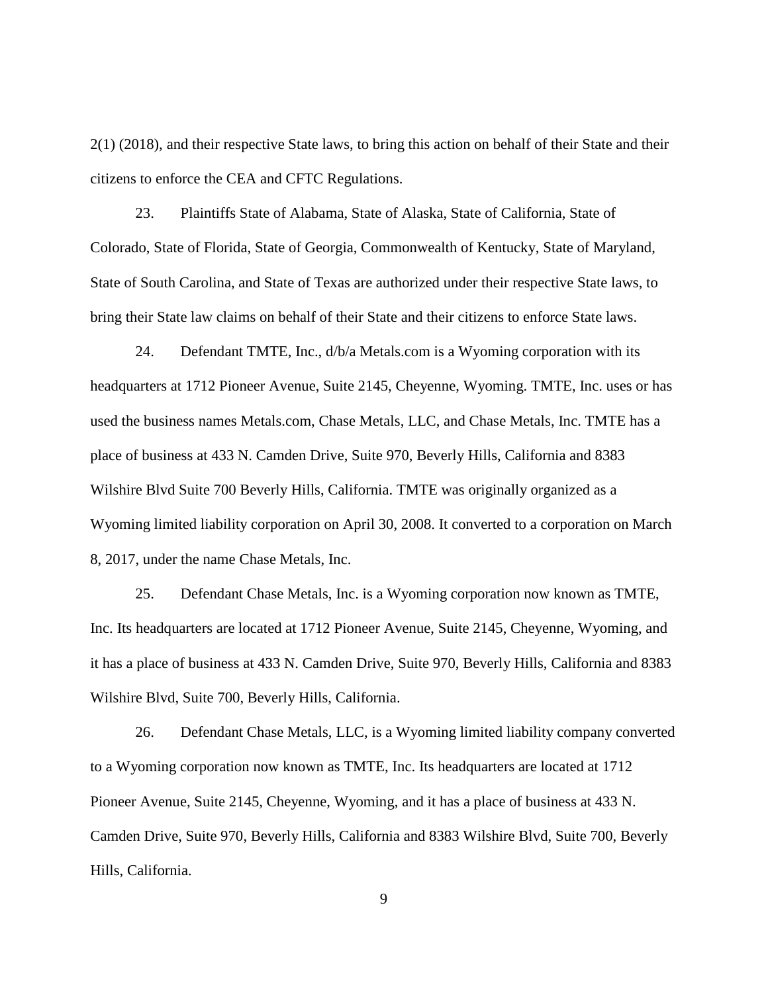2(1) (2018), and their respective State laws, to bring this action on behalf of their State and their citizens to enforce the CEA and CFTC Regulations.

23. Plaintiffs State of Alabama, State of Alaska, State of California, State of Colorado, State of Florida, State of Georgia, Commonwealth of Kentucky, State of Maryland, State of South Carolina, and State of Texas are authorized under their respective State laws, to bring their State law claims on behalf of their State and their citizens to enforce State laws.

24. Defendant TMTE, Inc., d/b/a Metals.com is a Wyoming corporation with its headquarters at 1712 Pioneer Avenue, Suite 2145, Cheyenne, Wyoming. TMTE, Inc. uses or has used the business names Metals.com, Chase Metals, LLC, and Chase Metals, Inc. TMTE has a place of business at 433 N. Camden Drive, Suite 970, Beverly Hills, California and 8383 Wilshire Blvd Suite 700 Beverly Hills, California. TMTE was originally organized as a Wyoming limited liability corporation on April 30, 2008. It converted to a corporation on March 8, 2017, under the name Chase Metals, Inc.

25. Defendant Chase Metals, Inc. is a Wyoming corporation now known as TMTE, Inc. Its headquarters are located at 1712 Pioneer Avenue, Suite 2145, Cheyenne, Wyoming, and it has a place of business at 433 N. Camden Drive, Suite 970, Beverly Hills, California and 8383 Wilshire Blvd, Suite 700, Beverly Hills, California.

26. Defendant Chase Metals, LLC, is a Wyoming limited liability company converted to a Wyoming corporation now known as TMTE, Inc. Its headquarters are located at 1712 Pioneer Avenue, Suite 2145, Cheyenne, Wyoming, and it has a place of business at 433 N. Camden Drive, Suite 970, Beverly Hills, California and 8383 Wilshire Blvd, Suite 700, Beverly Hills, California.

9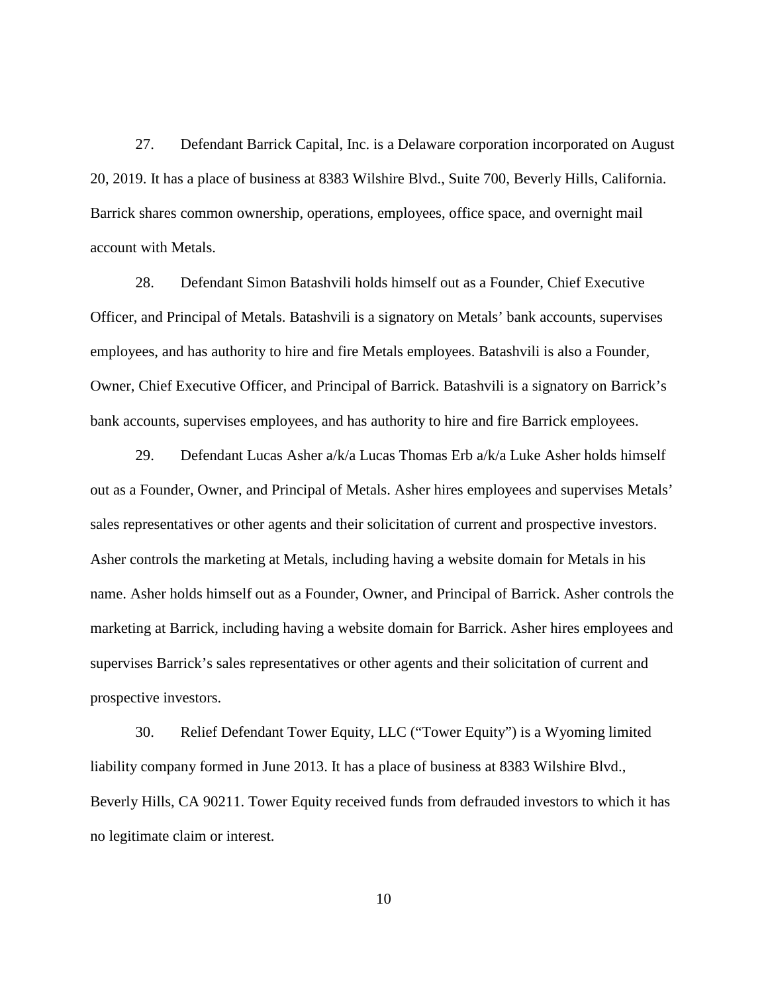27. Defendant Barrick Capital, Inc. is a Delaware corporation incorporated on August 20, 2019. It has a place of business at 8383 Wilshire Blvd., Suite 700, Beverly Hills, California. Barrick shares common ownership, operations, employees, office space, and overnight mail account with Metals.

28. Defendant Simon Batashvili holds himself out as a Founder, Chief Executive Officer, and Principal of Metals. Batashvili is a signatory on Metals' bank accounts, supervises employees, and has authority to hire and fire Metals employees. Batashvili is also a Founder, Owner, Chief Executive Officer, and Principal of Barrick. Batashvili is a signatory on Barrick's bank accounts, supervises employees, and has authority to hire and fire Barrick employees.

29. Defendant Lucas Asher a/k/a Lucas Thomas Erb a/k/a Luke Asher holds himself out as a Founder, Owner, and Principal of Metals. Asher hires employees and supervises Metals' sales representatives or other agents and their solicitation of current and prospective investors. Asher controls the marketing at Metals, including having a website domain for Metals in his name. Asher holds himself out as a Founder, Owner, and Principal of Barrick. Asher controls the marketing at Barrick, including having a website domain for Barrick. Asher hires employees and supervises Barrick's sales representatives or other agents and their solicitation of current and prospective investors.

30. Relief Defendant Tower Equity, LLC ("Tower Equity") is a Wyoming limited liability company formed in June 2013. It has a place of business at 8383 Wilshire Blvd., Beverly Hills, CA 90211. Tower Equity received funds from defrauded investors to which it has no legitimate claim or interest.

10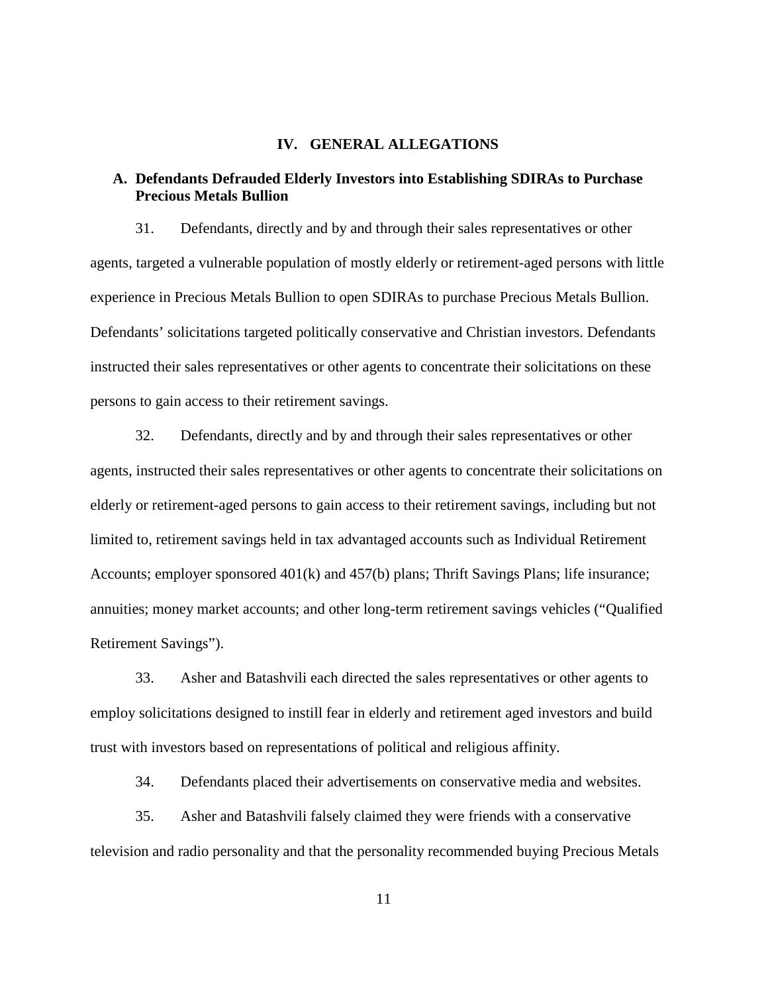### **IV. GENERAL ALLEGATIONS**

### **A. Defendants Defrauded Elderly Investors into Establishing SDIRAs to Purchase Precious Metals Bullion**

31. Defendants, directly and by and through their sales representatives or other agents, targeted a vulnerable population of mostly elderly or retirement-aged persons with little experience in Precious Metals Bullion to open SDIRAs to purchase Precious Metals Bullion. Defendants' solicitations targeted politically conservative and Christian investors. Defendants instructed their sales representatives or other agents to concentrate their solicitations on these persons to gain access to their retirement savings.

32. Defendants, directly and by and through their sales representatives or other agents, instructed their sales representatives or other agents to concentrate their solicitations on elderly or retirement-aged persons to gain access to their retirement savings, including but not limited to, retirement savings held in tax advantaged accounts such as Individual Retirement Accounts; employer sponsored 401(k) and 457(b) plans; Thrift Savings Plans; life insurance; annuities; money market accounts; and other long-term retirement savings vehicles ("Qualified Retirement Savings").

33. Asher and Batashvili each directed the sales representatives or other agents to employ solicitations designed to instill fear in elderly and retirement aged investors and build trust with investors based on representations of political and religious affinity.

34. Defendants placed their advertisements on conservative media and websites.

35. Asher and Batashvili falsely claimed they were friends with a conservative television and radio personality and that the personality recommended buying Precious Metals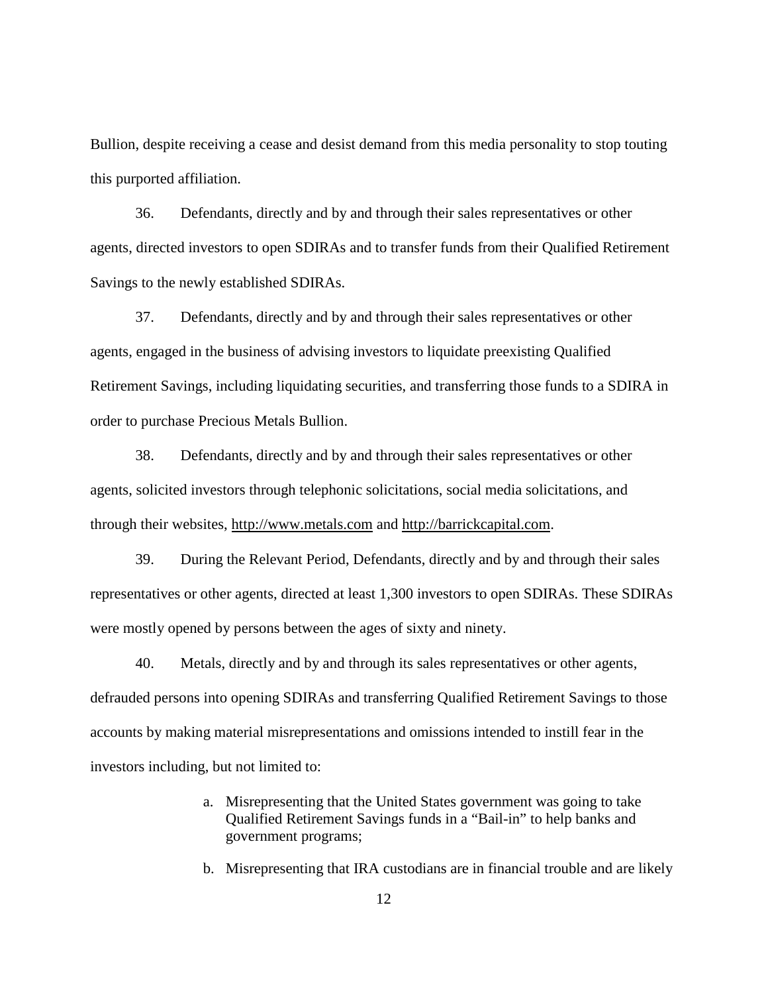Bullion, despite receiving a cease and desist demand from this media personality to stop touting this purported affiliation.

36. Defendants, directly and by and through their sales representatives or other agents, directed investors to open SDIRAs and to transfer funds from their Qualified Retirement Savings to the newly established SDIRAs.

37. Defendants, directly and by and through their sales representatives or other agents, engaged in the business of advising investors to liquidate preexisting Qualified Retirement Savings, including liquidating securities, and transferring those funds to a SDIRA in order to purchase Precious Metals Bullion.

38. Defendants, directly and by and through their sales representatives or other agents, solicited investors through telephonic solicitations, social media solicitations, and through their websites, [http://www.metals.com](http://www.metals.com/) and [http://barrickcapital.com.](http://barrickcapital.com/)

39. During the Relevant Period, Defendants, directly and by and through their sales representatives or other agents, directed at least 1,300 investors to open SDIRAs. These SDIRAs were mostly opened by persons between the ages of sixty and ninety.

40. Metals, directly and by and through its sales representatives or other agents, defrauded persons into opening SDIRAs and transferring Qualified Retirement Savings to those accounts by making material misrepresentations and omissions intended to instill fear in the investors including, but not limited to:

- a. Misrepresenting that the United States government was going to take Qualified Retirement Savings funds in a "Bail-in" to help banks and government programs;
- b. Misrepresenting that IRA custodians are in financial trouble and are likely

12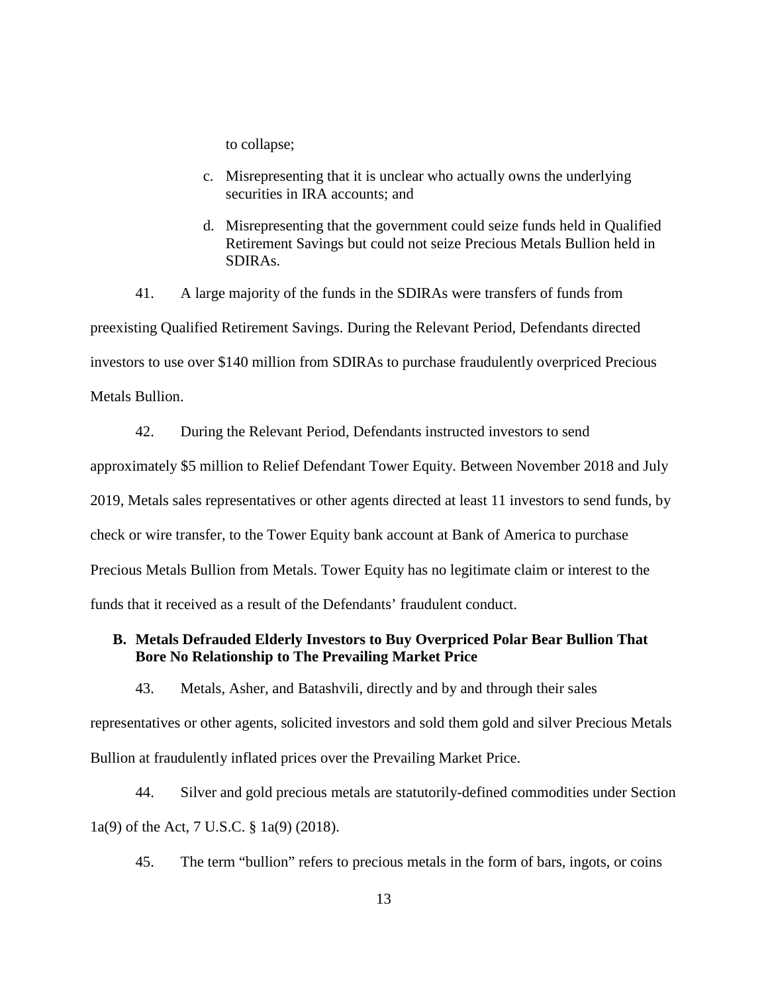to collapse;

- c. Misrepresenting that it is unclear who actually owns the underlying securities in IRA accounts; and
- d. Misrepresenting that the government could seize funds held in Qualified Retirement Savings but could not seize Precious Metals Bullion held in SDIRAs.

41. A large majority of the funds in the SDIRAs were transfers of funds from preexisting Qualified Retirement Savings. During the Relevant Period, Defendants directed investors to use over \$140 million from SDIRAs to purchase fraudulently overpriced Precious Metals Bullion.

42. During the Relevant Period, Defendants instructed investors to send approximately \$5 million to Relief Defendant Tower Equity. Between November 2018 and July 2019, Metals sales representatives or other agents directed at least 11 investors to send funds, by check or wire transfer, to the Tower Equity bank account at Bank of America to purchase Precious Metals Bullion from Metals. Tower Equity has no legitimate claim or interest to the funds that it received as a result of the Defendants' fraudulent conduct.

# **B. Metals Defrauded Elderly Investors to Buy Overpriced Polar Bear Bullion That Bore No Relationship to The Prevailing Market Price**

43. Metals, Asher, and Batashvili, directly and by and through their sales representatives or other agents, solicited investors and sold them gold and silver Precious Metals Bullion at fraudulently inflated prices over the Prevailing Market Price.

44. Silver and gold precious metals are statutorily-defined commodities under Section 1a(9) of the Act, 7 U.S.C. § 1a(9) (2018).

45. The term "bullion" refers to precious metals in the form of bars, ingots, or coins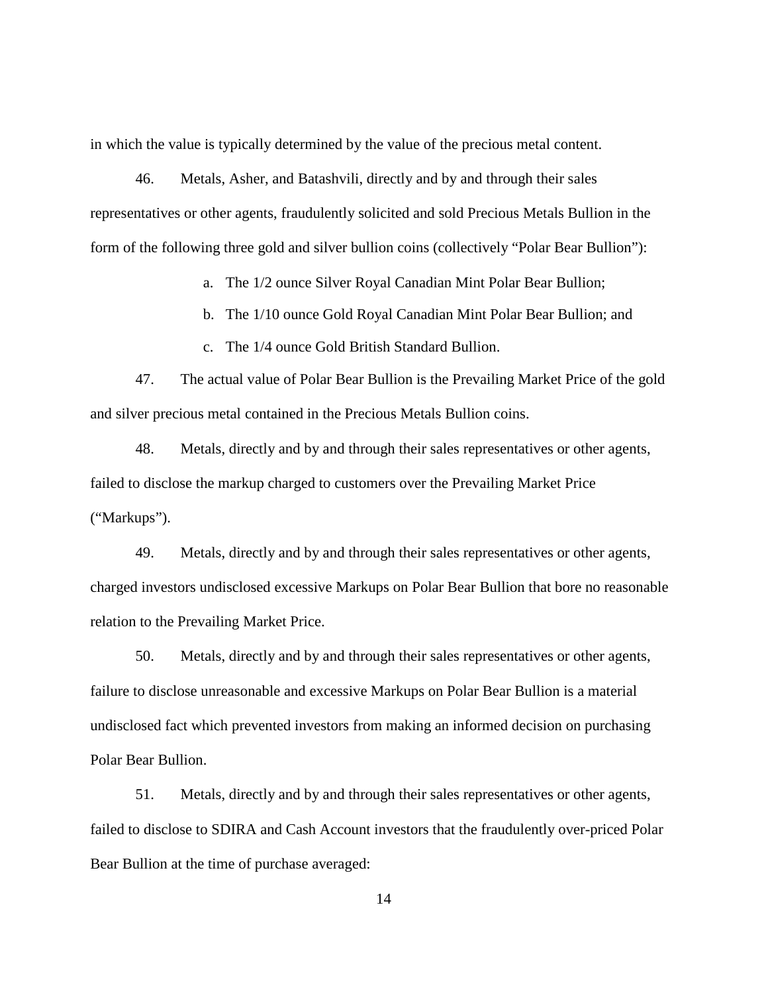in which the value is typically determined by the value of the precious metal content.

46. Metals, Asher, and Batashvili, directly and by and through their sales representatives or other agents, fraudulently solicited and sold Precious Metals Bullion in the form of the following three gold and silver bullion coins (collectively "Polar Bear Bullion"):

a. The 1/2 ounce Silver Royal Canadian Mint Polar Bear Bullion;

b. The 1/10 ounce Gold Royal Canadian Mint Polar Bear Bullion; and

c. The 1/4 ounce Gold British Standard Bullion.

47. The actual value of Polar Bear Bullion is the Prevailing Market Price of the gold and silver precious metal contained in the Precious Metals Bullion coins.

48. Metals, directly and by and through their sales representatives or other agents, failed to disclose the markup charged to customers over the Prevailing Market Price ("Markups").

49. Metals, directly and by and through their sales representatives or other agents, charged investors undisclosed excessive Markups on Polar Bear Bullion that bore no reasonable relation to the Prevailing Market Price.

50. Metals, directly and by and through their sales representatives or other agents, failure to disclose unreasonable and excessive Markups on Polar Bear Bullion is a material undisclosed fact which prevented investors from making an informed decision on purchasing Polar Bear Bullion.

51. Metals, directly and by and through their sales representatives or other agents, failed to disclose to SDIRA and Cash Account investors that the fraudulently over-priced Polar Bear Bullion at the time of purchase averaged: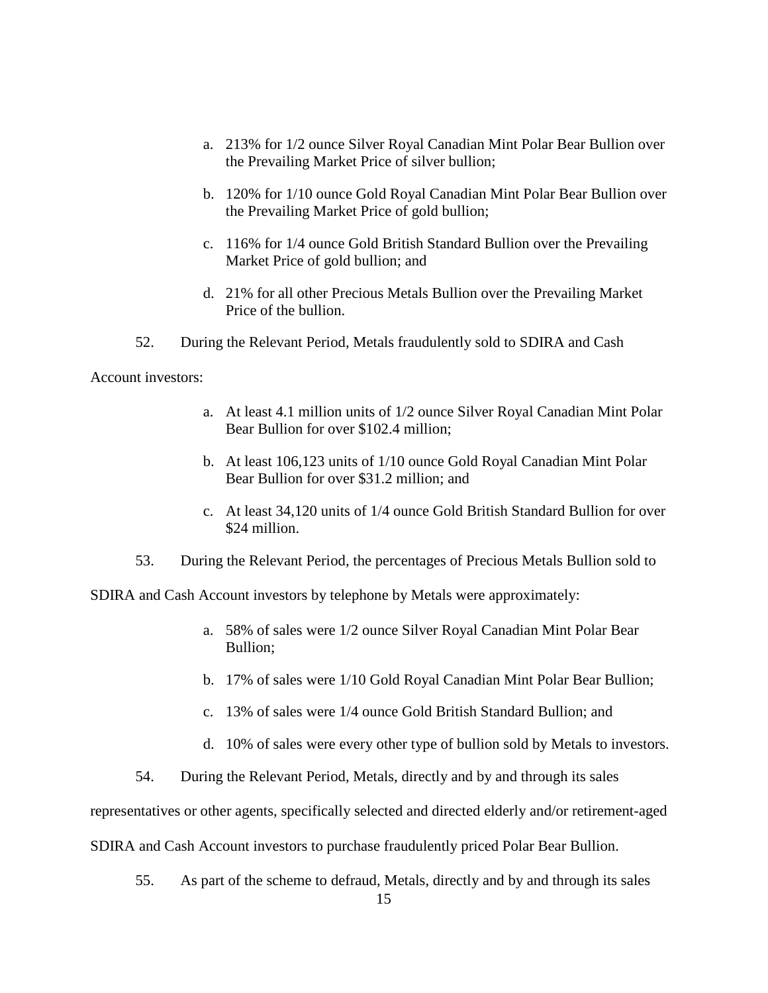- a. 213% for 1/2 ounce Silver Royal Canadian Mint Polar Bear Bullion over the Prevailing Market Price of silver bullion;
- b. 120% for 1/10 ounce Gold Royal Canadian Mint Polar Bear Bullion over the Prevailing Market Price of gold bullion;
- c. 116% for 1/4 ounce Gold British Standard Bullion over the Prevailing Market Price of gold bullion; and
- d. 21% for all other Precious Metals Bullion over the Prevailing Market Price of the bullion.
- 52. During the Relevant Period, Metals fraudulently sold to SDIRA and Cash

Account investors:

- a. At least 4.1 million units of 1/2 ounce Silver Royal Canadian Mint Polar Bear Bullion for over \$102.4 million;
- b. At least 106,123 units of 1/10 ounce Gold Royal Canadian Mint Polar Bear Bullion for over \$31.2 million; and
- c. At least 34,120 units of 1/4 ounce Gold British Standard Bullion for over \$24 million.
- 53. During the Relevant Period, the percentages of Precious Metals Bullion sold to

SDIRA and Cash Account investors by telephone by Metals were approximately:

- a. 58% of sales were 1/2 ounce Silver Royal Canadian Mint Polar Bear Bullion;
- b. 17% of sales were 1/10 Gold Royal Canadian Mint Polar Bear Bullion;
- c. 13% of sales were 1/4 ounce Gold British Standard Bullion; and
- d. 10% of sales were every other type of bullion sold by Metals to investors.
- 54. During the Relevant Period, Metals, directly and by and through its sales

representatives or other agents, specifically selected and directed elderly and/or retirement-aged

SDIRA and Cash Account investors to purchase fraudulently priced Polar Bear Bullion.

55. As part of the scheme to defraud, Metals, directly and by and through its sales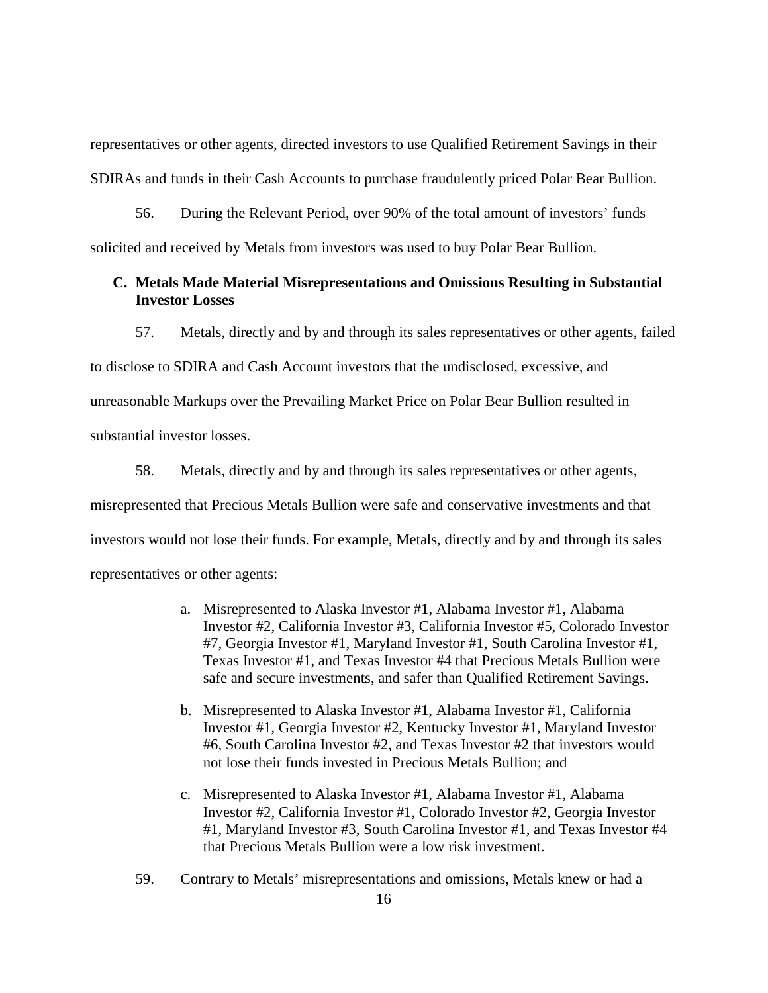representatives or other agents, directed investors to use Qualified Retirement Savings in their SDIRAs and funds in their Cash Accounts to purchase fraudulently priced Polar Bear Bullion.

56. During the Relevant Period, over 90% of the total amount of investors' funds solicited and received by Metals from investors was used to buy Polar Bear Bullion.

## **C. Metals Made Material Misrepresentations and Omissions Resulting in Substantial Investor Losses**

57. Metals, directly and by and through its sales representatives or other agents, failed to disclose to SDIRA and Cash Account investors that the undisclosed, excessive, and unreasonable Markups over the Prevailing Market Price on Polar Bear Bullion resulted in substantial investor losses.

58. Metals, directly and by and through its sales representatives or other agents, misrepresented that Precious Metals Bullion were safe and conservative investments and that investors would not lose their funds. For example, Metals, directly and by and through its sales representatives or other agents:

- a. Misrepresented to Alaska Investor #1, Alabama Investor #1, Alabama Investor #2, California Investor #3, California Investor #5, Colorado Investor #7, Georgia Investor #1, Maryland Investor #1, South Carolina Investor #1, Texas Investor #1, and Texas Investor #4 that Precious Metals Bullion were safe and secure investments, and safer than Qualified Retirement Savings.
- b. Misrepresented to Alaska Investor #1, Alabama Investor #1, California Investor #1, Georgia Investor #2, Kentucky Investor #1, Maryland Investor #6, South Carolina Investor #2, and Texas Investor #2 that investors would not lose their funds invested in Precious Metals Bullion; and
- c. Misrepresented to Alaska Investor #1, Alabama Investor #1, Alabama Investor #2, California Investor #1, Colorado Investor #2, Georgia Investor #1, Maryland Investor #3, South Carolina Investor #1, and Texas Investor #4 that Precious Metals Bullion were a low risk investment.
- 59. Contrary to Metals' misrepresentations and omissions, Metals knew or had a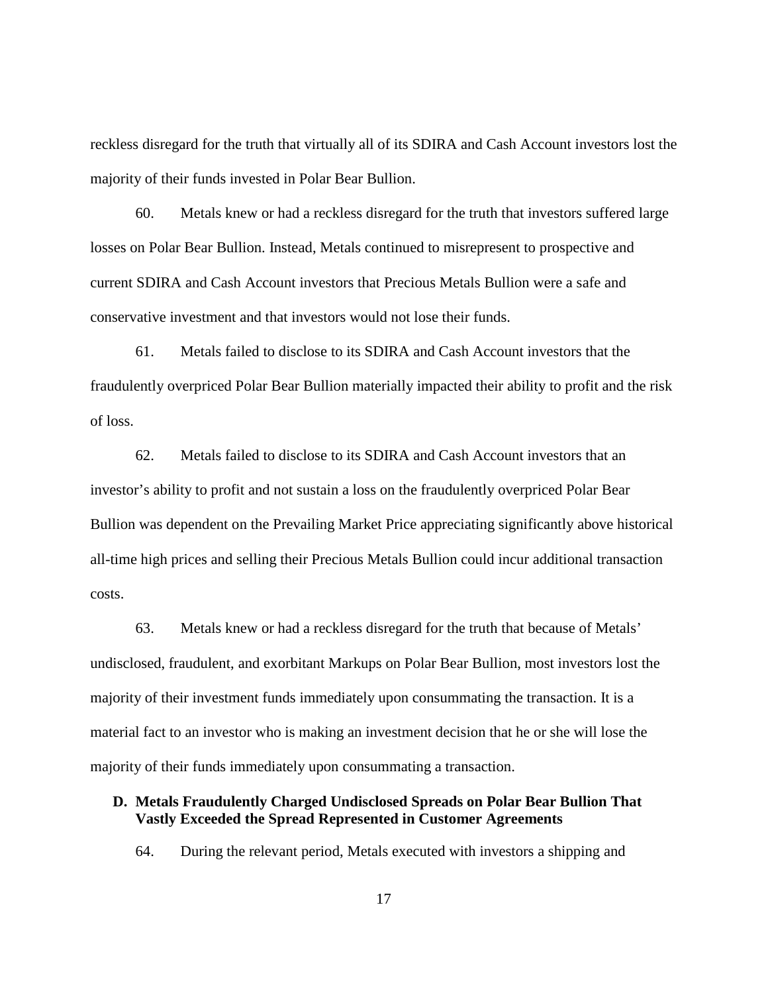reckless disregard for the truth that virtually all of its SDIRA and Cash Account investors lost the majority of their funds invested in Polar Bear Bullion.

60. Metals knew or had a reckless disregard for the truth that investors suffered large losses on Polar Bear Bullion. Instead, Metals continued to misrepresent to prospective and current SDIRA and Cash Account investors that Precious Metals Bullion were a safe and conservative investment and that investors would not lose their funds.

61. Metals failed to disclose to its SDIRA and Cash Account investors that the fraudulently overpriced Polar Bear Bullion materially impacted their ability to profit and the risk of loss.

62. Metals failed to disclose to its SDIRA and Cash Account investors that an investor's ability to profit and not sustain a loss on the fraudulently overpriced Polar Bear Bullion was dependent on the Prevailing Market Price appreciating significantly above historical all-time high prices and selling their Precious Metals Bullion could incur additional transaction costs.

63. Metals knew or had a reckless disregard for the truth that because of Metals' undisclosed, fraudulent, and exorbitant Markups on Polar Bear Bullion, most investors lost the majority of their investment funds immediately upon consummating the transaction. It is a material fact to an investor who is making an investment decision that he or she will lose the majority of their funds immediately upon consummating a transaction.

# **D. Metals Fraudulently Charged Undisclosed Spreads on Polar Bear Bullion That Vastly Exceeded the Spread Represented in Customer Agreements**

64. During the relevant period, Metals executed with investors a shipping and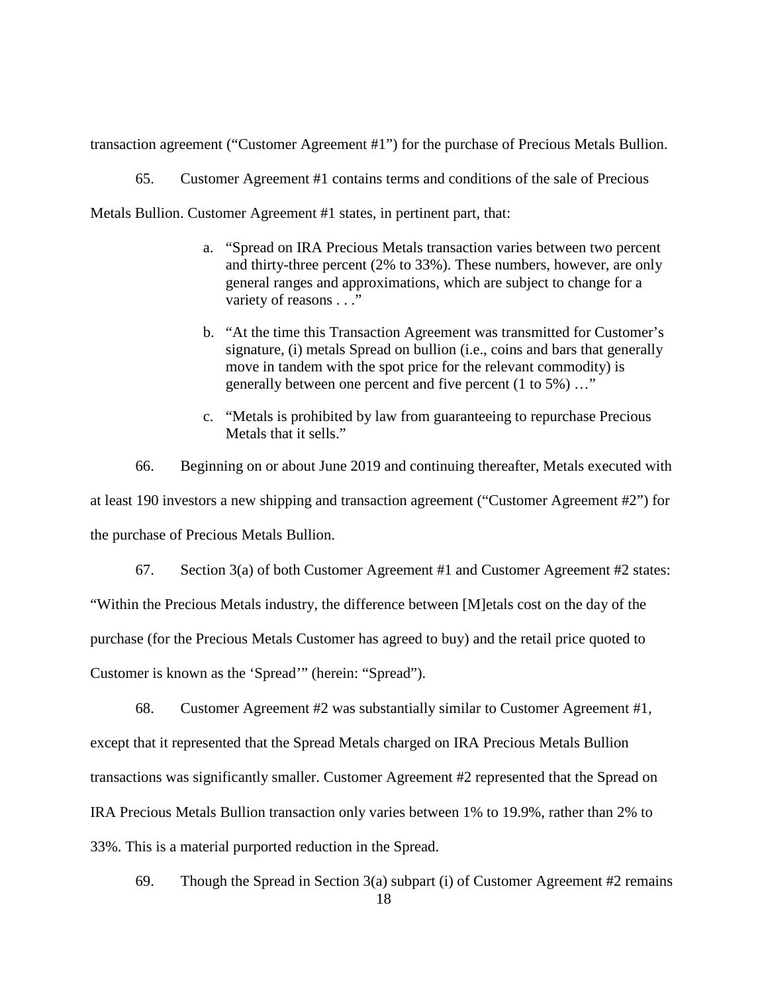transaction agreement ("Customer Agreement #1") for the purchase of Precious Metals Bullion.

65. Customer Agreement #1 contains terms and conditions of the sale of Precious

Metals Bullion. Customer Agreement #1 states, in pertinent part, that:

- a. "Spread on IRA Precious Metals transaction varies between two percent and thirty-three percent (2% to 33%). These numbers, however, are only general ranges and approximations, which are subject to change for a variety of reasons . . ."
- b. "At the time this Transaction Agreement was transmitted for Customer's signature, (i) metals Spread on bullion (i.e., coins and bars that generally move in tandem with the spot price for the relevant commodity) is generally between one percent and five percent (1 to 5%) …"
- c. "Metals is prohibited by law from guaranteeing to repurchase Precious Metals that it sells."

66. Beginning on or about June 2019 and continuing thereafter, Metals executed with at least 190 investors a new shipping and transaction agreement ("Customer Agreement #2") for the purchase of Precious Metals Bullion.

67. Section 3(a) of both Customer Agreement #1 and Customer Agreement #2 states: "Within the Precious Metals industry, the difference between [M]etals cost on the day of the purchase (for the Precious Metals Customer has agreed to buy) and the retail price quoted to Customer is known as the 'Spread'" (herein: "Spread").

68. Customer Agreement #2 was substantially similar to Customer Agreement #1, except that it represented that the Spread Metals charged on IRA Precious Metals Bullion transactions was significantly smaller. Customer Agreement #2 represented that the Spread on IRA Precious Metals Bullion transaction only varies between 1% to 19.9%, rather than 2% to 33%. This is a material purported reduction in the Spread.

69. Though the Spread in Section 3(a) subpart (i) of Customer Agreement #2 remains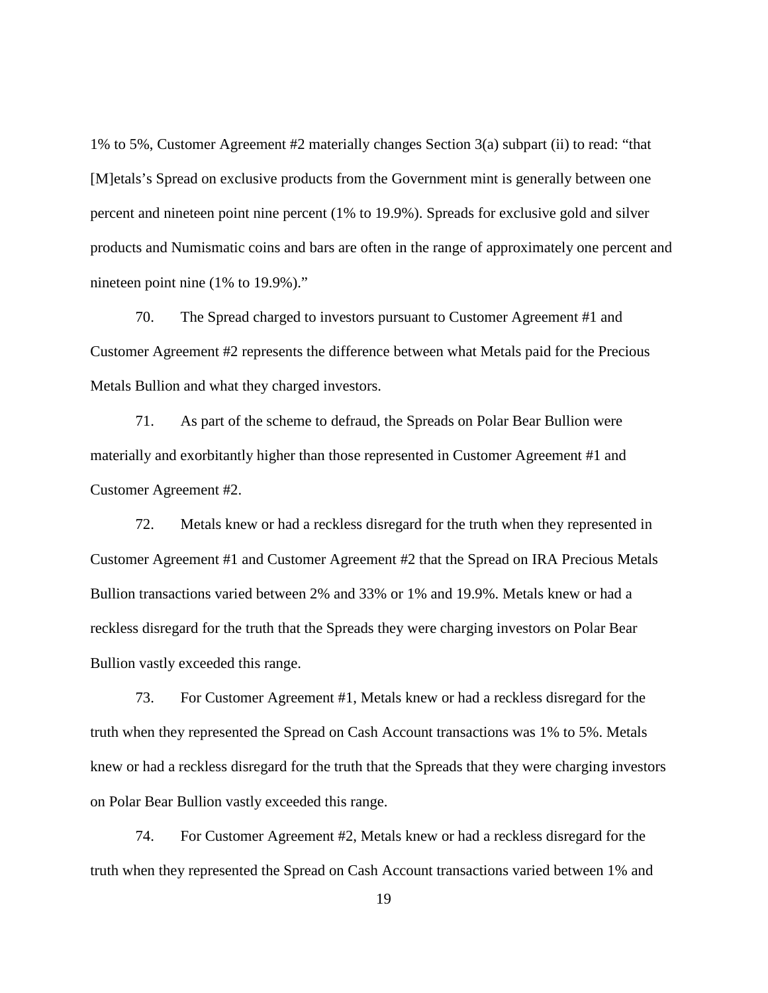1% to 5%, Customer Agreement #2 materially changes Section 3(a) subpart (ii) to read: "that [M]etals's Spread on exclusive products from the Government mint is generally between one percent and nineteen point nine percent (1% to 19.9%). Spreads for exclusive gold and silver products and Numismatic coins and bars are often in the range of approximately one percent and nineteen point nine (1% to 19.9%)."

70. The Spread charged to investors pursuant to Customer Agreement #1 and Customer Agreement #2 represents the difference between what Metals paid for the Precious Metals Bullion and what they charged investors.

71. As part of the scheme to defraud, the Spreads on Polar Bear Bullion were materially and exorbitantly higher than those represented in Customer Agreement #1 and Customer Agreement #2.

72. Metals knew or had a reckless disregard for the truth when they represented in Customer Agreement #1 and Customer Agreement #2 that the Spread on IRA Precious Metals Bullion transactions varied between 2% and 33% or 1% and 19.9%. Metals knew or had a reckless disregard for the truth that the Spreads they were charging investors on Polar Bear Bullion vastly exceeded this range.

73. For Customer Agreement #1, Metals knew or had a reckless disregard for the truth when they represented the Spread on Cash Account transactions was 1% to 5%. Metals knew or had a reckless disregard for the truth that the Spreads that they were charging investors on Polar Bear Bullion vastly exceeded this range.

74. For Customer Agreement #2, Metals knew or had a reckless disregard for the truth when they represented the Spread on Cash Account transactions varied between 1% and

19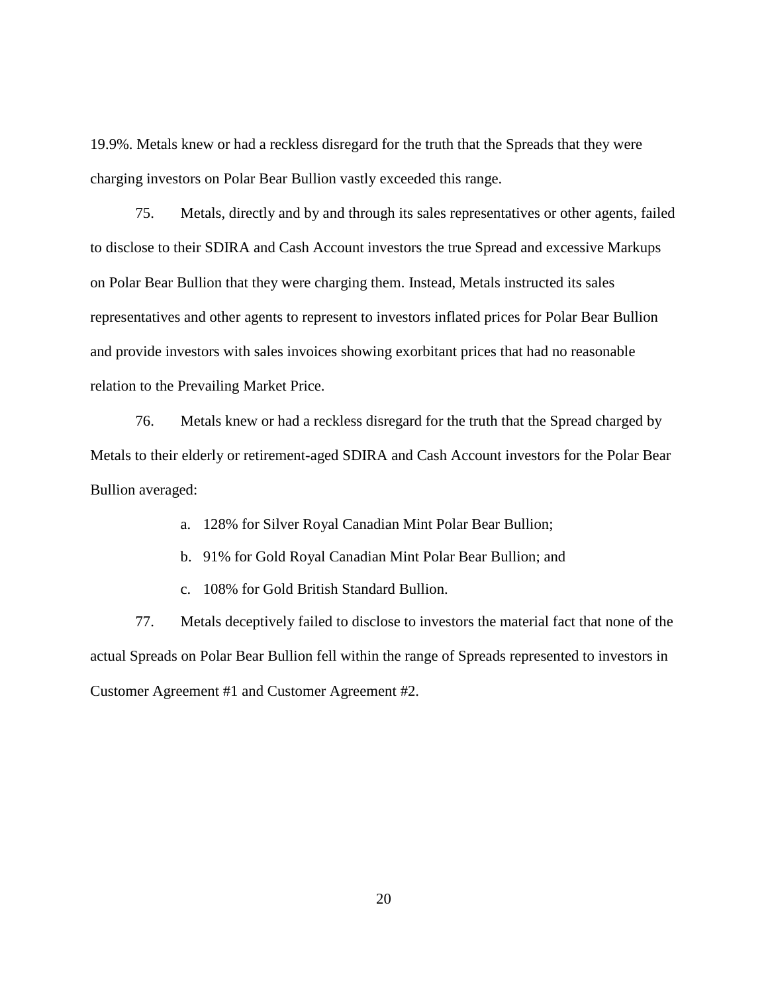19.9%. Metals knew or had a reckless disregard for the truth that the Spreads that they were charging investors on Polar Bear Bullion vastly exceeded this range.

75. Metals, directly and by and through its sales representatives or other agents, failed to disclose to their SDIRA and Cash Account investors the true Spread and excessive Markups on Polar Bear Bullion that they were charging them. Instead, Metals instructed its sales representatives and other agents to represent to investors inflated prices for Polar Bear Bullion and provide investors with sales invoices showing exorbitant prices that had no reasonable relation to the Prevailing Market Price.

76. Metals knew or had a reckless disregard for the truth that the Spread charged by Metals to their elderly or retirement-aged SDIRA and Cash Account investors for the Polar Bear Bullion averaged:

a. 128% for Silver Royal Canadian Mint Polar Bear Bullion;

b. 91% for Gold Royal Canadian Mint Polar Bear Bullion; and

c. 108% for Gold British Standard Bullion.

77. Metals deceptively failed to disclose to investors the material fact that none of the actual Spreads on Polar Bear Bullion fell within the range of Spreads represented to investors in Customer Agreement #1 and Customer Agreement #2.

20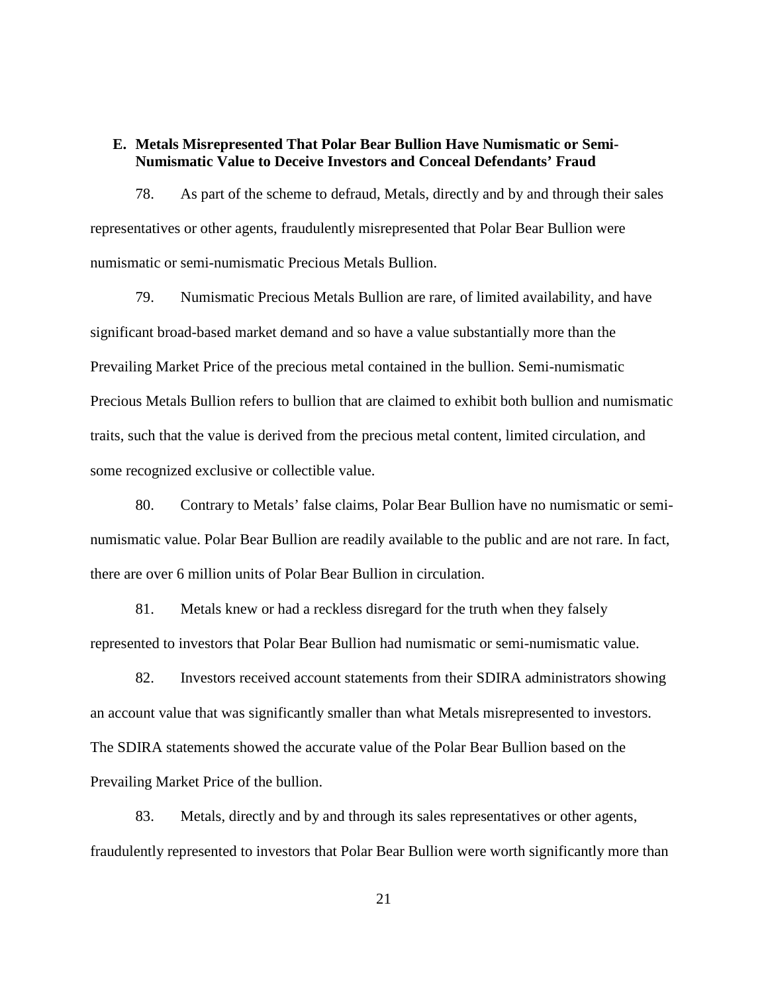## **E. Metals Misrepresented That Polar Bear Bullion Have Numismatic or Semi-Numismatic Value to Deceive Investors and Conceal Defendants' Fraud**

78. As part of the scheme to defraud, Metals, directly and by and through their sales representatives or other agents, fraudulently misrepresented that Polar Bear Bullion were numismatic or semi-numismatic Precious Metals Bullion.

79. Numismatic Precious Metals Bullion are rare, of limited availability, and have significant broad-based market demand and so have a value substantially more than the Prevailing Market Price of the precious metal contained in the bullion. Semi-numismatic Precious Metals Bullion refers to bullion that are claimed to exhibit both bullion and numismatic traits, such that the value is derived from the precious metal content, limited circulation, and some recognized exclusive or collectible value.

80. Contrary to Metals' false claims, Polar Bear Bullion have no numismatic or seminumismatic value. Polar Bear Bullion are readily available to the public and are not rare. In fact, there are over 6 million units of Polar Bear Bullion in circulation.

81. Metals knew or had a reckless disregard for the truth when they falsely represented to investors that Polar Bear Bullion had numismatic or semi-numismatic value.

82. Investors received account statements from their SDIRA administrators showing an account value that was significantly smaller than what Metals misrepresented to investors. The SDIRA statements showed the accurate value of the Polar Bear Bullion based on the Prevailing Market Price of the bullion.

83. Metals, directly and by and through its sales representatives or other agents, fraudulently represented to investors that Polar Bear Bullion were worth significantly more than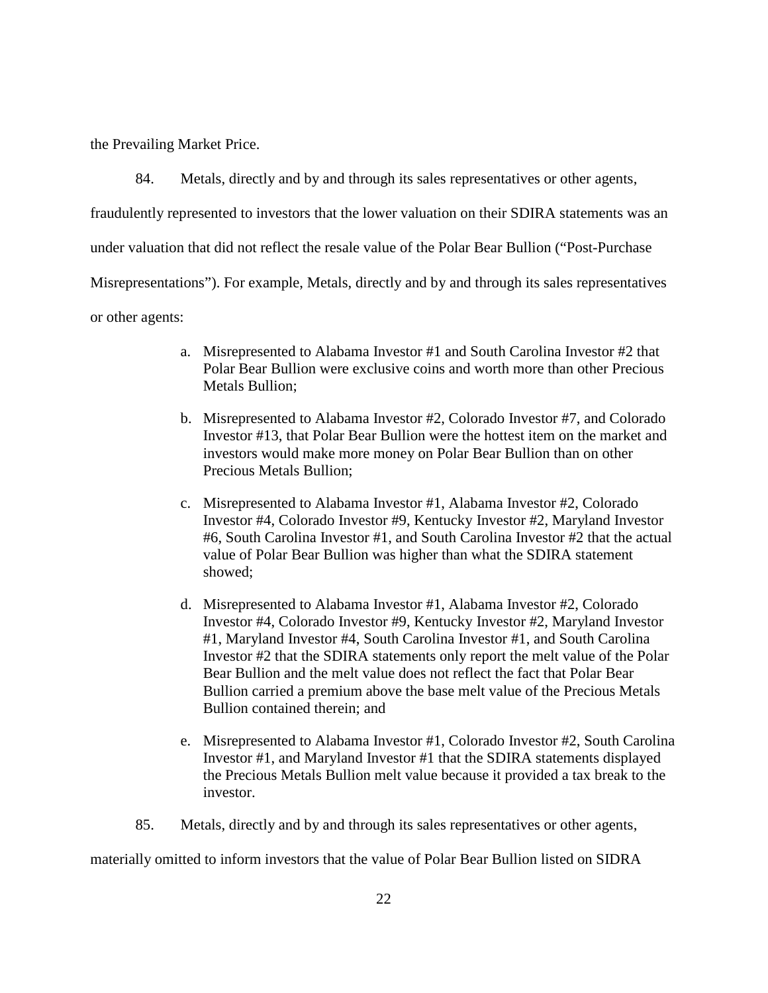the Prevailing Market Price.

84. Metals, directly and by and through its sales representatives or other agents,

fraudulently represented to investors that the lower valuation on their SDIRA statements was an

under valuation that did not reflect the resale value of the Polar Bear Bullion ("Post-Purchase

Misrepresentations"). For example, Metals, directly and by and through its sales representatives

or other agents:

- a. Misrepresented to Alabama Investor #1 and South Carolina Investor #2 that Polar Bear Bullion were exclusive coins and worth more than other Precious Metals Bullion;
- b. Misrepresented to Alabama Investor #2, Colorado Investor #7, and Colorado Investor #13, that Polar Bear Bullion were the hottest item on the market and investors would make more money on Polar Bear Bullion than on other Precious Metals Bullion;
- c. Misrepresented to Alabama Investor #1, Alabama Investor #2, Colorado Investor #4, Colorado Investor #9, Kentucky Investor #2, Maryland Investor #6, South Carolina Investor #1, and South Carolina Investor #2 that the actual value of Polar Bear Bullion was higher than what the SDIRA statement showed;
- d. Misrepresented to Alabama Investor #1, Alabama Investor #2, Colorado Investor #4, Colorado Investor #9, Kentucky Investor #2, Maryland Investor #1, Maryland Investor #4, South Carolina Investor #1, and South Carolina Investor #2 that the SDIRA statements only report the melt value of the Polar Bear Bullion and the melt value does not reflect the fact that Polar Bear Bullion carried a premium above the base melt value of the Precious Metals Bullion contained therein; and
- e. Misrepresented to Alabama Investor #1, Colorado Investor #2, South Carolina Investor #1, and Maryland Investor #1 that the SDIRA statements displayed the Precious Metals Bullion melt value because it provided a tax break to the investor.
- 85. Metals, directly and by and through its sales representatives or other agents,

materially omitted to inform investors that the value of Polar Bear Bullion listed on SIDRA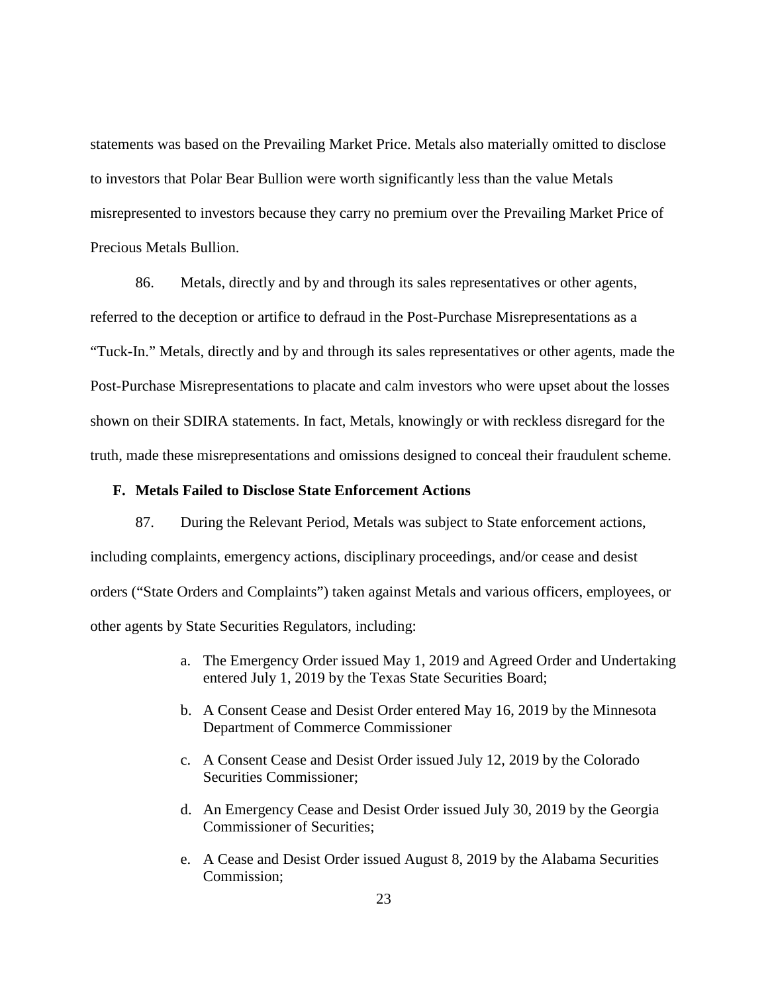statements was based on the Prevailing Market Price. Metals also materially omitted to disclose to investors that Polar Bear Bullion were worth significantly less than the value Metals misrepresented to investors because they carry no premium over the Prevailing Market Price of Precious Metals Bullion.

86. Metals, directly and by and through its sales representatives or other agents, referred to the deception or artifice to defraud in the Post-Purchase Misrepresentations as a "Tuck-In." Metals, directly and by and through its sales representatives or other agents, made the Post-Purchase Misrepresentations to placate and calm investors who were upset about the losses shown on their SDIRA statements. In fact, Metals, knowingly or with reckless disregard for the truth, made these misrepresentations and omissions designed to conceal their fraudulent scheme.

## **F. Metals Failed to Disclose State Enforcement Actions**

87. During the Relevant Period, Metals was subject to State enforcement actions, including complaints, emergency actions, disciplinary proceedings, and/or cease and desist orders ("State Orders and Complaints") taken against Metals and various officers, employees, or other agents by State Securities Regulators, including:

- a. The Emergency Order issued May 1, 2019 and Agreed Order and Undertaking entered July 1, 2019 by the Texas State Securities Board;
- b. A Consent Cease and Desist Order entered May 16, 2019 by the Minnesota Department of Commerce Commissioner
- c. A Consent Cease and Desist Order issued July 12, 2019 by the Colorado Securities Commissioner;
- d. An Emergency Cease and Desist Order issued July 30, 2019 by the Georgia Commissioner of Securities;
- e. A Cease and Desist Order issued August 8, 2019 by the Alabama Securities Commission;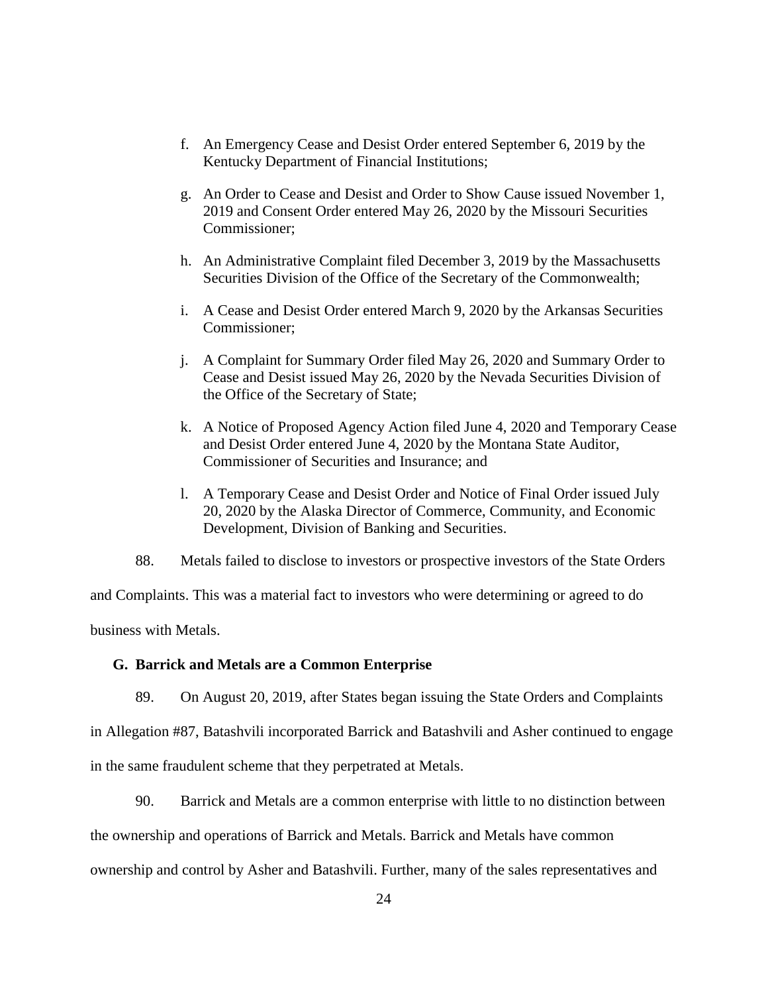- f. An Emergency Cease and Desist Order entered September 6, 2019 by the Kentucky Department of Financial Institutions;
- g. An Order to Cease and Desist and Order to Show Cause issued November 1, 2019 and Consent Order entered May 26, 2020 by the Missouri Securities Commissioner;
- h. An Administrative Complaint filed December 3, 2019 by the Massachusetts Securities Division of the Office of the Secretary of the Commonwealth;
- i. A Cease and Desist Order entered March 9, 2020 by the Arkansas Securities Commissioner;
- j. A Complaint for Summary Order filed May 26, 2020 and Summary Order to Cease and Desist issued May 26, 2020 by the Nevada Securities Division of the Office of the Secretary of State;
- k. A Notice of Proposed Agency Action filed June 4, 2020 and Temporary Cease and Desist Order entered June 4, 2020 by the Montana State Auditor, Commissioner of Securities and Insurance; and
- l. A Temporary Cease and Desist Order and Notice of Final Order issued July 20, 2020 by the Alaska Director of Commerce, Community, and Economic Development, Division of Banking and Securities.

88. Metals failed to disclose to investors or prospective investors of the State Orders

and Complaints. This was a material fact to investors who were determining or agreed to do business with Metals.

## **G. Barrick and Metals are a Common Enterprise**

89. On August 20, 2019, after States began issuing the State Orders and Complaints

in Allegation #87, Batashvili incorporated Barrick and Batashvili and Asher continued to engage in the same fraudulent scheme that they perpetrated at Metals.

90. Barrick and Metals are a common enterprise with little to no distinction between

the ownership and operations of Barrick and Metals. Barrick and Metals have common

ownership and control by Asher and Batashvili. Further, many of the sales representatives and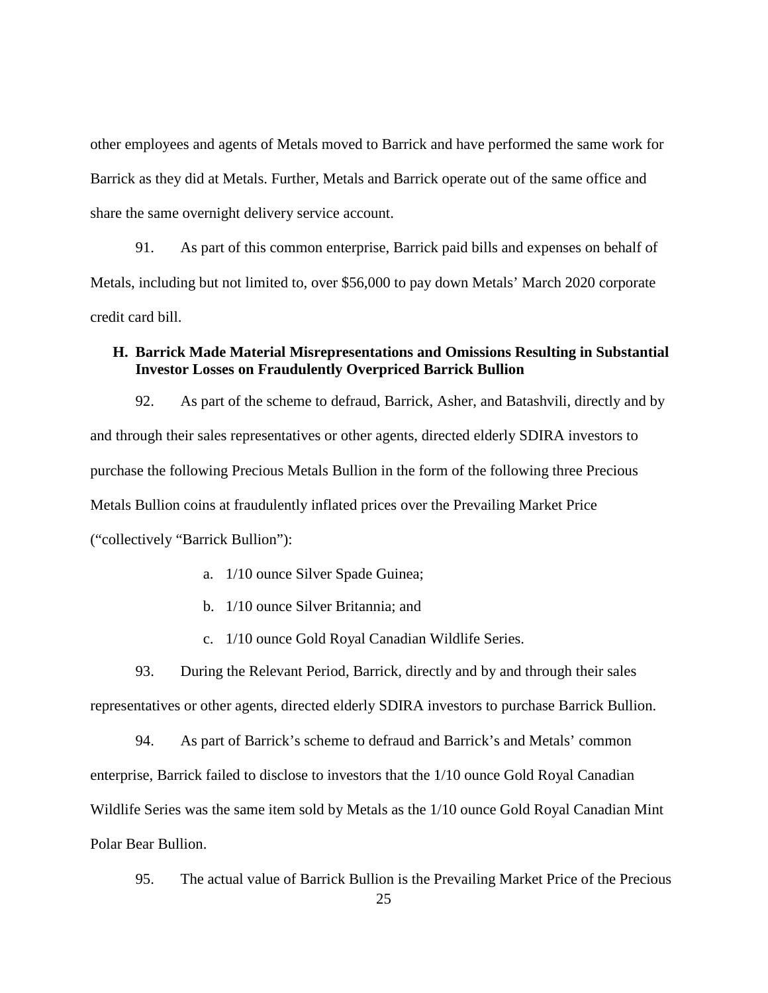other employees and agents of Metals moved to Barrick and have performed the same work for Barrick as they did at Metals. Further, Metals and Barrick operate out of the same office and share the same overnight delivery service account.

91. As part of this common enterprise, Barrick paid bills and expenses on behalf of Metals, including but not limited to, over \$56,000 to pay down Metals' March 2020 corporate credit card bill.

# **H. Barrick Made Material Misrepresentations and Omissions Resulting in Substantial Investor Losses on Fraudulently Overpriced Barrick Bullion**

92. As part of the scheme to defraud, Barrick, Asher, and Batashvili, directly and by and through their sales representatives or other agents, directed elderly SDIRA investors to purchase the following Precious Metals Bullion in the form of the following three Precious Metals Bullion coins at fraudulently inflated prices over the Prevailing Market Price ("collectively "Barrick Bullion"):

- a. 1/10 ounce Silver Spade Guinea;
- b. 1/10 ounce Silver Britannia; and
- c. 1/10 ounce Gold Royal Canadian Wildlife Series.

93. During the Relevant Period, Barrick, directly and by and through their sales representatives or other agents, directed elderly SDIRA investors to purchase Barrick Bullion.

94. As part of Barrick's scheme to defraud and Barrick's and Metals' common enterprise, Barrick failed to disclose to investors that the 1/10 ounce Gold Royal Canadian Wildlife Series was the same item sold by Metals as the 1/10 ounce Gold Royal Canadian Mint Polar Bear Bullion.

95. The actual value of Barrick Bullion is the Prevailing Market Price of the Precious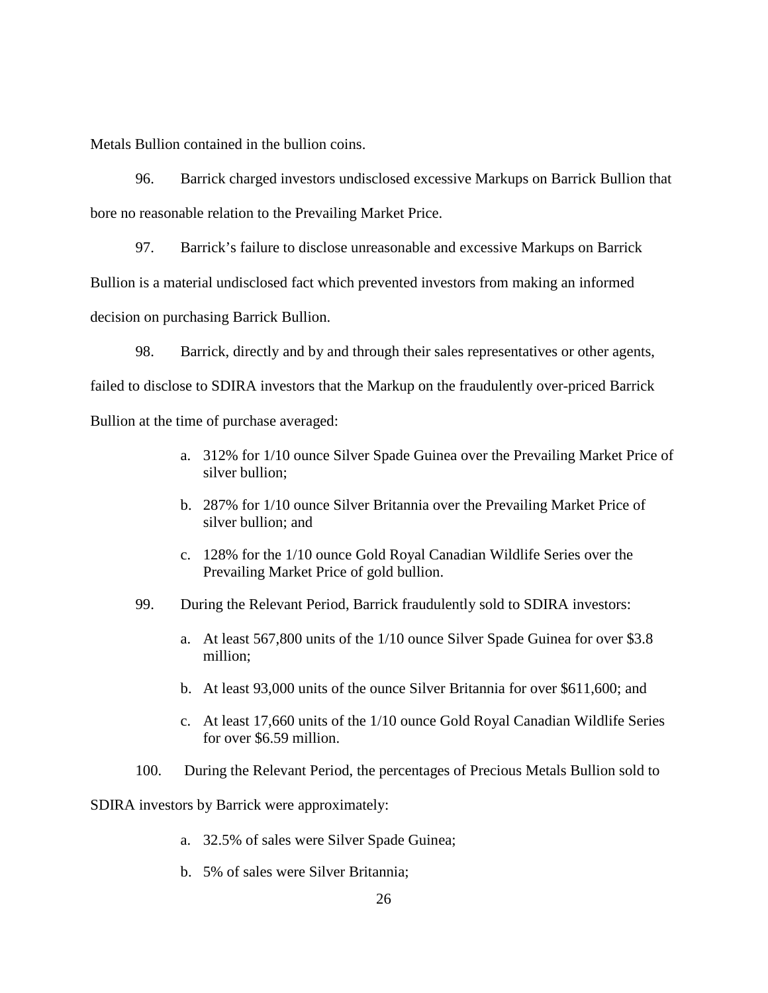Metals Bullion contained in the bullion coins.

96. Barrick charged investors undisclosed excessive Markups on Barrick Bullion that bore no reasonable relation to the Prevailing Market Price.

97. Barrick's failure to disclose unreasonable and excessive Markups on Barrick Bullion is a material undisclosed fact which prevented investors from making an informed decision on purchasing Barrick Bullion.

98. Barrick, directly and by and through their sales representatives or other agents, failed to disclose to SDIRA investors that the Markup on the fraudulently over-priced Barrick Bullion at the time of purchase averaged:

- a. 312% for 1/10 ounce Silver Spade Guinea over the Prevailing Market Price of silver bullion;
- b. 287% for 1/10 ounce Silver Britannia over the Prevailing Market Price of silver bullion; and
- c. 128% for the 1/10 ounce Gold Royal Canadian Wildlife Series over the Prevailing Market Price of gold bullion.
- 99. During the Relevant Period, Barrick fraudulently sold to SDIRA investors:
	- a. At least 567,800 units of the 1/10 ounce Silver Spade Guinea for over \$3.8 million;
	- b. At least 93,000 units of the ounce Silver Britannia for over \$611,600; and
	- c. At least 17,660 units of the 1/10 ounce Gold Royal Canadian Wildlife Series for over \$6.59 million.
- 100. During the Relevant Period, the percentages of Precious Metals Bullion sold to

SDIRA investors by Barrick were approximately:

- a. 32.5% of sales were Silver Spade Guinea;
- b. 5% of sales were Silver Britannia;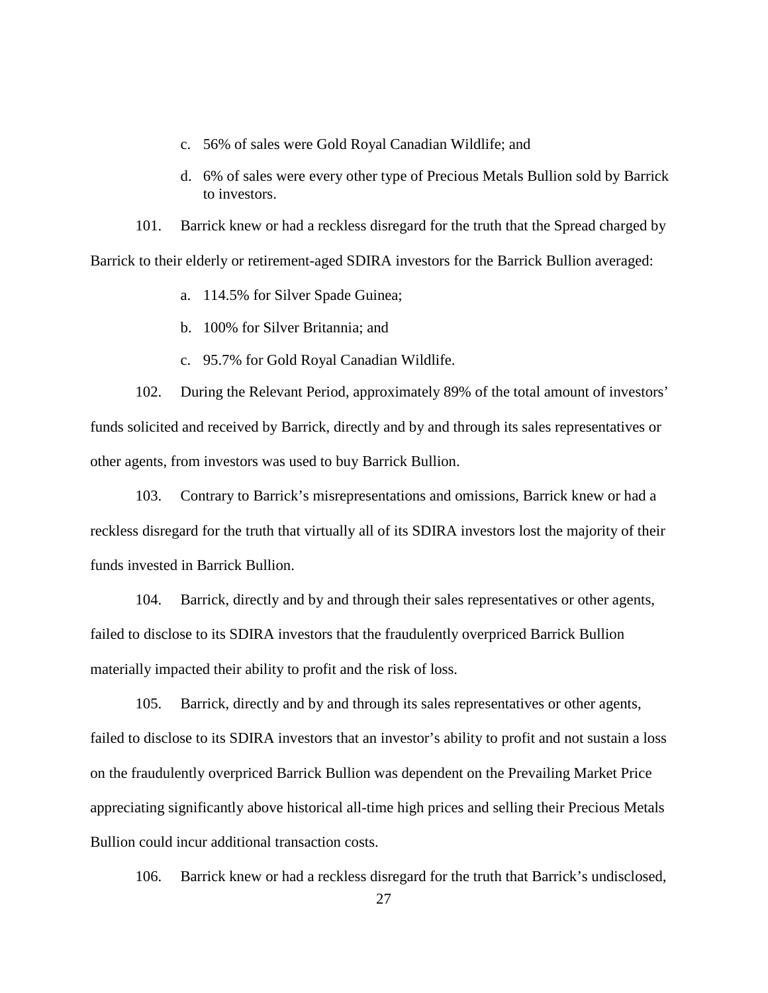- c. 56% of sales were Gold Royal Canadian Wildlife; and
- d. 6% of sales were every other type of Precious Metals Bullion sold by Barrick to investors.

101. Barrick knew or had a reckless disregard for the truth that the Spread charged by Barrick to their elderly or retirement-aged SDIRA investors for the Barrick Bullion averaged:

- a. 114.5% for Silver Spade Guinea;
- b. 100% for Silver Britannia; and
- c. 95.7% for Gold Royal Canadian Wildlife.

102. During the Relevant Period, approximately 89% of the total amount of investors' funds solicited and received by Barrick, directly and by and through its sales representatives or other agents, from investors was used to buy Barrick Bullion.

103. Contrary to Barrick's misrepresentations and omissions, Barrick knew or had a reckless disregard for the truth that virtually all of its SDIRA investors lost the majority of their funds invested in Barrick Bullion.

104. Barrick, directly and by and through their sales representatives or other agents, failed to disclose to its SDIRA investors that the fraudulently overpriced Barrick Bullion materially impacted their ability to profit and the risk of loss.

105. Barrick, directly and by and through its sales representatives or other agents, failed to disclose to its SDIRA investors that an investor's ability to profit and not sustain a loss on the fraudulently overpriced Barrick Bullion was dependent on the Prevailing Market Price appreciating significantly above historical all-time high prices and selling their Precious Metals Bullion could incur additional transaction costs.

106. Barrick knew or had a reckless disregard for the truth that Barrick's undisclosed,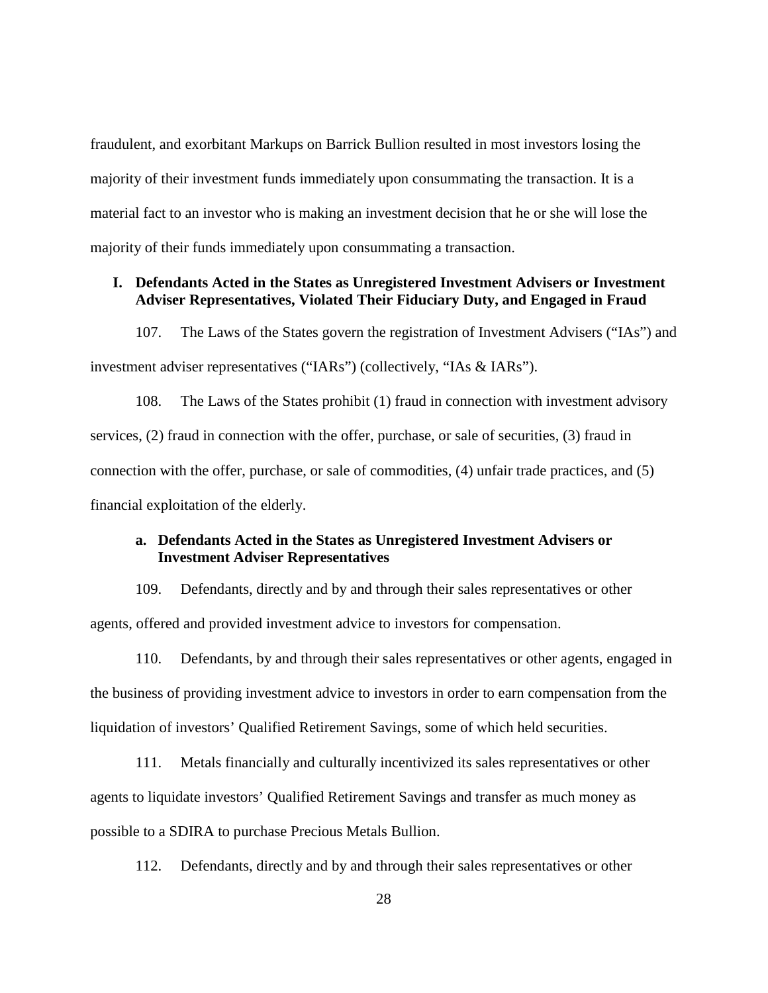fraudulent, and exorbitant Markups on Barrick Bullion resulted in most investors losing the majority of their investment funds immediately upon consummating the transaction. It is a material fact to an investor who is making an investment decision that he or she will lose the majority of their funds immediately upon consummating a transaction.

## **I. Defendants Acted in the States as Unregistered Investment Advisers or Investment Adviser Representatives, Violated Their Fiduciary Duty, and Engaged in Fraud**

107. The Laws of the States govern the registration of Investment Advisers ("IAs") and investment adviser representatives ("IARs") (collectively, "IAs & IARs").

108. The Laws of the States prohibit (1) fraud in connection with investment advisory services, (2) fraud in connection with the offer, purchase, or sale of securities, (3) fraud in connection with the offer, purchase, or sale of commodities, (4) unfair trade practices, and (5) financial exploitation of the elderly.

## **a. Defendants Acted in the States as Unregistered Investment Advisers or Investment Adviser Representatives**

109. Defendants, directly and by and through their sales representatives or other agents, offered and provided investment advice to investors for compensation.

110. Defendants, by and through their sales representatives or other agents, engaged in the business of providing investment advice to investors in order to earn compensation from the liquidation of investors' Qualified Retirement Savings, some of which held securities.

111. Metals financially and culturally incentivized its sales representatives or other agents to liquidate investors' Qualified Retirement Savings and transfer as much money as possible to a SDIRA to purchase Precious Metals Bullion.

112. Defendants, directly and by and through their sales representatives or other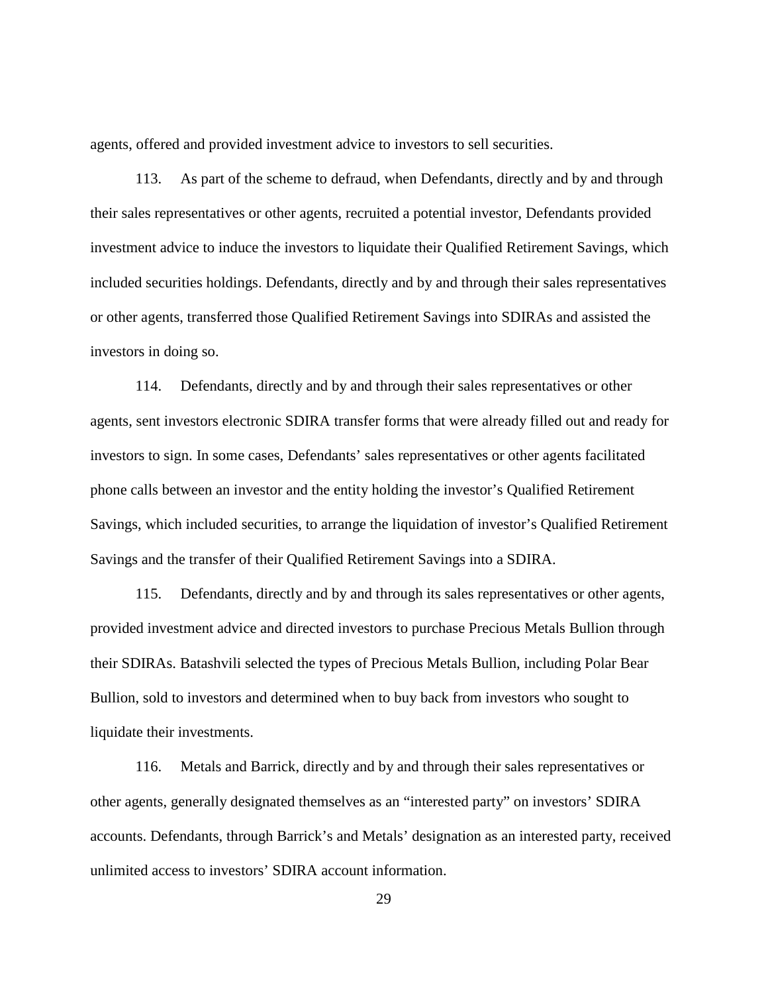agents, offered and provided investment advice to investors to sell securities.

113. As part of the scheme to defraud, when Defendants, directly and by and through their sales representatives or other agents, recruited a potential investor, Defendants provided investment advice to induce the investors to liquidate their Qualified Retirement Savings, which included securities holdings. Defendants, directly and by and through their sales representatives or other agents, transferred those Qualified Retirement Savings into SDIRAs and assisted the investors in doing so.

114. Defendants, directly and by and through their sales representatives or other agents, sent investors electronic SDIRA transfer forms that were already filled out and ready for investors to sign. In some cases, Defendants' sales representatives or other agents facilitated phone calls between an investor and the entity holding the investor's Qualified Retirement Savings, which included securities, to arrange the liquidation of investor's Qualified Retirement Savings and the transfer of their Qualified Retirement Savings into a SDIRA.

115. Defendants, directly and by and through its sales representatives or other agents, provided investment advice and directed investors to purchase Precious Metals Bullion through their SDIRAs. Batashvili selected the types of Precious Metals Bullion, including Polar Bear Bullion, sold to investors and determined when to buy back from investors who sought to liquidate their investments.

116. Metals and Barrick, directly and by and through their sales representatives or other agents, generally designated themselves as an "interested party" on investors' SDIRA accounts. Defendants, through Barrick's and Metals' designation as an interested party, received unlimited access to investors' SDIRA account information.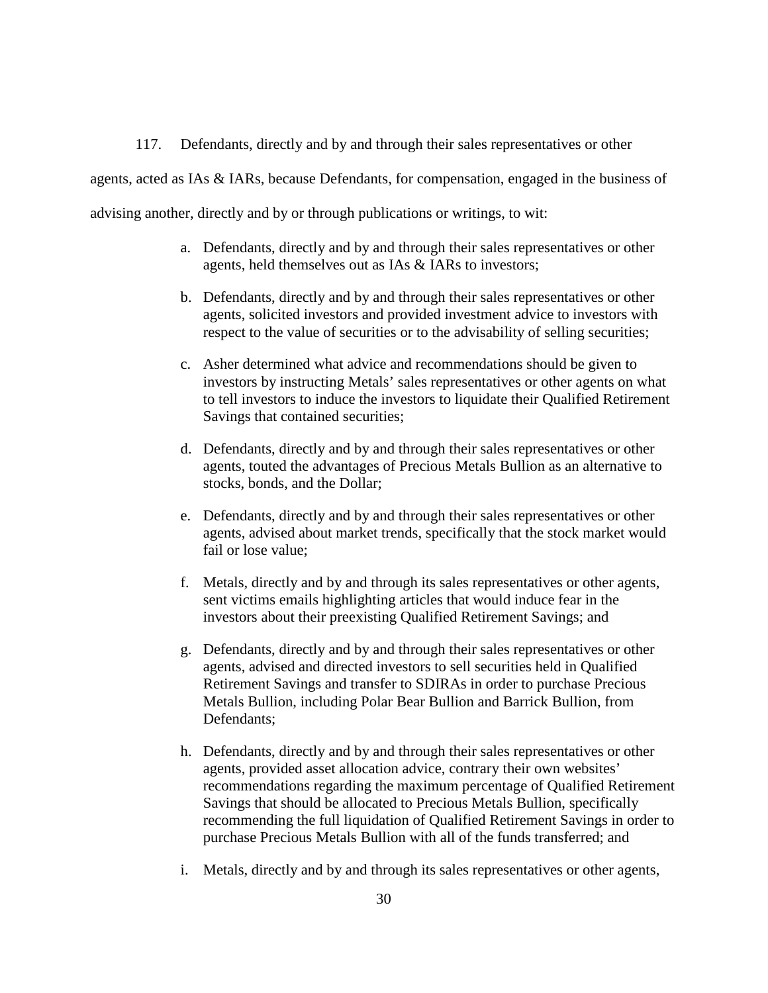117. Defendants, directly and by and through their sales representatives or other agents, acted as IAs & IARs, because Defendants, for compensation, engaged in the business of advising another, directly and by or through publications or writings, to wit:

- a. Defendants, directly and by and through their sales representatives or other agents, held themselves out as IAs & IARs to investors;
- b. Defendants, directly and by and through their sales representatives or other agents, solicited investors and provided investment advice to investors with respect to the value of securities or to the advisability of selling securities;
- c. Asher determined what advice and recommendations should be given to investors by instructing Metals' sales representatives or other agents on what to tell investors to induce the investors to liquidate their Qualified Retirement Savings that contained securities;
- d. Defendants, directly and by and through their sales representatives or other agents, touted the advantages of Precious Metals Bullion as an alternative to stocks, bonds, and the Dollar;
- e. Defendants, directly and by and through their sales representatives or other agents, advised about market trends, specifically that the stock market would fail or lose value;
- f. Metals, directly and by and through its sales representatives or other agents, sent victims emails highlighting articles that would induce fear in the investors about their preexisting Qualified Retirement Savings; and
- g. Defendants, directly and by and through their sales representatives or other agents, advised and directed investors to sell securities held in Qualified Retirement Savings and transfer to SDIRAs in order to purchase Precious Metals Bullion, including Polar Bear Bullion and Barrick Bullion, from Defendants;
- h. Defendants, directly and by and through their sales representatives or other agents, provided asset allocation advice, contrary their own websites' recommendations regarding the maximum percentage of Qualified Retirement Savings that should be allocated to Precious Metals Bullion, specifically recommending the full liquidation of Qualified Retirement Savings in order to purchase Precious Metals Bullion with all of the funds transferred; and
- i. Metals, directly and by and through its sales representatives or other agents,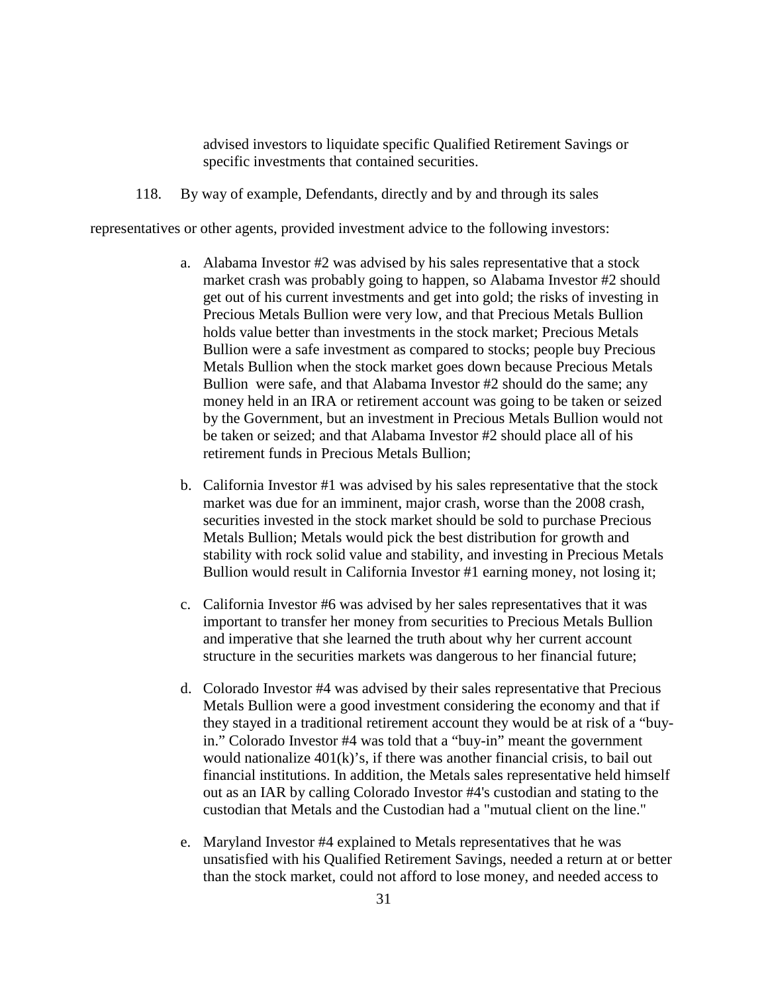advised investors to liquidate specific Qualified Retirement Savings or specific investments that contained securities.

118. By way of example, Defendants, directly and by and through its sales

representatives or other agents, provided investment advice to the following investors:

- a. Alabama Investor #2 was advised by his sales representative that a stock market crash was probably going to happen, so Alabama Investor #2 should get out of his current investments and get into gold; the risks of investing in Precious Metals Bullion were very low, and that Precious Metals Bullion holds value better than investments in the stock market; Precious Metals Bullion were a safe investment as compared to stocks; people buy Precious Metals Bullion when the stock market goes down because Precious Metals Bullion were safe, and that Alabama Investor #2 should do the same; any money held in an IRA or retirement account was going to be taken or seized by the Government, but an investment in Precious Metals Bullion would not be taken or seized; and that Alabama Investor #2 should place all of his retirement funds in Precious Metals Bullion;
- b. California Investor #1 was advised by his sales representative that the stock market was due for an imminent, major crash, worse than the 2008 crash, securities invested in the stock market should be sold to purchase Precious Metals Bullion; Metals would pick the best distribution for growth and stability with rock solid value and stability, and investing in Precious Metals Bullion would result in California Investor #1 earning money, not losing it;
- c. California Investor #6 was advised by her sales representatives that it was important to transfer her money from securities to Precious Metals Bullion and imperative that she learned the truth about why her current account structure in the securities markets was dangerous to her financial future;
- d. Colorado Investor #4 was advised by their sales representative that Precious Metals Bullion were a good investment considering the economy and that if they stayed in a traditional retirement account they would be at risk of a "buyin." Colorado Investor #4 was told that a "buy-in" meant the government would nationalize  $401(k)$ 's, if there was another financial crisis, to bail out financial institutions. In addition, the Metals sales representative held himself out as an IAR by calling Colorado Investor #4's custodian and stating to the custodian that Metals and the Custodian had a "mutual client on the line."
- e. Maryland Investor #4 explained to Metals representatives that he was unsatisfied with his Qualified Retirement Savings, needed a return at or better than the stock market, could not afford to lose money, and needed access to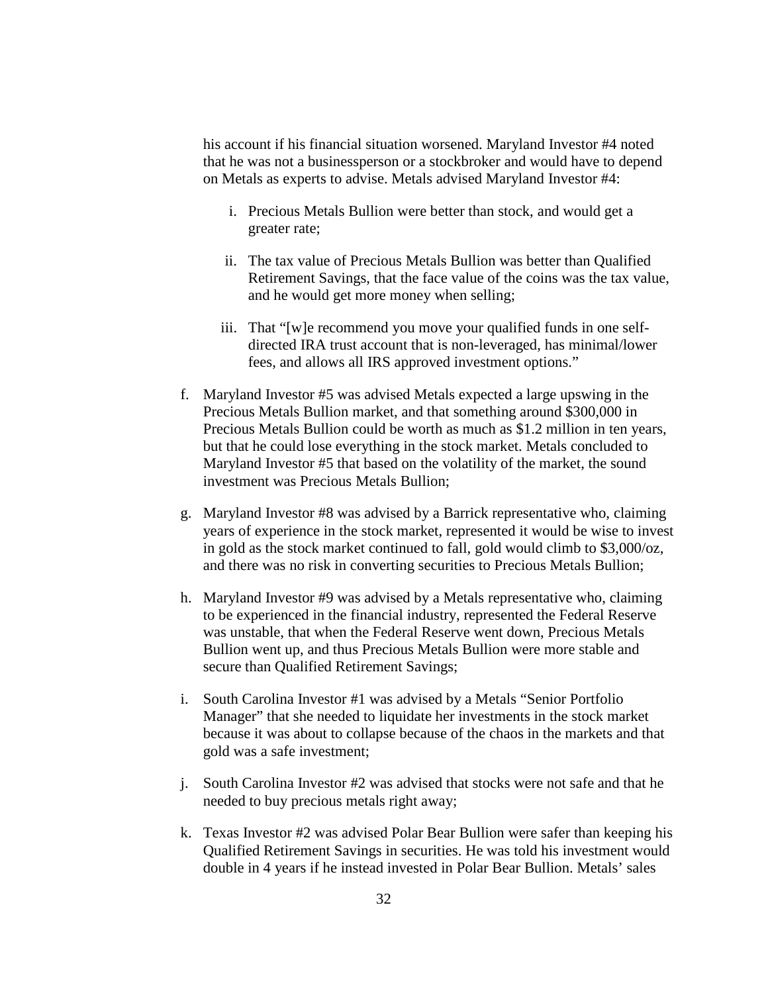his account if his financial situation worsened. Maryland Investor #4 noted that he was not a businessperson or a stockbroker and would have to depend on Metals as experts to advise. Metals advised Maryland Investor #4:

- i. Precious Metals Bullion were better than stock, and would get a greater rate;
- ii. The tax value of Precious Metals Bullion was better than Qualified Retirement Savings, that the face value of the coins was the tax value, and he would get more money when selling;
- iii. That "[w]e recommend you move your qualified funds in one selfdirected IRA trust account that is non-leveraged, has minimal/lower fees, and allows all IRS approved investment options."
- f. Maryland Investor #5 was advised Metals expected a large upswing in the Precious Metals Bullion market, and that something around \$300,000 in Precious Metals Bullion could be worth as much as \$1.2 million in ten years, but that he could lose everything in the stock market. Metals concluded to Maryland Investor #5 that based on the volatility of the market, the sound investment was Precious Metals Bullion;
- g. Maryland Investor #8 was advised by a Barrick representative who, claiming years of experience in the stock market, represented it would be wise to invest in gold as the stock market continued to fall, gold would climb to \$3,000/oz, and there was no risk in converting securities to Precious Metals Bullion;
- h. Maryland Investor #9 was advised by a Metals representative who, claiming to be experienced in the financial industry, represented the Federal Reserve was unstable, that when the Federal Reserve went down, Precious Metals Bullion went up, and thus Precious Metals Bullion were more stable and secure than Qualified Retirement Savings;
- i. South Carolina Investor #1 was advised by a Metals "Senior Portfolio Manager" that she needed to liquidate her investments in the stock market because it was about to collapse because of the chaos in the markets and that gold was a safe investment;
- j. South Carolina Investor #2 was advised that stocks were not safe and that he needed to buy precious metals right away;
- k. Texas Investor #2 was advised Polar Bear Bullion were safer than keeping his Qualified Retirement Savings in securities. He was told his investment would double in 4 years if he instead invested in Polar Bear Bullion. Metals' sales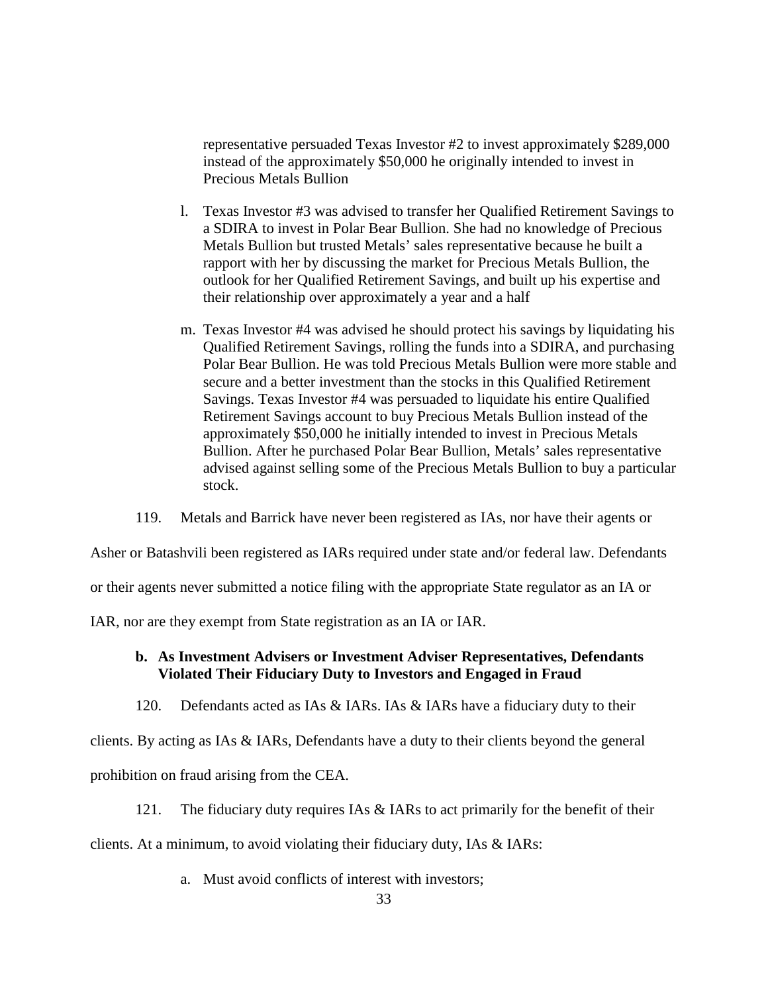representative persuaded Texas Investor #2 to invest approximately \$289,000 instead of the approximately \$50,000 he originally intended to invest in Precious Metals Bullion

- l. Texas Investor #3 was advised to transfer her Qualified Retirement Savings to a SDIRA to invest in Polar Bear Bullion. She had no knowledge of Precious Metals Bullion but trusted Metals' sales representative because he built a rapport with her by discussing the market for Precious Metals Bullion, the outlook for her Qualified Retirement Savings, and built up his expertise and their relationship over approximately a year and a half
- m. Texas Investor #4 was advised he should protect his savings by liquidating his Qualified Retirement Savings, rolling the funds into a SDIRA, and purchasing Polar Bear Bullion. He was told Precious Metals Bullion were more stable and secure and a better investment than the stocks in this Qualified Retirement Savings. Texas Investor #4 was persuaded to liquidate his entire Qualified Retirement Savings account to buy Precious Metals Bullion instead of the approximately \$50,000 he initially intended to invest in Precious Metals Bullion. After he purchased Polar Bear Bullion, Metals' sales representative advised against selling some of the Precious Metals Bullion to buy a particular stock.
- 119. Metals and Barrick have never been registered as IAs, nor have their agents or

Asher or Batashvili been registered as IARs required under state and/or federal law. Defendants

or their agents never submitted a notice filing with the appropriate State regulator as an IA or

IAR, nor are they exempt from State registration as an IA or IAR.

## **b. As Investment Advisers or Investment Adviser Representatives, Defendants Violated Their Fiduciary Duty to Investors and Engaged in Fraud**

120. Defendants acted as IAs & IARs. IAs & IARs have a fiduciary duty to their

clients. By acting as IAs & IARs, Defendants have a duty to their clients beyond the general

prohibition on fraud arising from the CEA.

121. The fiduciary duty requires IAs & IARs to act primarily for the benefit of their

clients. At a minimum, to avoid violating their fiduciary duty, IAs & IARs:

a. Must avoid conflicts of interest with investors;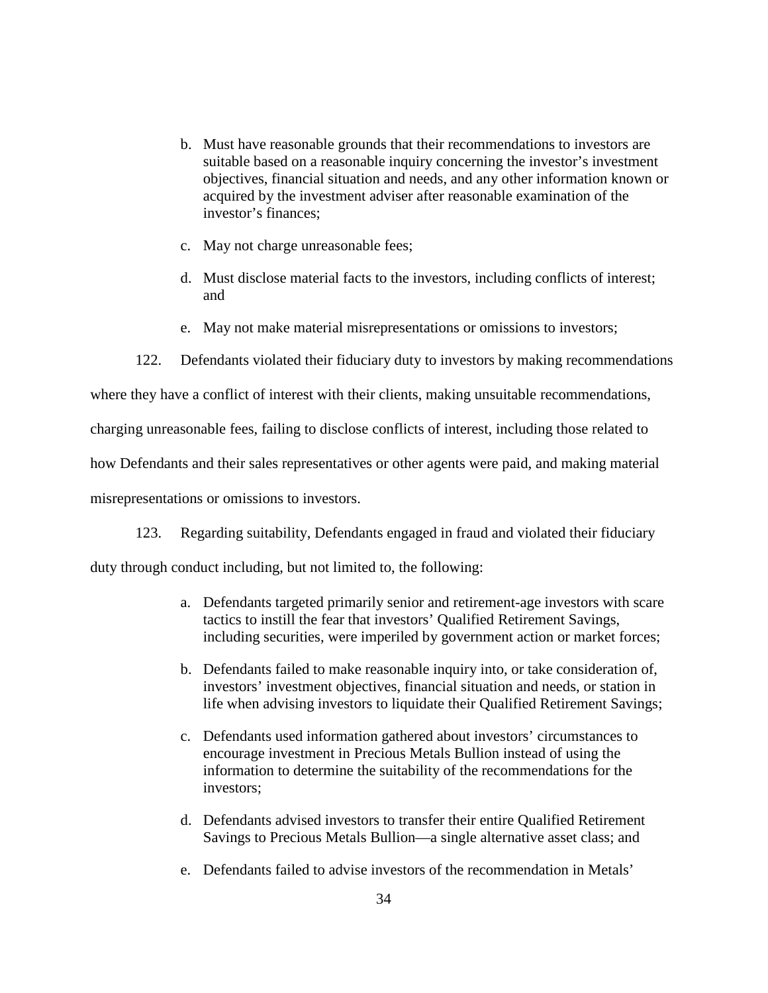- b. Must have reasonable grounds that their recommendations to investors are suitable based on a reasonable inquiry concerning the investor's investment objectives, financial situation and needs, and any other information known or acquired by the investment adviser after reasonable examination of the investor's finances;
- c. May not charge unreasonable fees;
- d. Must disclose material facts to the investors, including conflicts of interest; and
- e. May not make material misrepresentations or omissions to investors;
- 122. Defendants violated their fiduciary duty to investors by making recommendations

where they have a conflict of interest with their clients, making unsuitable recommendations,

charging unreasonable fees, failing to disclose conflicts of interest, including those related to

how Defendants and their sales representatives or other agents were paid, and making material

misrepresentations or omissions to investors.

123. Regarding suitability, Defendants engaged in fraud and violated their fiduciary

duty through conduct including, but not limited to, the following:

- a. Defendants targeted primarily senior and retirement-age investors with scare tactics to instill the fear that investors' Qualified Retirement Savings, including securities, were imperiled by government action or market forces;
- b. Defendants failed to make reasonable inquiry into, or take consideration of, investors' investment objectives, financial situation and needs, or station in life when advising investors to liquidate their Qualified Retirement Savings;
- c. Defendants used information gathered about investors' circumstances to encourage investment in Precious Metals Bullion instead of using the information to determine the suitability of the recommendations for the investors;
- d. Defendants advised investors to transfer their entire Qualified Retirement Savings to Precious Metals Bullion—a single alternative asset class; and
- e. Defendants failed to advise investors of the recommendation in Metals'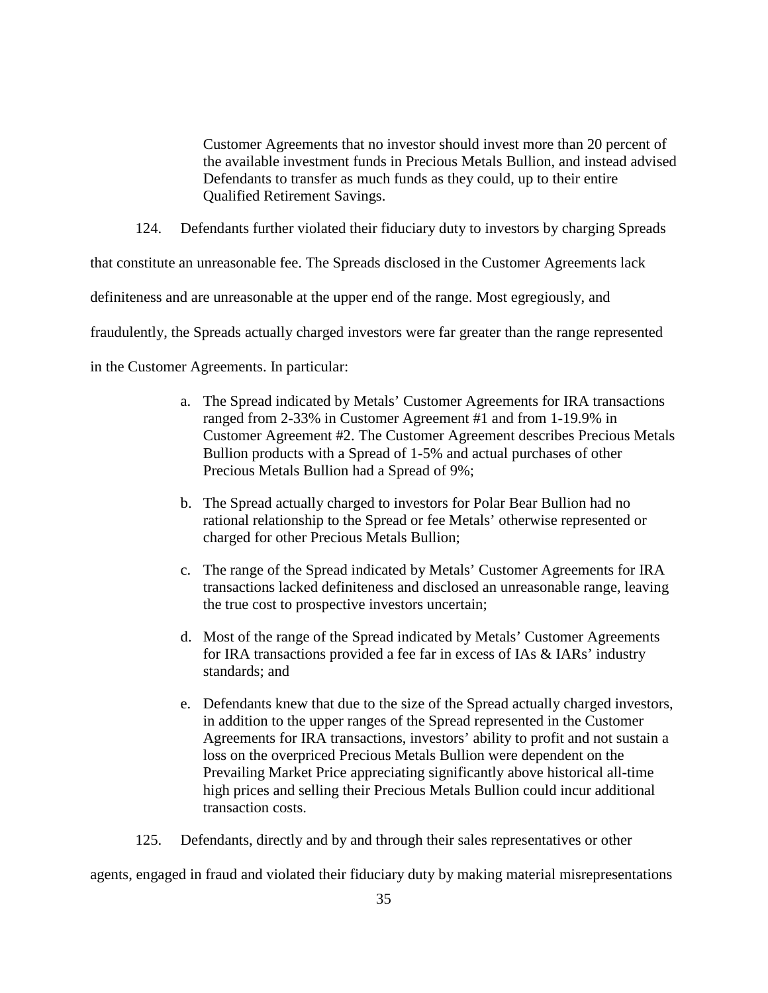Customer Agreements that no investor should invest more than 20 percent of the available investment funds in Precious Metals Bullion, and instead advised Defendants to transfer as much funds as they could, up to their entire Qualified Retirement Savings.

124. Defendants further violated their fiduciary duty to investors by charging Spreads

that constitute an unreasonable fee. The Spreads disclosed in the Customer Agreements lack

definiteness and are unreasonable at the upper end of the range. Most egregiously, and

fraudulently, the Spreads actually charged investors were far greater than the range represented

in the Customer Agreements. In particular:

- a. The Spread indicated by Metals' Customer Agreements for IRA transactions ranged from 2-33% in Customer Agreement #1 and from 1-19.9% in Customer Agreement #2. The Customer Agreement describes Precious Metals Bullion products with a Spread of 1-5% and actual purchases of other Precious Metals Bullion had a Spread of 9%;
- b. The Spread actually charged to investors for Polar Bear Bullion had no rational relationship to the Spread or fee Metals' otherwise represented or charged for other Precious Metals Bullion;
- c. The range of the Spread indicated by Metals' Customer Agreements for IRA transactions lacked definiteness and disclosed an unreasonable range, leaving the true cost to prospective investors uncertain;
- d. Most of the range of the Spread indicated by Metals' Customer Agreements for IRA transactions provided a fee far in excess of IAs & IARs' industry standards; and
- e. Defendants knew that due to the size of the Spread actually charged investors, in addition to the upper ranges of the Spread represented in the Customer Agreements for IRA transactions, investors' ability to profit and not sustain a loss on the overpriced Precious Metals Bullion were dependent on the Prevailing Market Price appreciating significantly above historical all-time high prices and selling their Precious Metals Bullion could incur additional transaction costs.

125. Defendants, directly and by and through their sales representatives or other

agents, engaged in fraud and violated their fiduciary duty by making material misrepresentations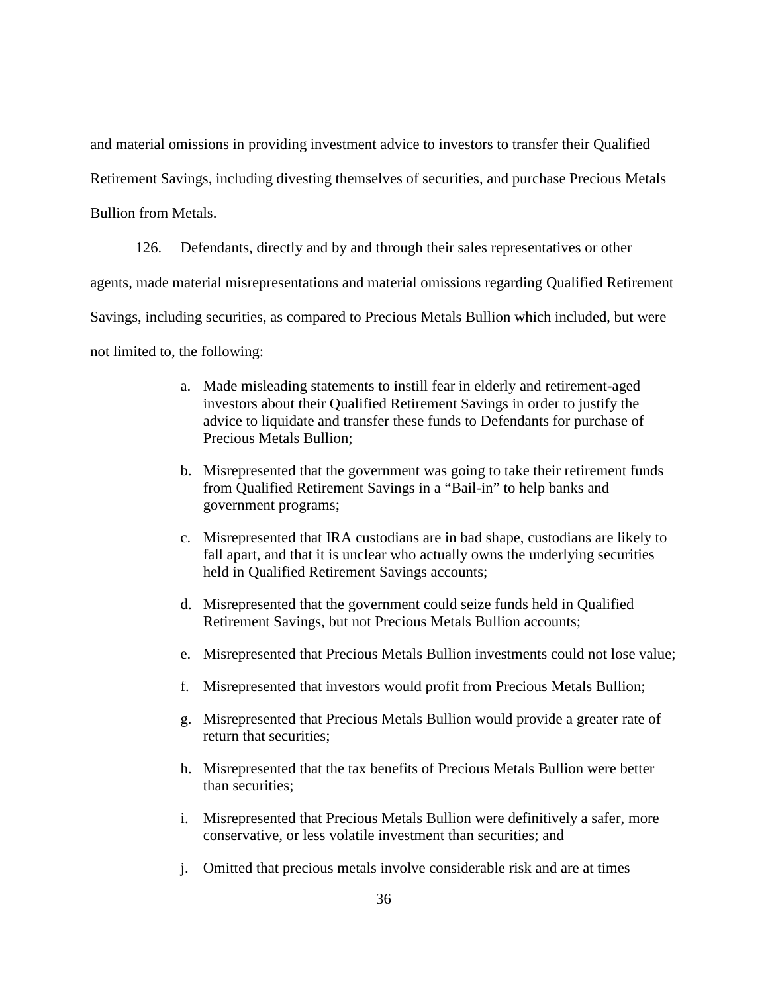and material omissions in providing investment advice to investors to transfer their Qualified

Retirement Savings, including divesting themselves of securities, and purchase Precious Metals

Bullion from Metals.

126. Defendants, directly and by and through their sales representatives or other agents, made material misrepresentations and material omissions regarding Qualified Retirement Savings, including securities, as compared to Precious Metals Bullion which included, but were not limited to, the following:

- a. Made misleading statements to instill fear in elderly and retirement-aged investors about their Qualified Retirement Savings in order to justify the advice to liquidate and transfer these funds to Defendants for purchase of Precious Metals Bullion;
- b. Misrepresented that the government was going to take their retirement funds from Qualified Retirement Savings in a "Bail-in" to help banks and government programs;
- c. Misrepresented that IRA custodians are in bad shape, custodians are likely to fall apart, and that it is unclear who actually owns the underlying securities held in Qualified Retirement Savings accounts;
- d. Misrepresented that the government could seize funds held in Qualified Retirement Savings, but not Precious Metals Bullion accounts;
- e. Misrepresented that Precious Metals Bullion investments could not lose value;
- f. Misrepresented that investors would profit from Precious Metals Bullion;
- g. Misrepresented that Precious Metals Bullion would provide a greater rate of return that securities;
- h. Misrepresented that the tax benefits of Precious Metals Bullion were better than securities;
- i. Misrepresented that Precious Metals Bullion were definitively a safer, more conservative, or less volatile investment than securities; and
- j. Omitted that precious metals involve considerable risk and are at times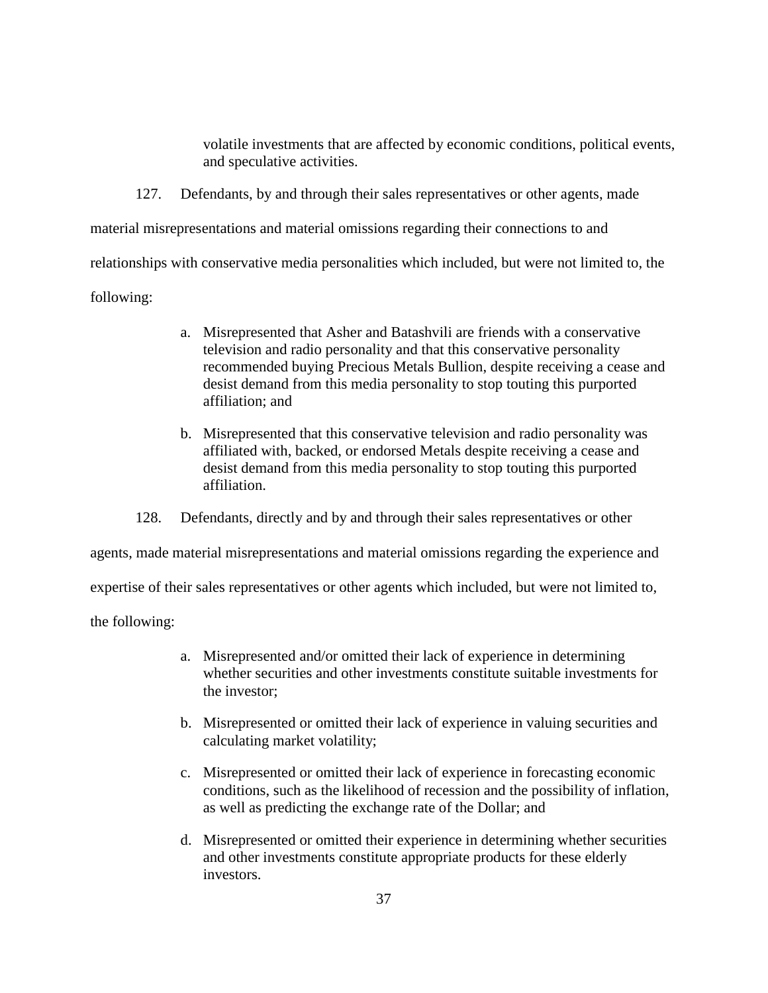volatile investments that are affected by economic conditions, political events, and speculative activities.

127. Defendants, by and through their sales representatives or other agents, made material misrepresentations and material omissions regarding their connections to and relationships with conservative media personalities which included, but were not limited to, the following:

- a. Misrepresented that Asher and Batashvili are friends with a conservative television and radio personality and that this conservative personality recommended buying Precious Metals Bullion, despite receiving a cease and desist demand from this media personality to stop touting this purported affiliation; and
- b. Misrepresented that this conservative television and radio personality was affiliated with, backed, or endorsed Metals despite receiving a cease and desist demand from this media personality to stop touting this purported affiliation.

128. Defendants, directly and by and through their sales representatives or other

agents, made material misrepresentations and material omissions regarding the experience and

expertise of their sales representatives or other agents which included, but were not limited to,

the following:

- a. Misrepresented and/or omitted their lack of experience in determining whether securities and other investments constitute suitable investments for the investor;
- b. Misrepresented or omitted their lack of experience in valuing securities and calculating market volatility;
- c. Misrepresented or omitted their lack of experience in forecasting economic conditions, such as the likelihood of recession and the possibility of inflation, as well as predicting the exchange rate of the Dollar; and
- d. Misrepresented or omitted their experience in determining whether securities and other investments constitute appropriate products for these elderly investors.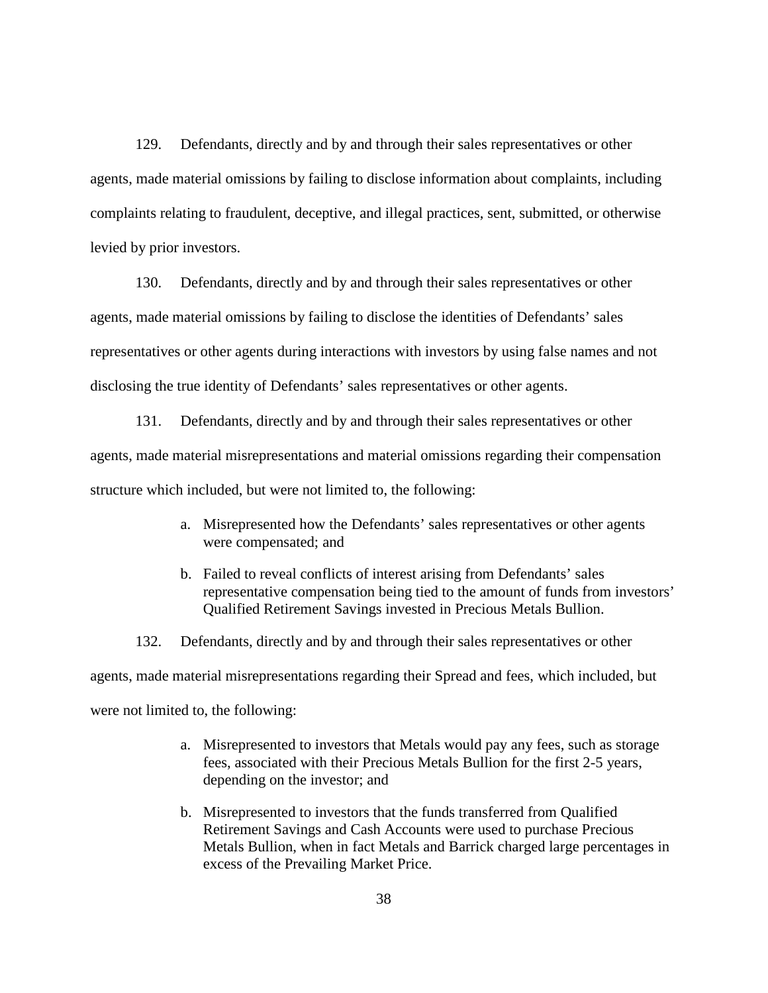129. Defendants, directly and by and through their sales representatives or other agents, made material omissions by failing to disclose information about complaints, including complaints relating to fraudulent, deceptive, and illegal practices, sent, submitted, or otherwise levied by prior investors.

130. Defendants, directly and by and through their sales representatives or other agents, made material omissions by failing to disclose the identities of Defendants' sales representatives or other agents during interactions with investors by using false names and not disclosing the true identity of Defendants' sales representatives or other agents.

131. Defendants, directly and by and through their sales representatives or other agents, made material misrepresentations and material omissions regarding their compensation structure which included, but were not limited to, the following:

- a. Misrepresented how the Defendants' sales representatives or other agents were compensated; and
- b. Failed to reveal conflicts of interest arising from Defendants' sales representative compensation being tied to the amount of funds from investors' Qualified Retirement Savings invested in Precious Metals Bullion.

132. Defendants, directly and by and through their sales representatives or other agents, made material misrepresentations regarding their Spread and fees, which included, but were not limited to, the following:

- a. Misrepresented to investors that Metals would pay any fees, such as storage fees, associated with their Precious Metals Bullion for the first 2-5 years, depending on the investor; and
- b. Misrepresented to investors that the funds transferred from Qualified Retirement Savings and Cash Accounts were used to purchase Precious Metals Bullion, when in fact Metals and Barrick charged large percentages in excess of the Prevailing Market Price.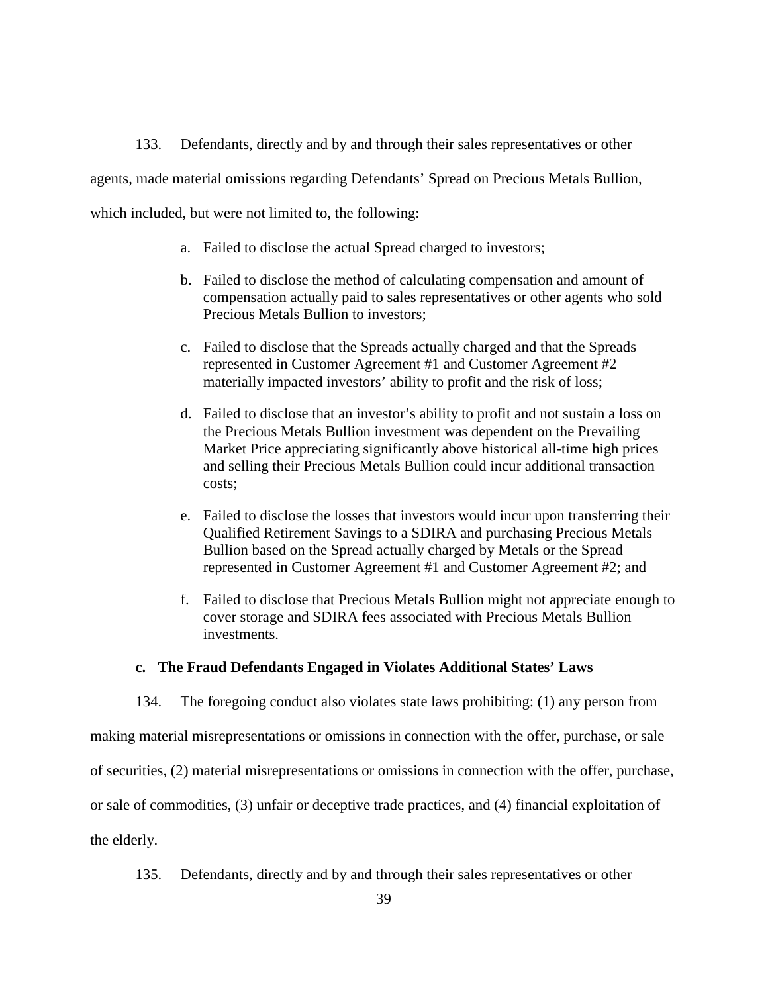133. Defendants, directly and by and through their sales representatives or other agents, made material omissions regarding Defendants' Spread on Precious Metals Bullion, which included, but were not limited to, the following:

- a. Failed to disclose the actual Spread charged to investors;
- b. Failed to disclose the method of calculating compensation and amount of compensation actually paid to sales representatives or other agents who sold Precious Metals Bullion to investors;
- c. Failed to disclose that the Spreads actually charged and that the Spreads represented in Customer Agreement #1 and Customer Agreement #2 materially impacted investors' ability to profit and the risk of loss;
- d. Failed to disclose that an investor's ability to profit and not sustain a loss on the Precious Metals Bullion investment was dependent on the Prevailing Market Price appreciating significantly above historical all-time high prices and selling their Precious Metals Bullion could incur additional transaction costs;
- e. Failed to disclose the losses that investors would incur upon transferring their Qualified Retirement Savings to a SDIRA and purchasing Precious Metals Bullion based on the Spread actually charged by Metals or the Spread represented in Customer Agreement #1 and Customer Agreement #2; and
- f. Failed to disclose that Precious Metals Bullion might not appreciate enough to cover storage and SDIRA fees associated with Precious Metals Bullion investments.

#### **c. The Fraud Defendants Engaged in Violates Additional States' Laws**

134. The foregoing conduct also violates state laws prohibiting: (1) any person from

making material misrepresentations or omissions in connection with the offer, purchase, or sale

of securities, (2) material misrepresentations or omissions in connection with the offer, purchase,

or sale of commodities, (3) unfair or deceptive trade practices, and (4) financial exploitation of

the elderly.

135. Defendants, directly and by and through their sales representatives or other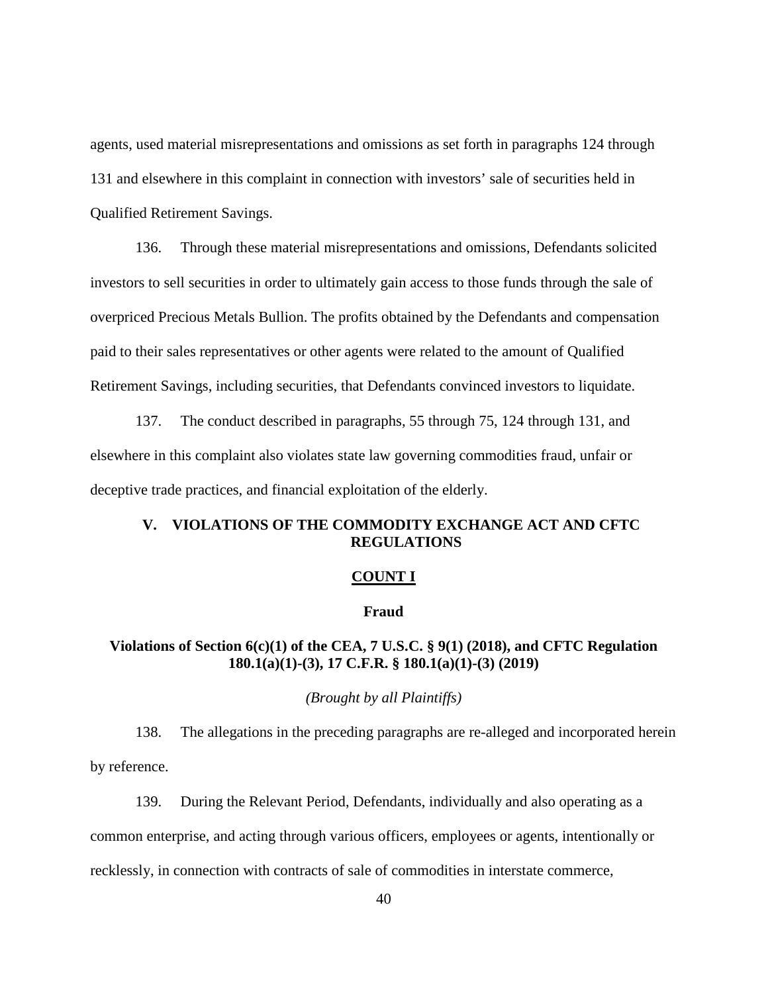agents, used material misrepresentations and omissions as set forth in paragraphs 124 through 131 and elsewhere in this complaint in connection with investors' sale of securities held in Qualified Retirement Savings.

136. Through these material misrepresentations and omissions, Defendants solicited investors to sell securities in order to ultimately gain access to those funds through the sale of overpriced Precious Metals Bullion. The profits obtained by the Defendants and compensation paid to their sales representatives or other agents were related to the amount of Qualified Retirement Savings, including securities, that Defendants convinced investors to liquidate.

137. The conduct described in paragraphs, 55 through 75, 124 through 131, and elsewhere in this complaint also violates state law governing commodities fraud, unfair or deceptive trade practices, and financial exploitation of the elderly.

# **V. VIOLATIONS OF THE COMMODITY EXCHANGE ACT AND CFTC REGULATIONS**

#### **COUNT I**

#### **Fraud**

# **Violations of Section 6(c)(1) of the CEA, 7 U.S.C. § 9(1) (2018), and CFTC Regulation 180.1(a)(1)-(3), 17 C.F.R. § 180.1(a)(1)-(3) (2019)**

### *(Brought by all Plaintiffs)*

138. The allegations in the preceding paragraphs are re-alleged and incorporated herein by reference.

139. During the Relevant Period, Defendants, individually and also operating as a common enterprise, and acting through various officers, employees or agents, intentionally or recklessly, in connection with contracts of sale of commodities in interstate commerce,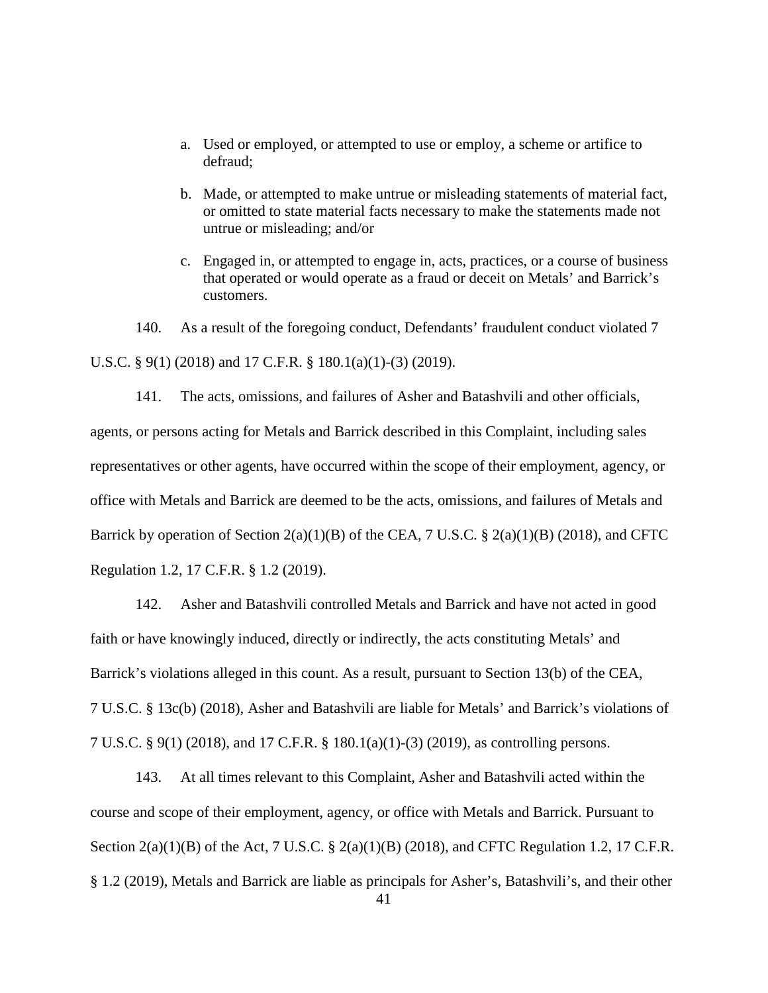- a. Used or employed, or attempted to use or employ, a scheme or artifice to defraud;
- b. Made, or attempted to make untrue or misleading statements of material fact, or omitted to state material facts necessary to make the statements made not untrue or misleading; and/or
- c. Engaged in, or attempted to engage in, acts, practices, or a course of business that operated or would operate as a fraud or deceit on Metals' and Barrick's customers.

140. As a result of the foregoing conduct, Defendants' fraudulent conduct violated 7 U.S.C. § 9(1) (2018) and 17 C.F.R. § 180.1(a)(1)-(3) (2019).

141. The acts, omissions, and failures of Asher and Batashvili and other officials, agents, or persons acting for Metals and Barrick described in this Complaint, including sales representatives or other agents, have occurred within the scope of their employment, agency, or office with Metals and Barrick are deemed to be the acts, omissions, and failures of Metals and Barrick by operation of Section  $2(a)(1)(B)$  of the CEA, 7 U.S.C. §  $2(a)(1)(B)$  (2018), and CFTC Regulation 1.2, 17 C.F.R. § 1.2 (2019).

142. Asher and Batashvili controlled Metals and Barrick and have not acted in good faith or have knowingly induced, directly or indirectly, the acts constituting Metals' and Barrick's violations alleged in this count. As a result, pursuant to Section 13(b) of the CEA, 7 U.S.C. § 13c(b) (2018), Asher and Batashvili are liable for Metals' and Barrick's violations of 7 U.S.C. § 9(1) (2018), and 17 C.F.R. § 180.1(a)(1)-(3) (2019), as controlling persons.

143. At all times relevant to this Complaint, Asher and Batashvili acted within the course and scope of their employment, agency, or office with Metals and Barrick. Pursuant to Section 2(a)(1)(B) of the Act, 7 U.S.C. § 2(a)(1)(B) (2018), and CFTC Regulation 1.2, 17 C.F.R. § 1.2 (2019), Metals and Barrick are liable as principals for Asher's, Batashvili's, and their other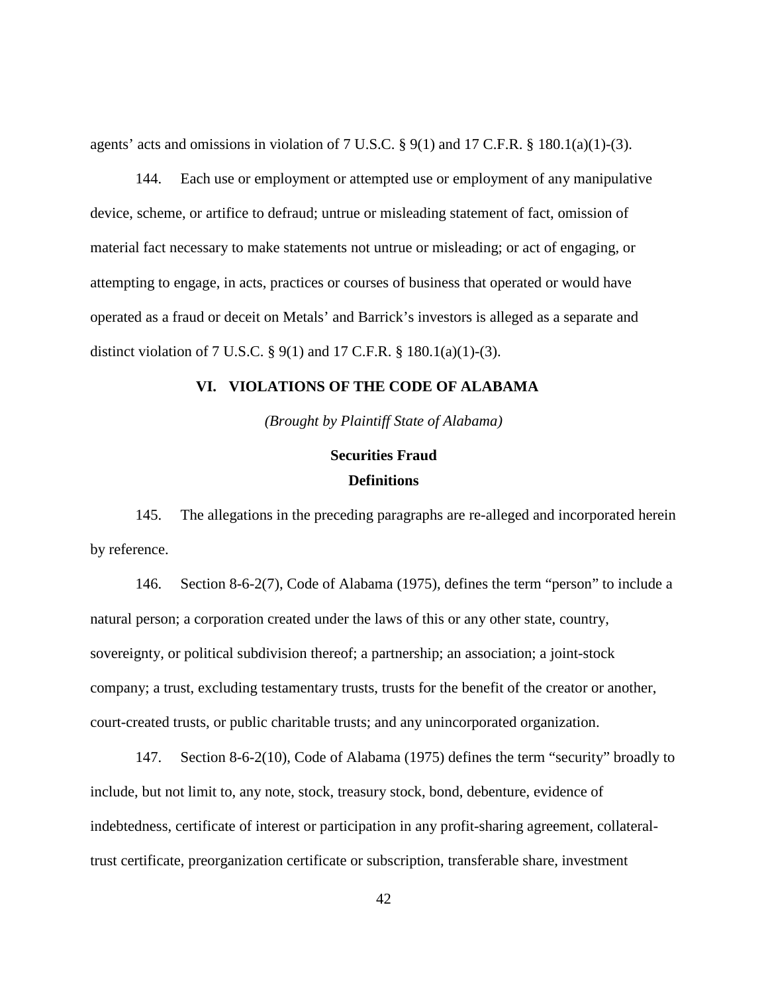agents' acts and omissions in violation of  $7 \text{ U.S.C.}$  §  $9(1)$  and  $17 \text{ C.F.R.}$  §  $180.1(a)(1)-(3)$ .

144. Each use or employment or attempted use or employment of any manipulative device, scheme, or artifice to defraud; untrue or misleading statement of fact, omission of material fact necessary to make statements not untrue or misleading; or act of engaging, or attempting to engage, in acts, practices or courses of business that operated or would have operated as a fraud or deceit on Metals' and Barrick's investors is alleged as a separate and distinct violation of 7 U.S.C. § 9(1) and 17 C.F.R. § 180.1(a)(1)-(3).

### **VI. VIOLATIONS OF THE CODE OF ALABAMA**

*(Brought by Plaintiff State of Alabama)*

# **Securities Fraud Definitions**

145. The allegations in the preceding paragraphs are re-alleged and incorporated herein by reference.

146. Section 8-6-2(7), Code of Alabama (1975), defines the term "person" to include a natural person; a corporation created under the laws of this or any other state, country, sovereignty, or political subdivision thereof; a partnership; an association; a joint-stock company; a trust, excluding testamentary trusts, trusts for the benefit of the creator or another, court-created trusts, or public charitable trusts; and any unincorporated organization.

147. Section 8-6-2(10), Code of Alabama (1975) defines the term "security" broadly to include, but not limit to, any note, stock, treasury stock, bond, debenture, evidence of indebtedness, certificate of interest or participation in any profit-sharing agreement, collateraltrust certificate, preorganization certificate or subscription, transferable share, investment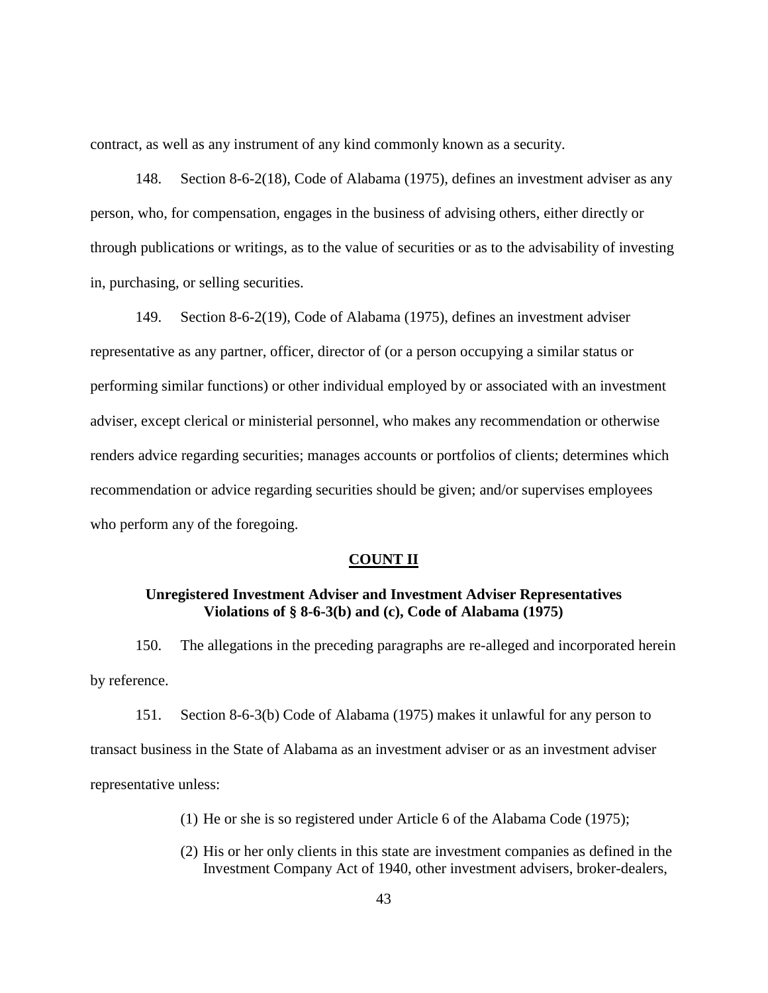contract, as well as any instrument of any kind commonly known as a security.

148. Section 8-6-2(18), Code of Alabama (1975), defines an investment adviser as any person, who, for compensation, engages in the business of advising others, either directly or through publications or writings, as to the value of securities or as to the advisability of investing in, purchasing, or selling securities.

149. Section 8-6-2(19), Code of Alabama (1975), defines an investment adviser representative as any partner, officer, director of (or a person occupying a similar status or performing similar functions) or other individual employed by or associated with an investment adviser, except clerical or ministerial personnel, who makes any recommendation or otherwise renders advice regarding securities; manages accounts or portfolios of clients; determines which recommendation or advice regarding securities should be given; and/or supervises employees who perform any of the foregoing.

#### **COUNT II**

# **Unregistered Investment Adviser and Investment Adviser Representatives Violations of § 8-6-3(b) and (c), Code of Alabama (1975)**

150. The allegations in the preceding paragraphs are re-alleged and incorporated herein by reference.

151. Section 8-6-3(b) Code of Alabama (1975) makes it unlawful for any person to transact business in the State of Alabama as an investment adviser or as an investment adviser representative unless:

- (1) He or she is so registered under Article 6 of the Alabama Code (1975);
- (2) His or her only clients in this state are investment companies as defined in the Investment Company Act of 1940, other investment advisers, broker-dealers,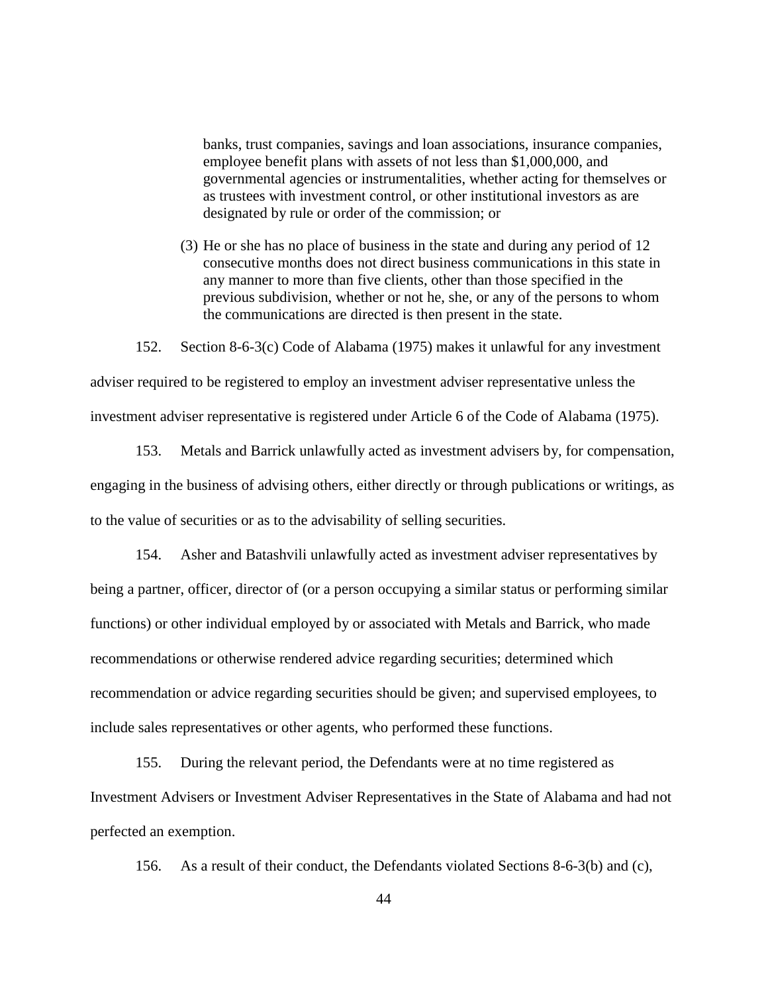banks, trust companies, savings and loan associations, insurance companies, employee benefit plans with assets of not less than \$1,000,000, and governmental agencies or instrumentalities, whether acting for themselves or as trustees with investment control, or other institutional investors as are designated by rule or order of the commission; or

(3) He or she has no place of business in the state and during any period of 12 consecutive months does not direct business communications in this state in any manner to more than five clients, other than those specified in the previous subdivision, whether or not he, she, or any of the persons to whom the communications are directed is then present in the state.

152. Section 8-6-3(c) Code of Alabama (1975) makes it unlawful for any investment adviser required to be registered to employ an investment adviser representative unless the investment adviser representative is registered under Article 6 of the Code of Alabama (1975).

153. Metals and Barrick unlawfully acted as investment advisers by, for compensation, engaging in the business of advising others, either directly or through publications or writings, as to the value of securities or as to the advisability of selling securities.

154. Asher and Batashvili unlawfully acted as investment adviser representatives by being a partner, officer, director of (or a person occupying a similar status or performing similar functions) or other individual employed by or associated with Metals and Barrick, who made recommendations or otherwise rendered advice regarding securities; determined which recommendation or advice regarding securities should be given; and supervised employees, to include sales representatives or other agents, who performed these functions.

155. During the relevant period, the Defendants were at no time registered as Investment Advisers or Investment Adviser Representatives in the State of Alabama and had not perfected an exemption.

156. As a result of their conduct, the Defendants violated Sections 8-6-3(b) and (c),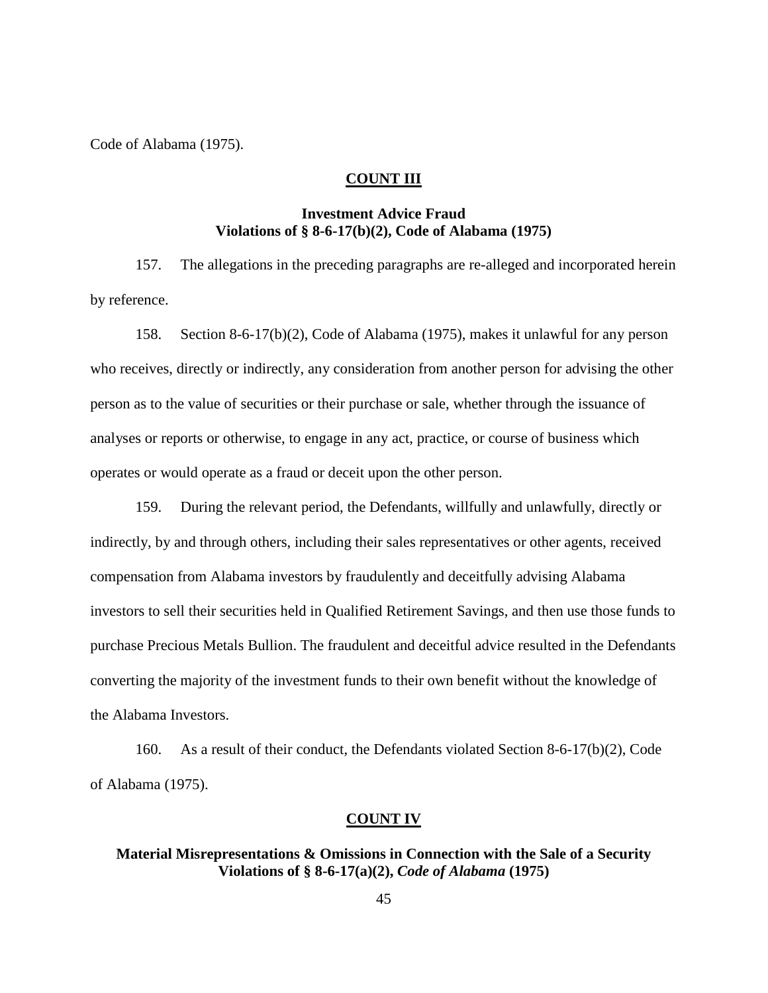Code of Alabama (1975).

### **COUNT III**

# **Investment Advice Fraud Violations of § 8-6-17(b)(2), Code of Alabama (1975)**

157. The allegations in the preceding paragraphs are re-alleged and incorporated herein by reference.

158. Section 8-6-17(b)(2), Code of Alabama (1975), makes it unlawful for any person who receives, directly or indirectly, any consideration from another person for advising the other person as to the value of securities or their purchase or sale, whether through the issuance of analyses or reports or otherwise, to engage in any act, practice, or course of business which operates or would operate as a fraud or deceit upon the other person.

159. During the relevant period, the Defendants, willfully and unlawfully, directly or indirectly, by and through others, including their sales representatives or other agents, received compensation from Alabama investors by fraudulently and deceitfully advising Alabama investors to sell their securities held in Qualified Retirement Savings, and then use those funds to purchase Precious Metals Bullion. The fraudulent and deceitful advice resulted in the Defendants converting the majority of the investment funds to their own benefit without the knowledge of the Alabama Investors.

160. As a result of their conduct, the Defendants violated Section 8-6-17(b)(2), Code of Alabama (1975).

#### **COUNT IV**

### **Material Misrepresentations & Omissions in Connection with the Sale of a Security Violations of § 8-6-17(a)(2),** *Code of Alabama* **(1975)**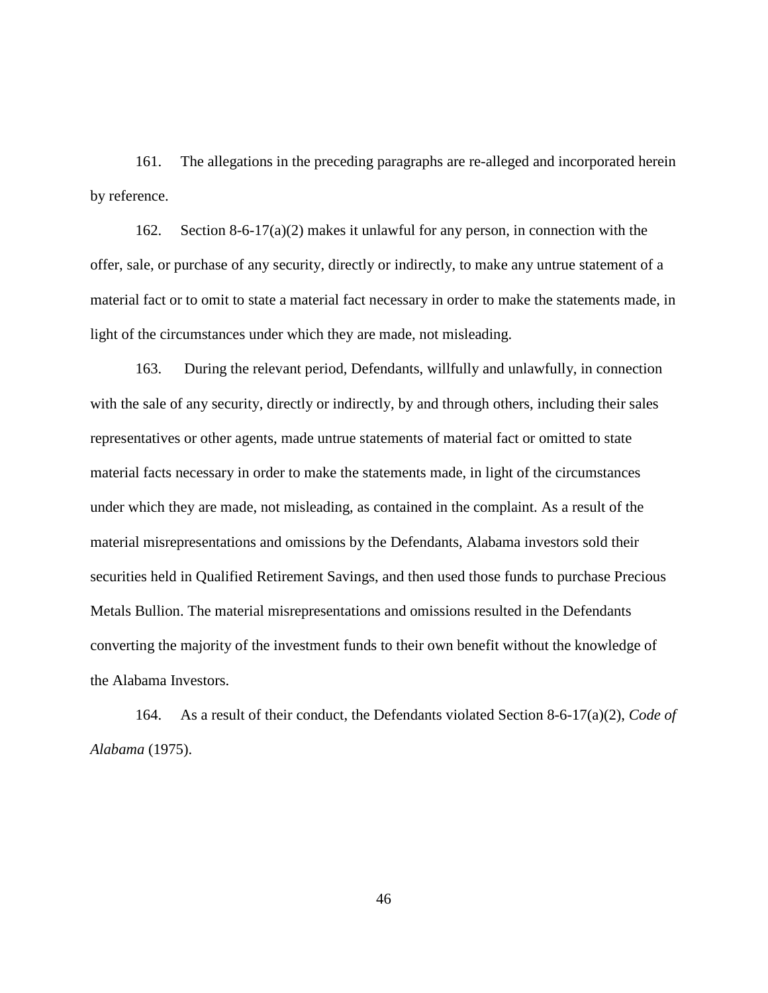161. The allegations in the preceding paragraphs are re-alleged and incorporated herein by reference.

162. Section 8-6-17(a)(2) makes it unlawful for any person, in connection with the offer, sale, or purchase of any security, directly or indirectly, to make any untrue statement of a material fact or to omit to state a material fact necessary in order to make the statements made, in light of the circumstances under which they are made, not misleading.

163. During the relevant period, Defendants, willfully and unlawfully, in connection with the sale of any security, directly or indirectly, by and through others, including their sales representatives or other agents, made untrue statements of material fact or omitted to state material facts necessary in order to make the statements made, in light of the circumstances under which they are made, not misleading, as contained in the complaint. As a result of the material misrepresentations and omissions by the Defendants, Alabama investors sold their securities held in Qualified Retirement Savings, and then used those funds to purchase Precious Metals Bullion. The material misrepresentations and omissions resulted in the Defendants converting the majority of the investment funds to their own benefit without the knowledge of the Alabama Investors.

164. As a result of their conduct, the Defendants violated Section 8-6-17(a)(2), *Code of Alabama* (1975).

46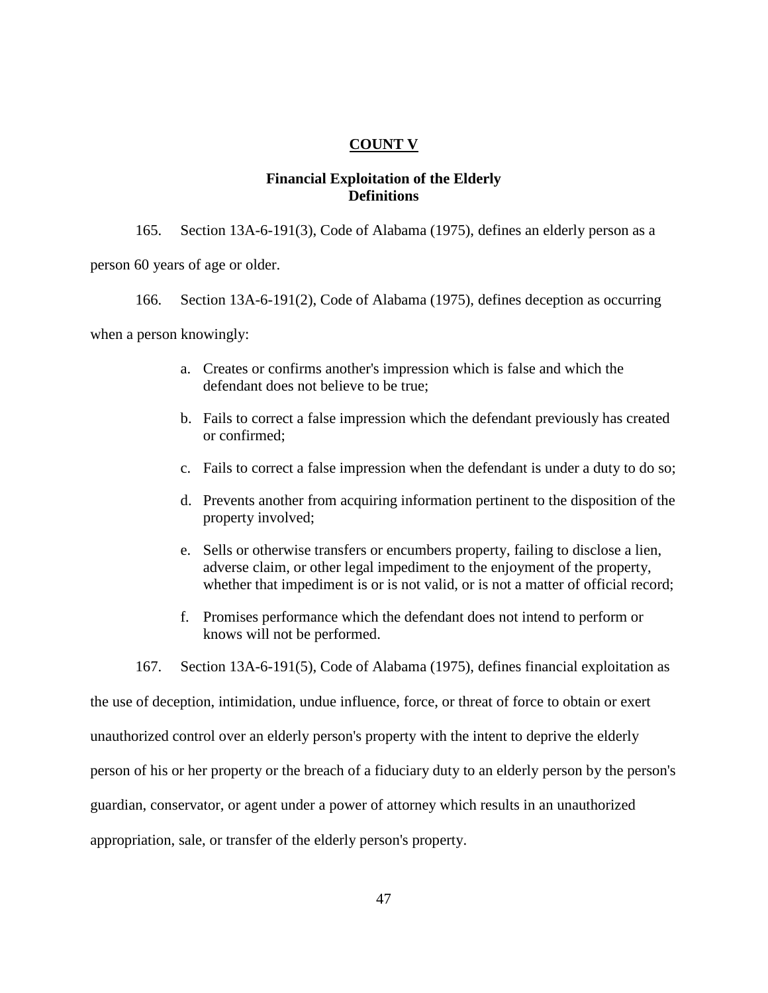### **COUNT V**

### **Financial Exploitation of the Elderly Definitions**

- 165. Section 13A-6-191(3), Code of Alabama (1975), defines an elderly person as a person 60 years of age or older.
	- 166. Section 13A-6-191(2), Code of Alabama (1975), defines deception as occurring

when a person knowingly:

- a. Creates or confirms another's impression which is false and which the defendant does not believe to be true;
- b. Fails to correct a false impression which the defendant previously has created or confirmed;
- c. Fails to correct a false impression when the defendant is under a duty to do so;
- d. Prevents another from acquiring information pertinent to the disposition of the property involved;
- e. Sells or otherwise transfers or encumbers property, failing to disclose a lien, adverse claim, or other legal impediment to the enjoyment of the property, whether that impediment is or is not valid, or is not a matter of official record;
- f. Promises performance which the defendant does not intend to perform or knows will not be performed.

167. Section 13A-6-191(5), Code of Alabama (1975), defines financial exploitation as

the use of deception, intimidation, undue influence, force, or threat of force to obtain or exert unauthorized control over an elderly person's property with the intent to deprive the elderly person of his or her property or the breach of a fiduciary duty to an elderly person by the person's guardian, conservator, or agent under a power of attorney which results in an unauthorized appropriation, sale, or transfer of the elderly person's property.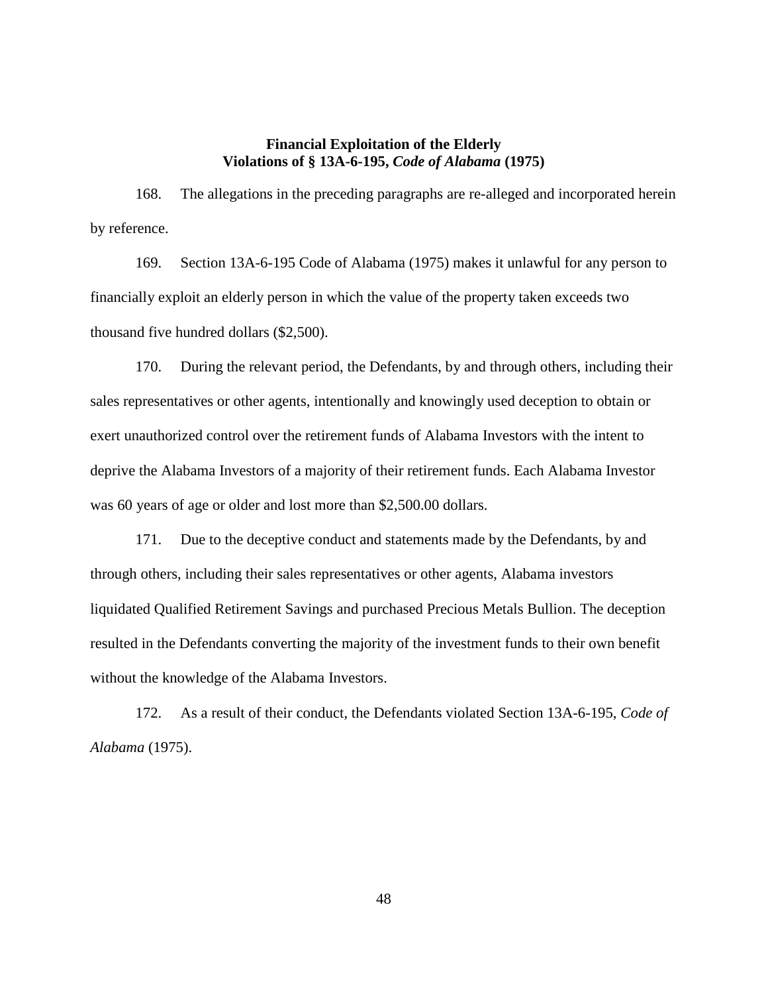### **Financial Exploitation of the Elderly Violations of § 13A-6-195,** *Code of Alabama* **(1975)**

168. The allegations in the preceding paragraphs are re-alleged and incorporated herein by reference.

169. Section 13A-6-195 Code of Alabama (1975) makes it unlawful for any person to financially exploit an elderly person in which the value of the property taken exceeds two thousand five hundred dollars (\$2,500).

170. During the relevant period, the Defendants, by and through others, including their sales representatives or other agents, intentionally and knowingly used deception to obtain or exert unauthorized control over the retirement funds of Alabama Investors with the intent to deprive the Alabama Investors of a majority of their retirement funds. Each Alabama Investor was 60 years of age or older and lost more than \$2,500.00 dollars.

171. Due to the deceptive conduct and statements made by the Defendants, by and through others, including their sales representatives or other agents, Alabama investors liquidated Qualified Retirement Savings and purchased Precious Metals Bullion. The deception resulted in the Defendants converting the majority of the investment funds to their own benefit without the knowledge of the Alabama Investors.

172. As a result of their conduct, the Defendants violated Section 13A-6-195, *Code of Alabama* (1975).

48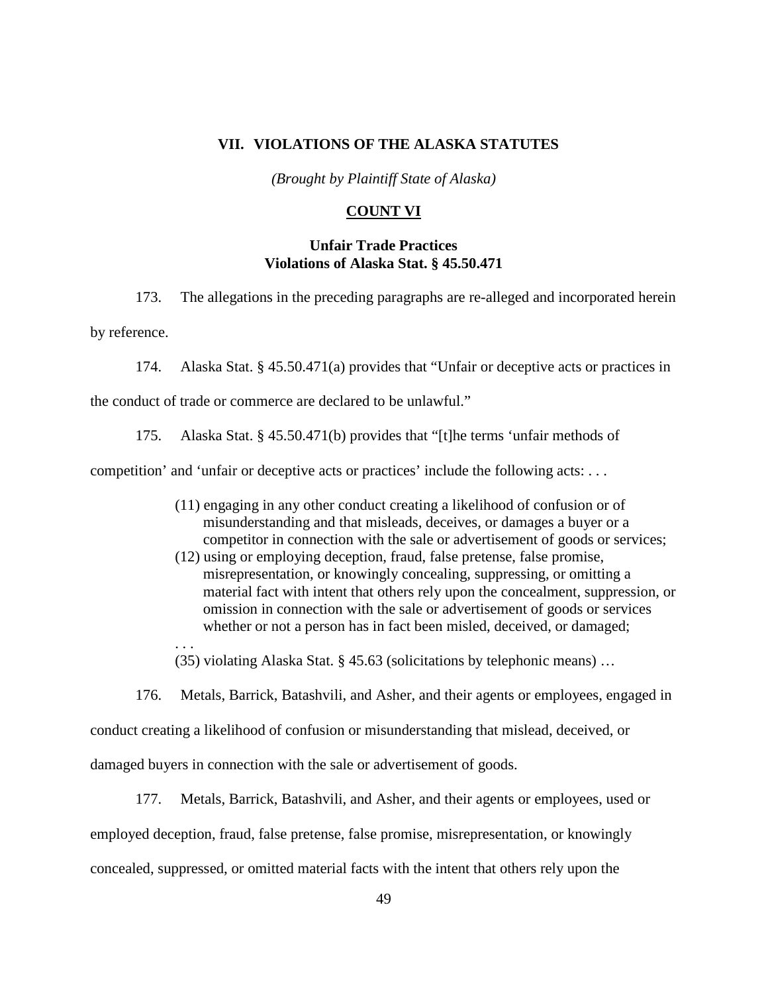#### **VII. VIOLATIONS OF THE ALASKA STATUTES**

*(Brought by Plaintiff State of Alaska)*

### **COUNT VI**

### **Unfair Trade Practices Violations of Alaska Stat. § 45.50.471**

173. The allegations in the preceding paragraphs are re-alleged and incorporated herein

by reference.

. . .

174. Alaska Stat. § 45.50.471(a) provides that "Unfair or deceptive acts or practices in

the conduct of trade or commerce are declared to be unlawful."

175. Alaska Stat. § 45.50.471(b) provides that "[t]he terms 'unfair methods of

competition' and 'unfair or deceptive acts or practices' include the following acts: . . .

- (11) engaging in any other conduct creating a likelihood of confusion or of misunderstanding and that misleads, deceives, or damages a buyer or a competitor in connection with the sale or advertisement of goods or services;
- (12) using or employing deception, fraud, false pretense, false promise, misrepresentation, or knowingly concealing, suppressing, or omitting a material fact with intent that others rely upon the concealment, suppression, or omission in connection with the sale or advertisement of goods or services whether or not a person has in fact been misled, deceived, or damaged;

(35) violating Alaska Stat. § 45.63 (solicitations by telephonic means) …

176. Metals, Barrick, Batashvili, and Asher, and their agents or employees, engaged in conduct creating a likelihood of confusion or misunderstanding that mislead, deceived, or damaged buyers in connection with the sale or advertisement of goods.

177. Metals, Barrick, Batashvili, and Asher, and their agents or employees, used or employed deception, fraud, false pretense, false promise, misrepresentation, or knowingly concealed, suppressed, or omitted material facts with the intent that others rely upon the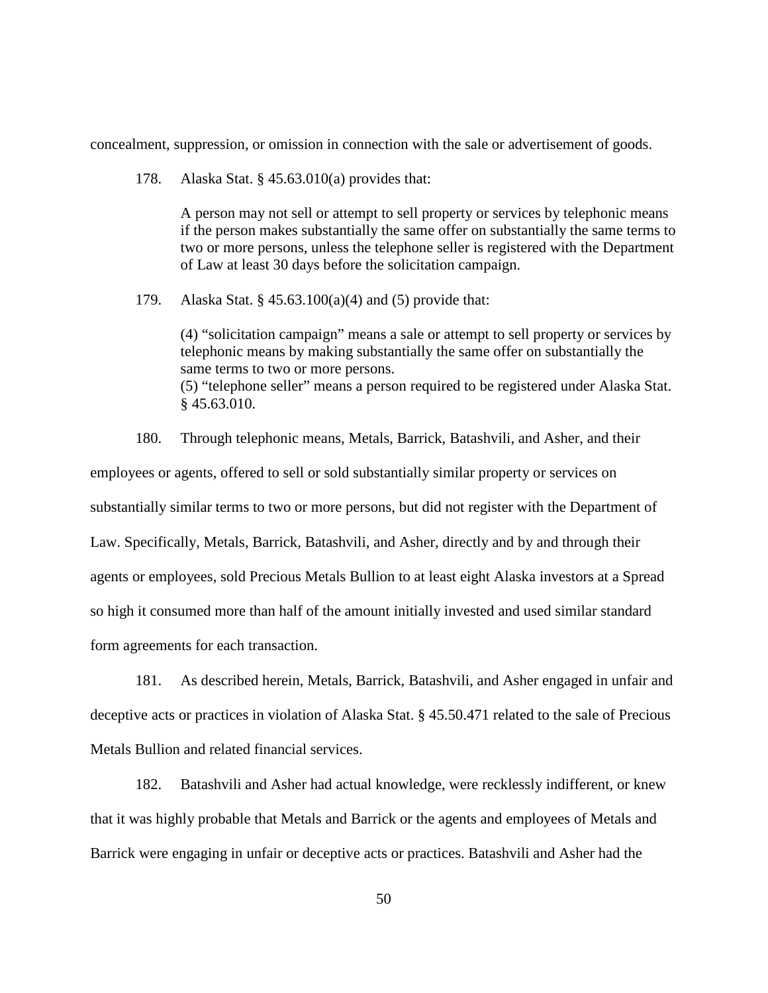concealment, suppression, or omission in connection with the sale or advertisement of goods.

178. Alaska Stat. § 45.63.010(a) provides that:

A person may not sell or attempt to sell property or services by telephonic means if the person makes substantially the same offer on substantially the same terms to two or more persons, unless the telephone seller is registered with the Department of Law at least 30 days before the solicitation campaign.

179. Alaska Stat. § 45.63.100(a)(4) and (5) provide that:

(4) "solicitation campaign" means a sale or attempt to sell property or services by telephonic means by making substantially the same offer on substantially the same terms to two or more persons. (5) "telephone seller" means a person required to be registered under Alaska Stat. § 45.63.010.

180. Through telephonic means, Metals, Barrick, Batashvili, and Asher, and their employees or agents, offered to sell or sold substantially similar property or services on substantially similar terms to two or more persons, but did not register with the Department of Law. Specifically, Metals, Barrick, Batashvili, and Asher, directly and by and through their agents or employees, sold Precious Metals Bullion to at least eight Alaska investors at a Spread so high it consumed more than half of the amount initially invested and used similar standard form agreements for each transaction.

181. As described herein, Metals, Barrick, Batashvili, and Asher engaged in unfair and deceptive acts or practices in violation of Alaska Stat. § 45.50.471 related to the sale of Precious Metals Bullion and related financial services.

182. Batashvili and Asher had actual knowledge, were recklessly indifferent, or knew that it was highly probable that Metals and Barrick or the agents and employees of Metals and Barrick were engaging in unfair or deceptive acts or practices. Batashvili and Asher had the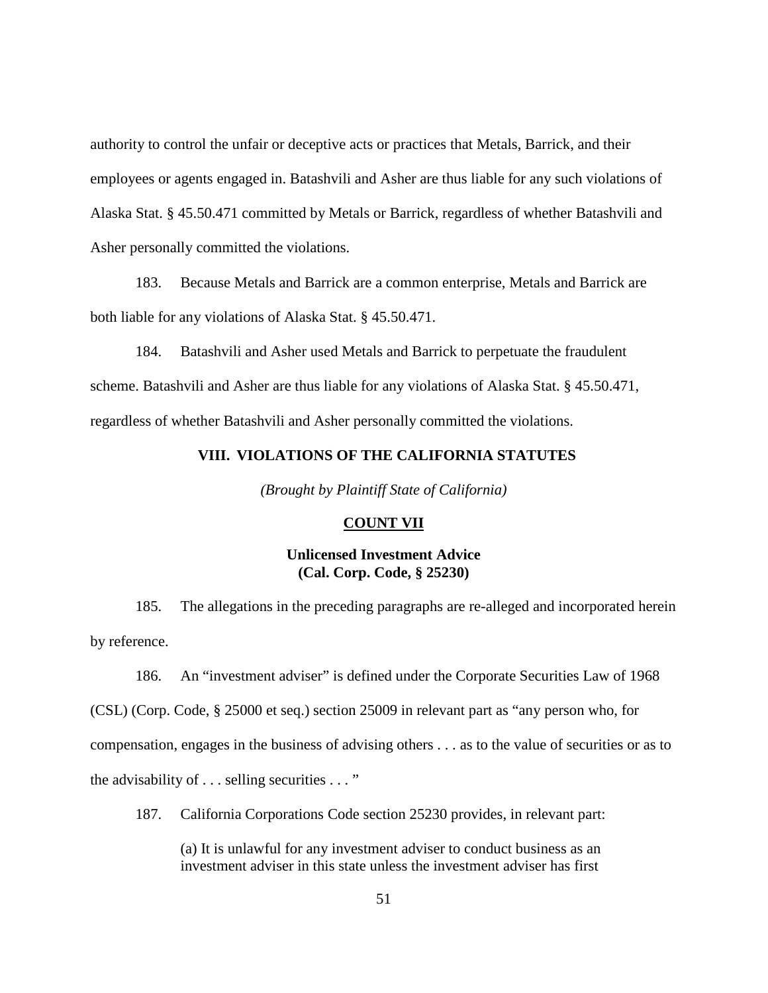authority to control the unfair or deceptive acts or practices that Metals, Barrick, and their employees or agents engaged in. Batashvili and Asher are thus liable for any such violations of Alaska Stat. § 45.50.471 committed by Metals or Barrick, regardless of whether Batashvili and Asher personally committed the violations.

183. Because Metals and Barrick are a common enterprise, Metals and Barrick are both liable for any violations of Alaska Stat. § 45.50.471.

184. Batashvili and Asher used Metals and Barrick to perpetuate the fraudulent scheme. Batashvili and Asher are thus liable for any violations of Alaska Stat. § 45.50.471, regardless of whether Batashvili and Asher personally committed the violations.

# **VIII. VIOLATIONS OF THE CALIFORNIA STATUTES**

*(Brought by Plaintiff State of California)*

#### **COUNT VII**

### **Unlicensed Investment Advice (Cal. Corp. Code, § 25230)**

185. The allegations in the preceding paragraphs are re-alleged and incorporated herein by reference.

186. An "investment adviser" is defined under the Corporate Securities Law of 1968 (CSL) (Corp. Code, § 25000 et seq.) section 25009 in relevant part as "any person who, for compensation, engages in the business of advising others . . . as to the value of securities or as to the advisability of . . . selling securities . . . "

187. California Corporations Code section 25230 provides, in relevant part:

(a) It is unlawful for any investment adviser to conduct business as an investment adviser in this state unless the investment adviser has first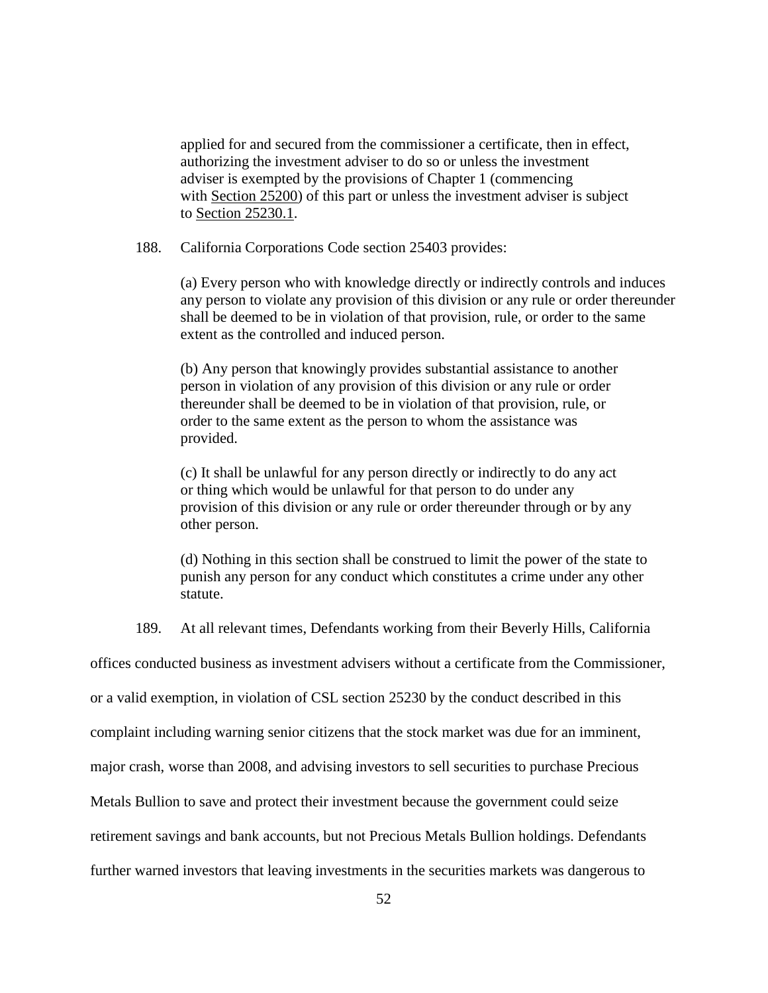applied for and secured from the commissioner a certificate, then in effect, authorizing the investment adviser to do so or unless the investment adviser is exempted by the provisions of Chapter 1 (commencing with [Section 25200\)](https://1.next.westlaw.com/Link/Document/FullText?findType=L&pubNum=1000204&cite=CACRS25200&originatingDoc=N62AFC77082B811D8BE40B2081C49D94B&refType=LQ&originationContext=document&transitionType=DocumentItem&contextData=(sc.UserEnteredCitation)) of this part or unless the investment adviser is subject to [Section 25230.1.](https://1.next.westlaw.com/Link/Document/FullText?findType=L&pubNum=1000204&cite=CACRS25230.1&originatingDoc=N62AFC77082B811D8BE40B2081C49D94B&refType=LQ&originationContext=document&transitionType=DocumentItem&contextData=(sc.UserEnteredCitation))

188. California Corporations Code section 25403 provides:

(a) Every person who with knowledge directly or indirectly controls and induces any person to violate any provision of this division or any rule or order thereunder shall be deemed to be in violation of that provision, rule, or order to the same extent as the controlled and induced person.

(b) Any person that knowingly provides substantial assistance to another person in violation of any provision of this division or any rule or order thereunder shall be deemed to be in violation of that provision, rule, or order to the same extent as the person to whom the assistance was provided.

(c) It shall be unlawful for any person directly or indirectly to do any act or thing which would be unlawful for that person to do under any provision of this division or any rule or order thereunder through or by any other person.

(d) Nothing in this section shall be construed to limit the power of the state to punish any person for any conduct which constitutes a crime under any other statute.

189. At all relevant times, Defendants working from their Beverly Hills, California

offices conducted business as investment advisers without a certificate from the Commissioner,

or a valid exemption, in violation of CSL section 25230 by the conduct described in this

complaint including warning senior citizens that the stock market was due for an imminent,

major crash, worse than 2008, and advising investors to sell securities to purchase Precious

Metals Bullion to save and protect their investment because the government could seize

retirement savings and bank accounts, but not Precious Metals Bullion holdings. Defendants

further warned investors that leaving investments in the securities markets was dangerous to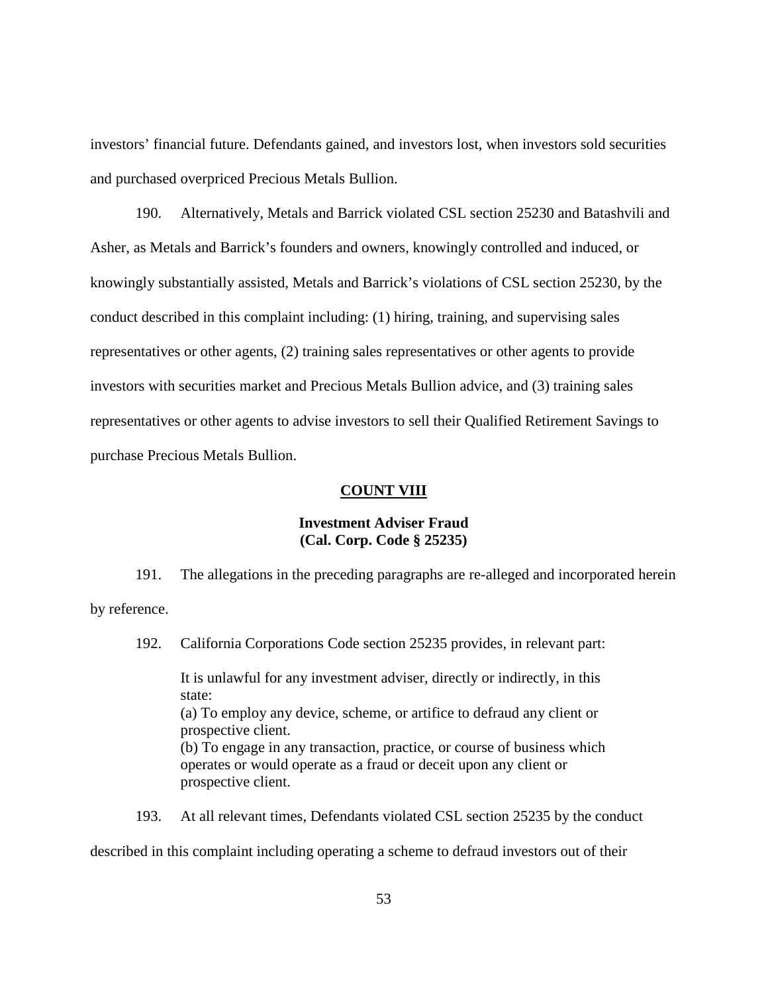investors' financial future. Defendants gained, and investors lost, when investors sold securities and purchased overpriced Precious Metals Bullion.

190. Alternatively, Metals and Barrick violated CSL section 25230 and Batashvili and Asher, as Metals and Barrick's founders and owners, knowingly controlled and induced, or knowingly substantially assisted, Metals and Barrick's violations of CSL section 25230, by the conduct described in this complaint including: (1) hiring, training, and supervising sales representatives or other agents, (2) training sales representatives or other agents to provide investors with securities market and Precious Metals Bullion advice, and (3) training sales representatives or other agents to advise investors to sell their Qualified Retirement Savings to purchase Precious Metals Bullion.

### **COUNT VIII**

### **Investment Adviser Fraud (Cal. Corp. Code § 25235)**

191. The allegations in the preceding paragraphs are re-alleged and incorporated herein by reference.

192. California Corporations Code section 25235 provides, in relevant part:

It is unlawful for any investment adviser, directly or indirectly, in this state: (a) To employ any device, scheme, or artifice to defraud any client or prospective client. (b) To engage in any transaction, practice, or course of business which operates or would operate as a fraud or deceit upon any client or prospective client.

193. At all relevant times, Defendants violated CSL section 25235 by the conduct

described in this complaint including operating a scheme to defraud investors out of their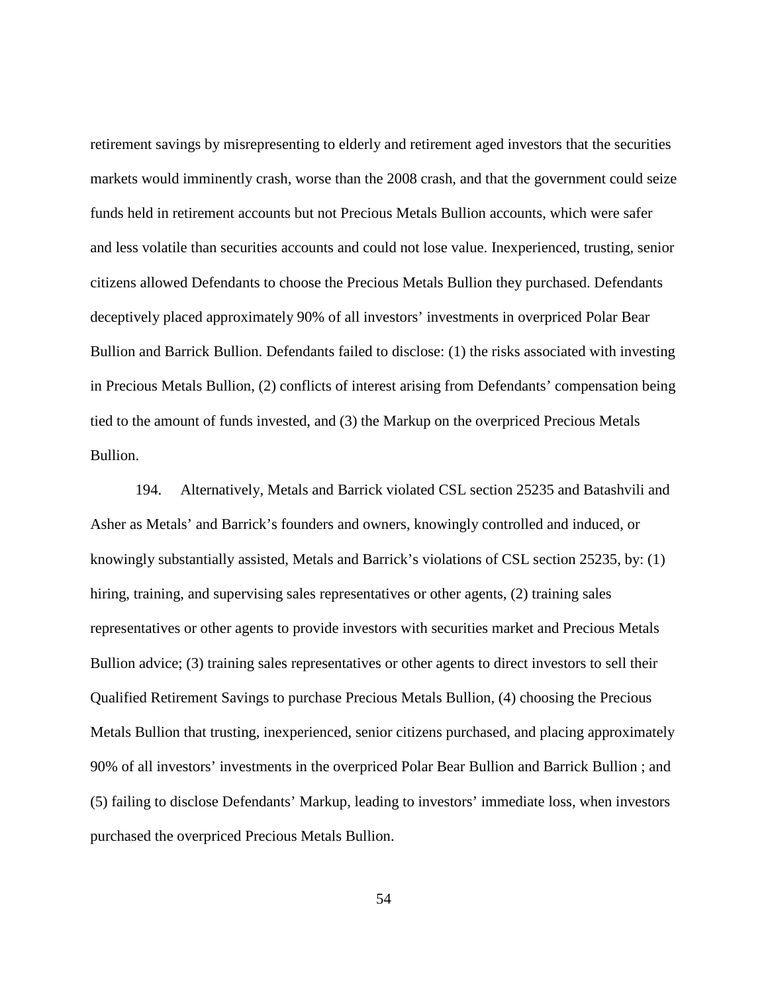retirement savings by misrepresenting to elderly and retirement aged investors that the securities markets would imminently crash, worse than the 2008 crash, and that the government could seize funds held in retirement accounts but not Precious Metals Bullion accounts, which were safer and less volatile than securities accounts and could not lose value. Inexperienced, trusting, senior citizens allowed Defendants to choose the Precious Metals Bullion they purchased. Defendants deceptively placed approximately 90% of all investors' investments in overpriced Polar Bear Bullion and Barrick Bullion. Defendants failed to disclose: (1) the risks associated with investing in Precious Metals Bullion, (2) conflicts of interest arising from Defendants' compensation being tied to the amount of funds invested, and (3) the Markup on the overpriced Precious Metals Bullion.

194. Alternatively, Metals and Barrick violated CSL section 25235 and Batashvili and Asher as Metals' and Barrick's founders and owners, knowingly controlled and induced, or knowingly substantially assisted, Metals and Barrick's violations of CSL section 25235, by: (1) hiring, training, and supervising sales representatives or other agents, (2) training sales representatives or other agents to provide investors with securities market and Precious Metals Bullion advice; (3) training sales representatives or other agents to direct investors to sell their Qualified Retirement Savings to purchase Precious Metals Bullion, (4) choosing the Precious Metals Bullion that trusting, inexperienced, senior citizens purchased, and placing approximately 90% of all investors' investments in the overpriced Polar Bear Bullion and Barrick Bullion ; and (5) failing to disclose Defendants' Markup, leading to investors' immediate loss, when investors purchased the overpriced Precious Metals Bullion.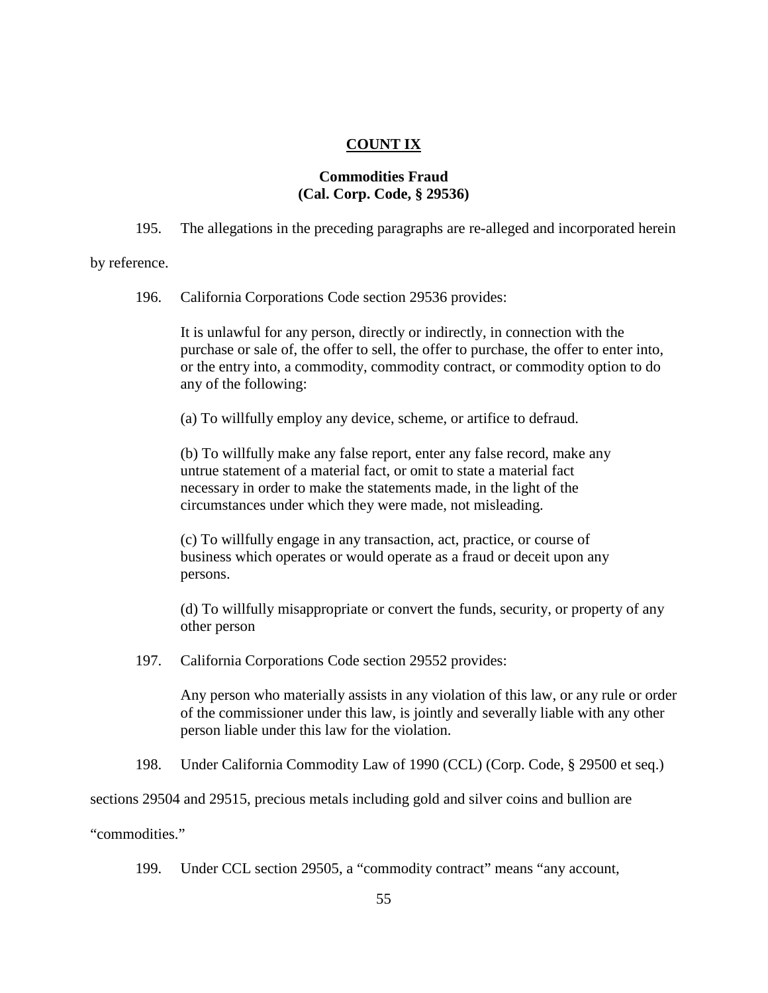### **COUNT IX**

# **Commodities Fraud (Cal. Corp. Code, § 29536)**

195. The allegations in the preceding paragraphs are re-alleged and incorporated herein

by reference.

196. California Corporations Code section 29536 provides:

It is unlawful for any person, directly or indirectly, in connection with the purchase or sale of, the offer to sell, the offer to purchase, the offer to enter into, or the entry into, a commodity, commodity contract, or commodity option to do any of the following:

(a) To willfully employ any device, scheme, or artifice to defraud.

(b) To willfully make any false report, enter any false record, make any untrue statement of a material fact, or omit to state a material fact necessary in order to make the statements made, in the light of the circumstances under which they were made, not misleading.

(c) To willfully engage in any transaction, act, practice, or course of business which operates or would operate as a fraud or deceit upon any persons.

(d) To willfully misappropriate or convert the funds, security, or property of any other person

197. California Corporations Code section 29552 provides:

Any person who materially assists in any violation of this law, or any rule or order of the commissioner under this law, is jointly and severally liable with any other person liable under this law for the violation.

198. Under California Commodity Law of 1990 (CCL) (Corp. Code, § 29500 et seq.)

sections 29504 and 29515, precious metals including gold and silver coins and bullion are

"commodities."

199. Under CCL section 29505, a "commodity contract" means "any account,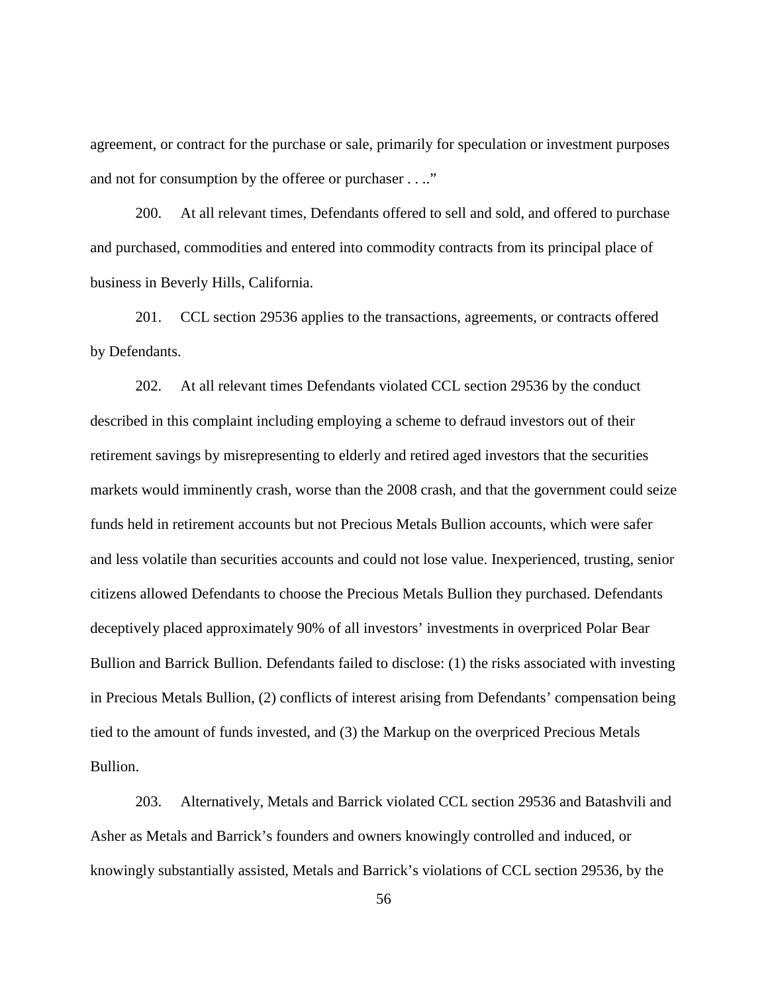agreement, or contract for the purchase or sale, primarily for speculation or investment purposes and not for consumption by the offeree or purchaser . . .."

200. At all relevant times, Defendants offered to sell and sold, and offered to purchase and purchased, commodities and entered into commodity contracts from its principal place of business in Beverly Hills, California.

201. CCL section 29536 applies to the transactions, agreements, or contracts offered by Defendants.

202. At all relevant times Defendants violated CCL section 29536 by the conduct described in this complaint including employing a scheme to defraud investors out of their retirement savings by misrepresenting to elderly and retired aged investors that the securities markets would imminently crash, worse than the 2008 crash, and that the government could seize funds held in retirement accounts but not Precious Metals Bullion accounts, which were safer and less volatile than securities accounts and could not lose value. Inexperienced, trusting, senior citizens allowed Defendants to choose the Precious Metals Bullion they purchased. Defendants deceptively placed approximately 90% of all investors' investments in overpriced Polar Bear Bullion and Barrick Bullion. Defendants failed to disclose: (1) the risks associated with investing in Precious Metals Bullion, (2) conflicts of interest arising from Defendants' compensation being tied to the amount of funds invested, and (3) the Markup on the overpriced Precious Metals Bullion.

203. Alternatively, Metals and Barrick violated CCL section 29536 and Batashvili and Asher as Metals and Barrick's founders and owners knowingly controlled and induced, or knowingly substantially assisted, Metals and Barrick's violations of CCL section 29536, by the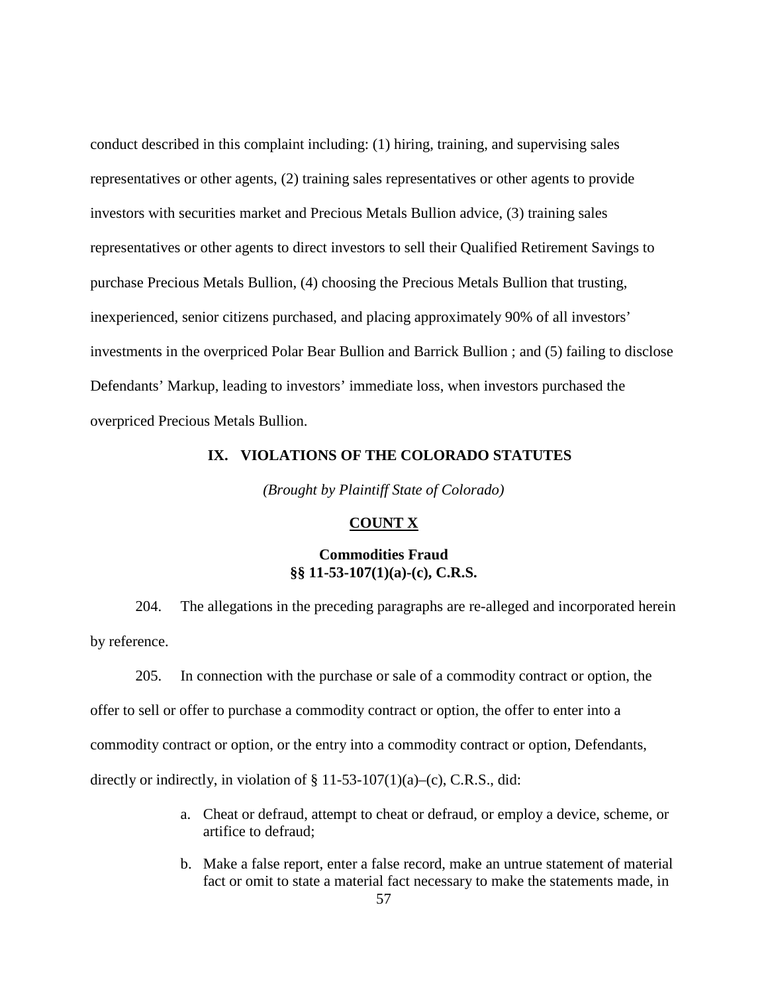conduct described in this complaint including: (1) hiring, training, and supervising sales representatives or other agents, (2) training sales representatives or other agents to provide investors with securities market and Precious Metals Bullion advice, (3) training sales representatives or other agents to direct investors to sell their Qualified Retirement Savings to purchase Precious Metals Bullion, (4) choosing the Precious Metals Bullion that trusting, inexperienced, senior citizens purchased, and placing approximately 90% of all investors' investments in the overpriced Polar Bear Bullion and Barrick Bullion ; and (5) failing to disclose Defendants' Markup, leading to investors' immediate loss, when investors purchased the overpriced Precious Metals Bullion.

# **IX. VIOLATIONS OF THE COLORADO STATUTES**

*(Brought by Plaintiff State of Colorado)*

#### **COUNT X**

### **Commodities Fraud §§ 11-53-107(1)(a)-(c), C.R.S.**

204. The allegations in the preceding paragraphs are re-alleged and incorporated herein by reference.

205. In connection with the purchase or sale of a commodity contract or option, the offer to sell or offer to purchase a commodity contract or option, the offer to enter into a commodity contract or option, or the entry into a commodity contract or option, Defendants, directly or indirectly, in violation of  $\S 11-53-107(1)(a)$ –(c), C.R.S., did:

- a. Cheat or defraud, attempt to cheat or defraud, or employ a device, scheme, or artifice to defraud;
- b. Make a false report, enter a false record, make an untrue statement of material fact or omit to state a material fact necessary to make the statements made, in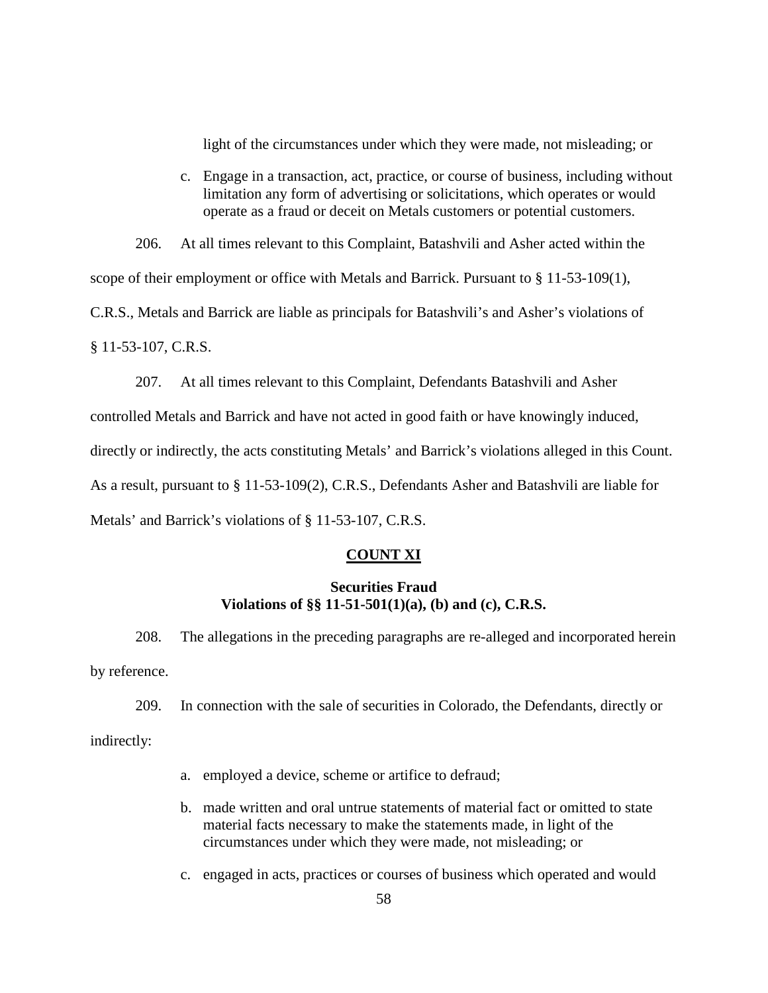light of the circumstances under which they were made, not misleading; or

c. Engage in a transaction, act, practice, or course of business, including without limitation any form of advertising or solicitations, which operates or would operate as a fraud or deceit on Metals customers or potential customers.

206. At all times relevant to this Complaint, Batashvili and Asher acted within the scope of their employment or office with Metals and Barrick. Pursuant to  $\S 11-53-109(1)$ , C.R.S., Metals and Barrick are liable as principals for Batashvili's and Asher's violations of § 11-53-107, C.R.S.

207. At all times relevant to this Complaint, Defendants Batashvili and Asher controlled Metals and Barrick and have not acted in good faith or have knowingly induced, directly or indirectly, the acts constituting Metals' and Barrick's violations alleged in this Count. As a result, pursuant to § 11-53-109(2), C.R.S., Defendants Asher and Batashvili are liable for Metals' and Barrick's violations of § 11-53-107, C.R.S.

### **COUNT XI**

### **Securities Fraud Violations of §§ 11-51-501(1)(a), (b) and (c), C.R.S.**

208. The allegations in the preceding paragraphs are re-alleged and incorporated herein by reference.

209. In connection with the sale of securities in Colorado, the Defendants, directly or

indirectly:

- a. employed a device, scheme or artifice to defraud;
- b. made written and oral untrue statements of material fact or omitted to state material facts necessary to make the statements made, in light of the circumstances under which they were made, not misleading; or
- c. engaged in acts, practices or courses of business which operated and would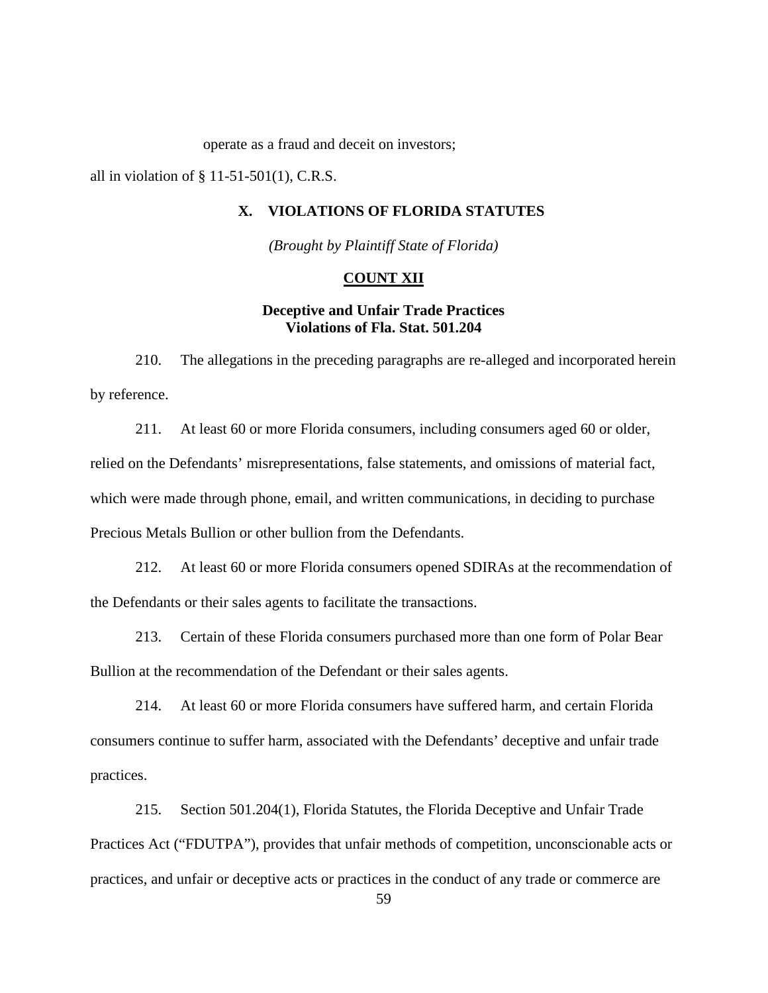operate as a fraud and deceit on investors;

all in violation of  $\S$  11-51-501(1), C.R.S.

### **X. VIOLATIONS OF FLORIDA STATUTES**

*(Brought by Plaintiff State of Florida)*

#### **COUNT XII**

### **Deceptive and Unfair Trade Practices Violations of Fla. Stat. 501.204**

210. The allegations in the preceding paragraphs are re-alleged and incorporated herein by reference.

211. At least 60 or more Florida consumers, including consumers aged 60 or older, relied on the Defendants' misrepresentations, false statements, and omissions of material fact, which were made through phone, email, and written communications, in deciding to purchase Precious Metals Bullion or other bullion from the Defendants.

212. At least 60 or more Florida consumers opened SDIRAs at the recommendation of the Defendants or their sales agents to facilitate the transactions.

213. Certain of these Florida consumers purchased more than one form of Polar Bear Bullion at the recommendation of the Defendant or their sales agents.

214. At least 60 or more Florida consumers have suffered harm, and certain Florida consumers continue to suffer harm, associated with the Defendants' deceptive and unfair trade practices.

215. Section 501.204(1), Florida Statutes, the Florida Deceptive and Unfair Trade Practices Act ("FDUTPA"), provides that unfair methods of competition, unconscionable acts or practices, and unfair or deceptive acts or practices in the conduct of any trade or commerce are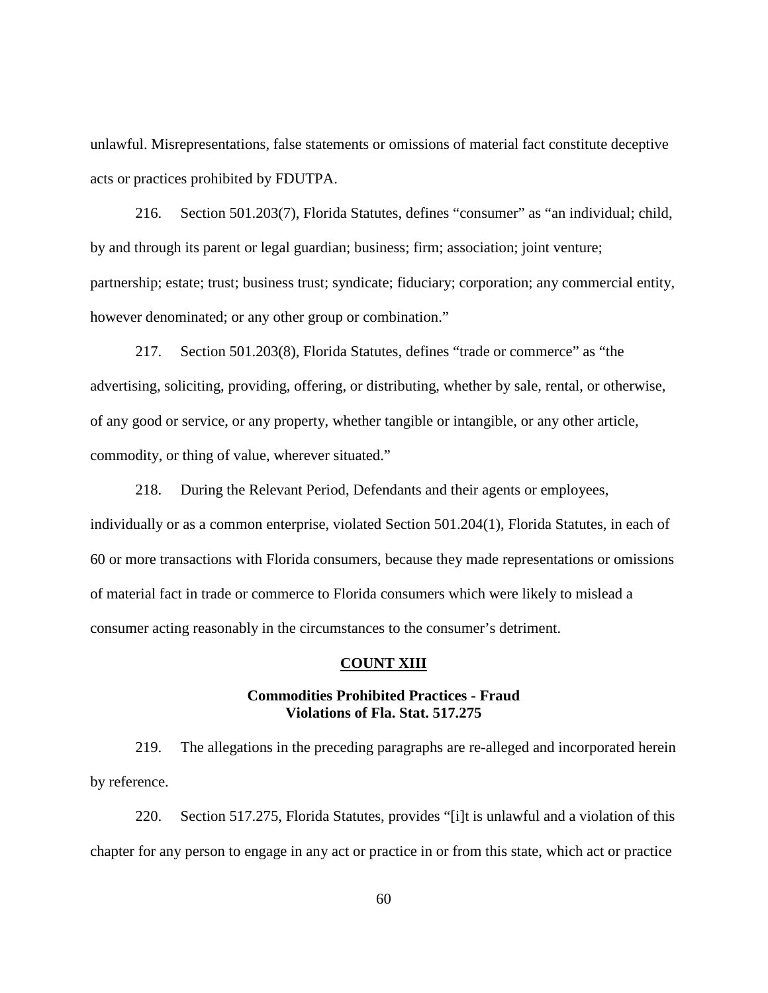unlawful. Misrepresentations, false statements or omissions of material fact constitute deceptive acts or practices prohibited by FDUTPA.

216. Section 501.203(7), Florida Statutes, defines "consumer" as "an individual; child, by and through its parent or legal guardian; business; firm; association; joint venture; partnership; estate; trust; business trust; syndicate; fiduciary; corporation; any commercial entity, however denominated; or any other group or combination."

217. Section 501.203(8), Florida Statutes, defines "trade or commerce" as "the advertising, soliciting, providing, offering, or distributing, whether by sale, rental, or otherwise, of any good or service, or any property, whether tangible or intangible, or any other article, commodity, or thing of value, wherever situated."

218. During the Relevant Period, Defendants and their agents or employees, individually or as a common enterprise, violated Section 501.204(1), Florida Statutes, in each of 60 or more transactions with Florida consumers, because they made representations or omissions of material fact in trade or commerce to Florida consumers which were likely to mislead a consumer acting reasonably in the circumstances to the consumer's detriment.

### **COUNT XIII**

### **Commodities Prohibited Practices - Fraud Violations of Fla. Stat. 517.275**

219. The allegations in the preceding paragraphs are re-alleged and incorporated herein by reference.

220. Section 517.275, Florida Statutes, provides "[i]t is unlawful and a violation of this chapter for any person to engage in any act or practice in or from this state, which act or practice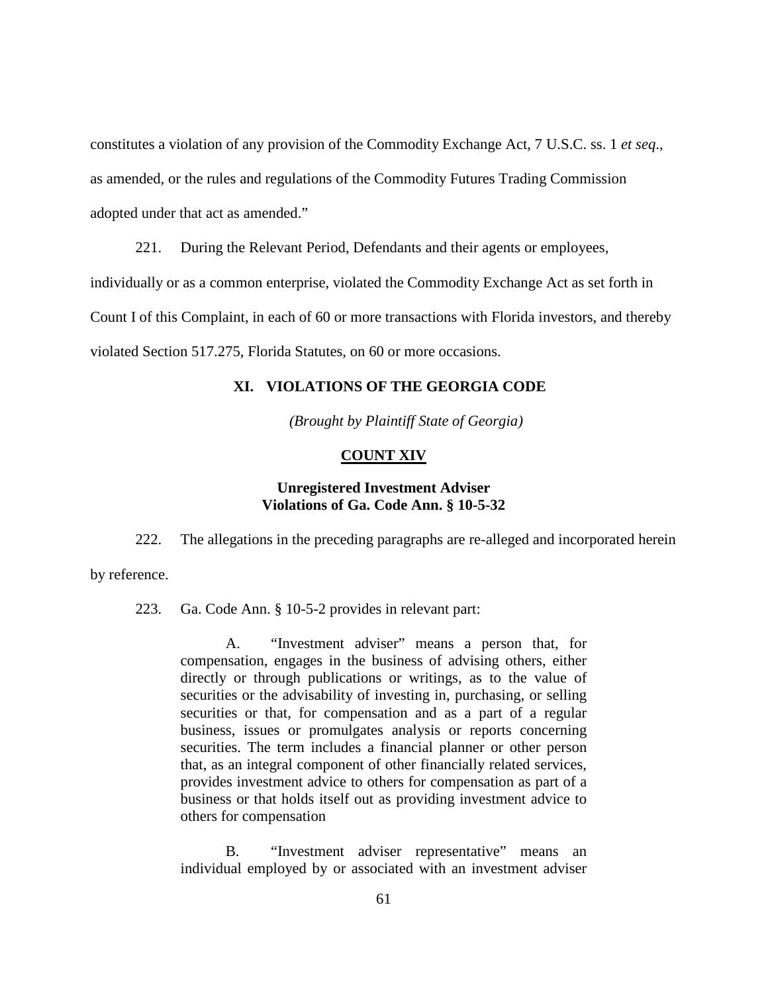constitutes a violation of any provision of the Commodity Exchange Act, 7 U.S.C. ss. 1 *et seq*., as amended, or the rules and regulations of the Commodity Futures Trading Commission adopted under that act as amended."

221. During the Relevant Period, Defendants and their agents or employees, individually or as a common enterprise, violated the Commodity Exchange Act as set forth in Count I of this Complaint, in each of 60 or more transactions with Florida investors, and thereby violated Section 517.275, Florida Statutes, on 60 or more occasions.

### **XI. VIOLATIONS OF THE GEORGIA CODE**

*(Brought by Plaintiff State of Georgia)*

#### **COUNT XIV**

### **Unregistered Investment Adviser Violations of Ga. Code Ann. § 10-5-32**

222. The allegations in the preceding paragraphs are re-alleged and incorporated herein by reference.

223. Ga. Code Ann. § 10-5-2 provides in relevant part:

A. "Investment adviser" means a person that, for compensation, engages in the business of advising others, either directly or through publications or writings, as to the value of securities or the advisability of investing in, purchasing, or selling securities or that, for compensation and as a part of a regular business, issues or promulgates analysis or reports concerning securities. The term includes a financial planner or other person that, as an integral component of other financially related services, provides investment advice to others for compensation as part of a business or that holds itself out as providing investment advice to others for compensation

B. "Investment adviser representative" means an individual employed by or associated with an investment adviser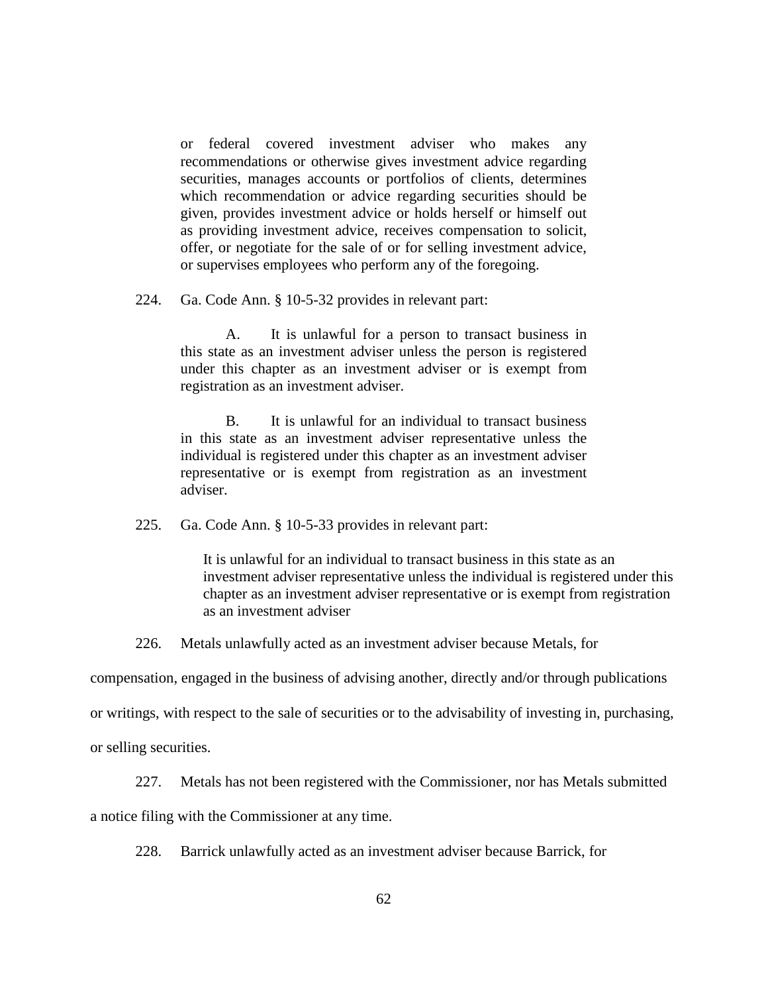or federal covered investment adviser who makes any recommendations or otherwise gives investment advice regarding securities, manages accounts or portfolios of clients, determines which recommendation or advice regarding securities should be given, provides investment advice or holds herself or himself out as providing investment advice, receives compensation to solicit, offer, or negotiate for the sale of or for selling investment advice, or supervises employees who perform any of the foregoing.

224. Ga. Code Ann. § 10-5-32 provides in relevant part:

A. It is unlawful for a person to transact business in this state as an investment adviser unless the person is registered under this chapter as an investment adviser or is exempt from registration as an investment adviser.

B. It is unlawful for an individual to transact business in this state as an investment adviser representative unless the individual is registered under this chapter as an investment adviser representative or is exempt from registration as an investment adviser.

225. Ga. Code Ann. § 10-5-33 provides in relevant part:

It is unlawful for an individual to transact business in this state as an investment adviser representative unless the individual is registered under this chapter as an investment adviser representative or is exempt from registration as an investment adviser

226. Metals unlawfully acted as an investment adviser because Metals, for

compensation, engaged in the business of advising another, directly and/or through publications

or writings, with respect to the sale of securities or to the advisability of investing in, purchasing,

or selling securities.

227. Metals has not been registered with the Commissioner, nor has Metals submitted

a notice filing with the Commissioner at any time.

228. Barrick unlawfully acted as an investment adviser because Barrick, for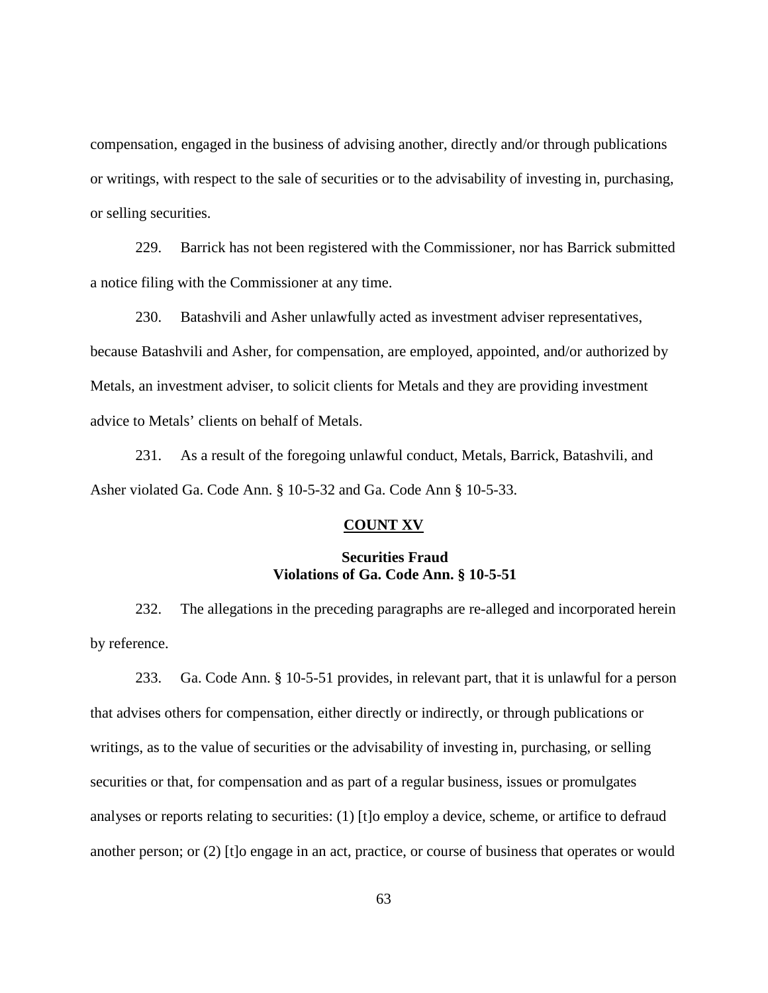compensation, engaged in the business of advising another, directly and/or through publications or writings, with respect to the sale of securities or to the advisability of investing in, purchasing, or selling securities.

229. Barrick has not been registered with the Commissioner, nor has Barrick submitted a notice filing with the Commissioner at any time.

230. Batashvili and Asher unlawfully acted as investment adviser representatives, because Batashvili and Asher, for compensation, are employed, appointed, and/or authorized by Metals, an investment adviser, to solicit clients for Metals and they are providing investment advice to Metals' clients on behalf of Metals.

231. As a result of the foregoing unlawful conduct, Metals, Barrick, Batashvili, and Asher violated Ga. Code Ann. § 10-5-32 and Ga. Code Ann § 10-5-33.

#### **COUNT XV**

### **Securities Fraud Violations of Ga. Code Ann. § 10-5-51**

232. The allegations in the preceding paragraphs are re-alleged and incorporated herein by reference.

233. Ga. Code Ann. § 10-5-51 provides, in relevant part, that it is unlawful for a person that advises others for compensation, either directly or indirectly, or through publications or writings, as to the value of securities or the advisability of investing in, purchasing, or selling securities or that, for compensation and as part of a regular business, issues or promulgates analyses or reports relating to securities: (1) [t]o employ a device, scheme, or artifice to defraud another person; or (2) [t]o engage in an act, practice, or course of business that operates or would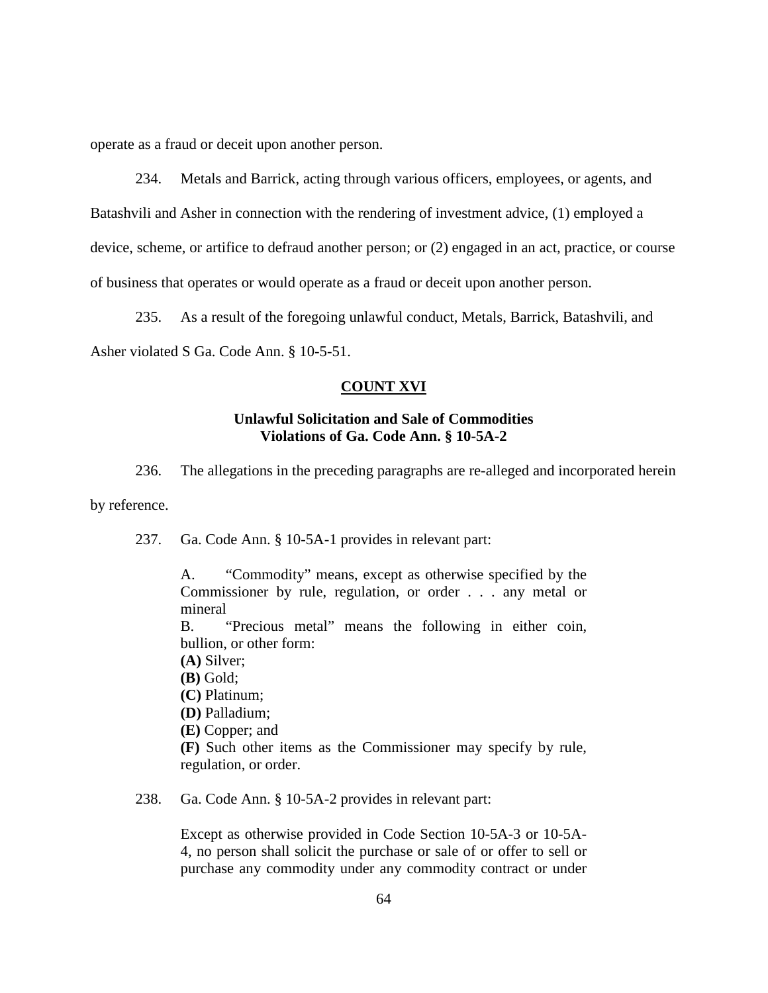operate as a fraud or deceit upon another person.

234. Metals and Barrick, acting through various officers, employees, or agents, and

Batashvili and Asher in connection with the rendering of investment advice, (1) employed a

device, scheme, or artifice to defraud another person; or (2) engaged in an act, practice, or course

of business that operates or would operate as a fraud or deceit upon another person.

235. As a result of the foregoing unlawful conduct, Metals, Barrick, Batashvili, and

Asher violated S Ga. Code Ann. § 10-5-51.

#### **COUNT XVI**

### **Unlawful Solicitation and Sale of Commodities Violations of Ga. Code Ann. § 10-5A-2**

236. The allegations in the preceding paragraphs are re-alleged and incorporated herein

by reference.

237. Ga. Code Ann. § 10-5A-1 provides in relevant part:

A. "Commodity" means, except as otherwise specified by the Commissioner by rule, regulation, or order . . . any metal or mineral B. "Precious metal" means the following in either coin, bullion, or other form: **(A)** Silver; **(B)** Gold; **(C)** Platinum; **(D)** Palladium; **(E)** Copper; and **(F)** Such other items as the Commissioner may specify by rule, regulation, or order.

238. Ga. Code Ann. § 10-5A-2 provides in relevant part:

Except as otherwise provided in Code Section 10-5A-3 or 10-5A-4, no person shall solicit the purchase or sale of or offer to sell or purchase any commodity under any commodity contract or under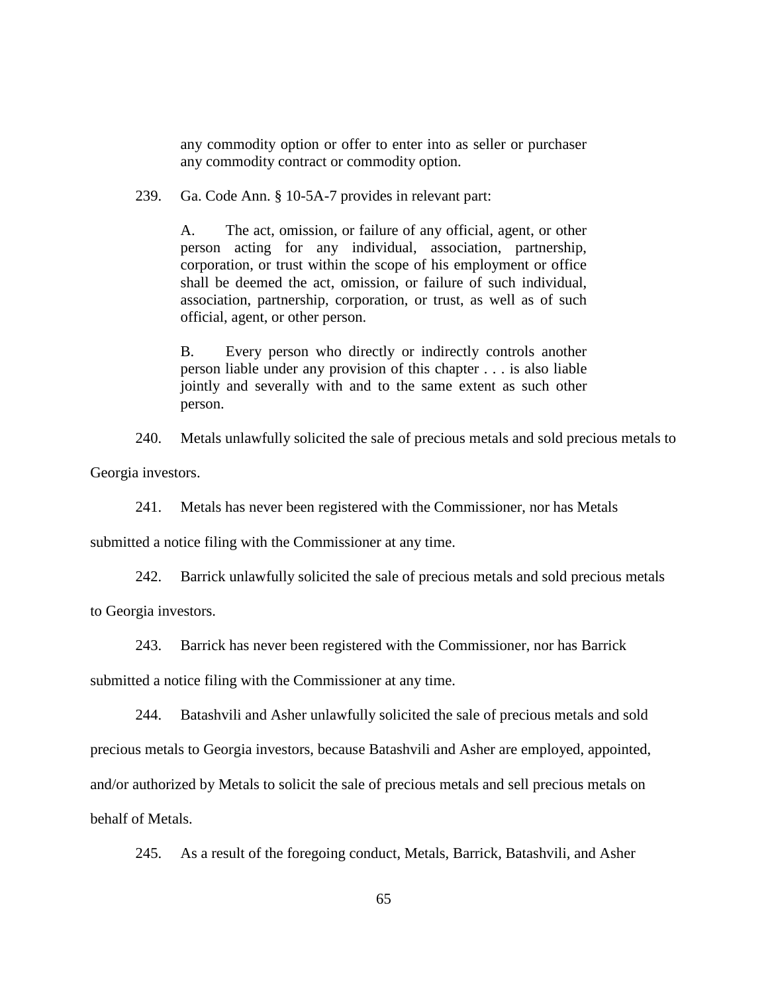any commodity option or offer to enter into as seller or purchaser any commodity contract or commodity option.

239. Ga. Code Ann. § 10-5A-7 provides in relevant part:

A. The act, omission, or failure of any official, agent, or other person acting for any individual, association, partnership, corporation, or trust within the scope of his employment or office shall be deemed the act, omission, or failure of such individual, association, partnership, corporation, or trust, as well as of such official, agent, or other person.

B. Every person who directly or indirectly controls another person liable under any provision of this chapter . . . is also liable jointly and severally with and to the same extent as such other person.

240. Metals unlawfully solicited the sale of precious metals and sold precious metals to

Georgia investors.

241. Metals has never been registered with the Commissioner, nor has Metals

submitted a notice filing with the Commissioner at any time.

242. Barrick unlawfully solicited the sale of precious metals and sold precious metals

to Georgia investors.

243. Barrick has never been registered with the Commissioner, nor has Barrick

submitted a notice filing with the Commissioner at any time.

244. Batashvili and Asher unlawfully solicited the sale of precious metals and sold precious metals to Georgia investors, because Batashvili and Asher are employed, appointed, and/or authorized by Metals to solicit the sale of precious metals and sell precious metals on behalf of Metals.

245. As a result of the foregoing conduct, Metals, Barrick, Batashvili, and Asher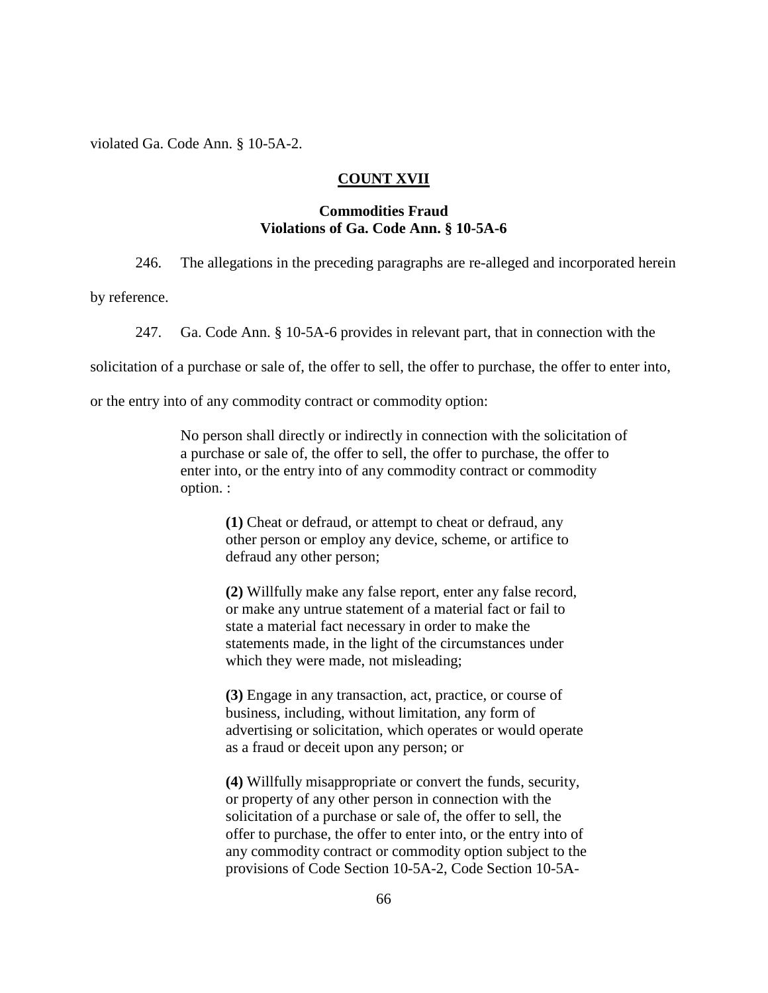violated Ga. Code Ann. § 10-5A-2.

### **COUNT XVII**

#### **Commodities Fraud Violations of Ga. Code Ann. § 10-5A-6**

246. The allegations in the preceding paragraphs are re-alleged and incorporated herein

by reference.

247. Ga. Code Ann. § 10-5A-6 provides in relevant part, that in connection with the

solicitation of a purchase or sale of, the offer to sell, the offer to purchase, the offer to enter into,

or the entry into of any commodity contract or commodity option:

No person shall directly or indirectly in connection with the solicitation of a purchase or sale of, the offer to sell, the offer to purchase, the offer to enter into, or the entry into of any commodity contract or commodity option. :

**(1)** Cheat or defraud, or attempt to cheat or defraud, any other person or employ any device, scheme, or artifice to defraud any other person;

**(2)** Willfully make any false report, enter any false record, or make any untrue statement of a material fact or fail to state a material fact necessary in order to make the statements made, in the light of the circumstances under which they were made, not misleading;

**(3)** Engage in any transaction, act, practice, or course of business, including, without limitation, any form of advertising or solicitation, which operates or would operate as a fraud or deceit upon any person; or

**(4)** Willfully misappropriate or convert the funds, security, or property of any other person in connection with the solicitation of a purchase or sale of, the offer to sell, the offer to purchase, the offer to enter into, or the entry into of any commodity contract or commodity option subject to the provisions of Code Section 10-5A-2, Code Section 10-5A-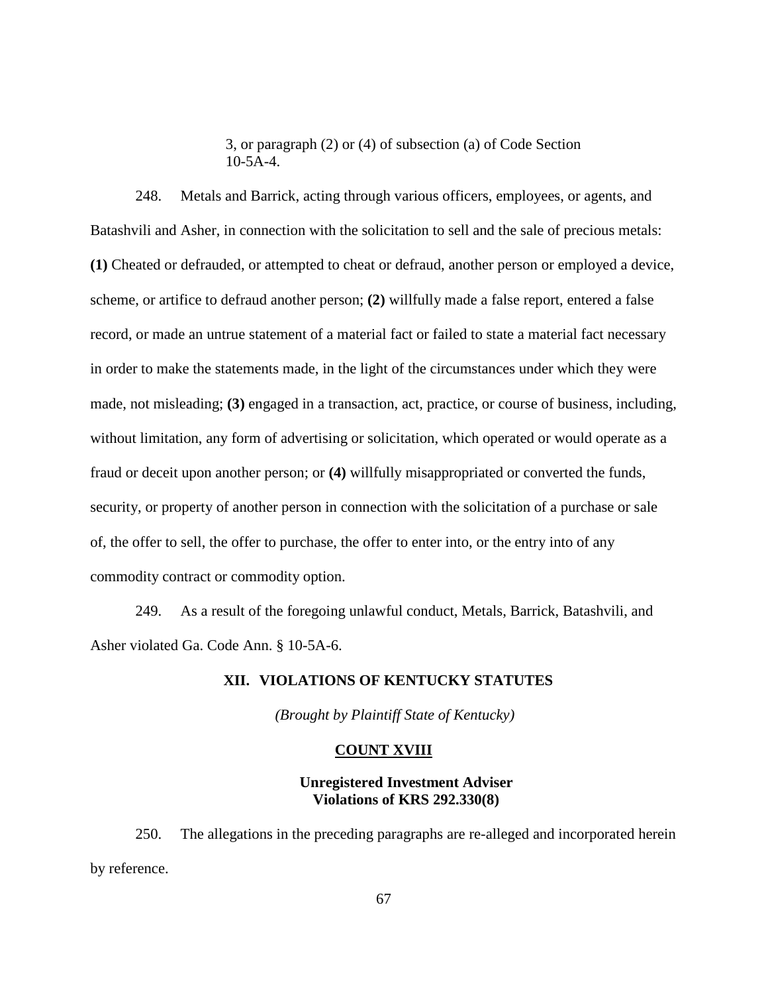3, or paragraph (2) or (4) of subsection (a) of Code Section 10-5A-4.

248. Metals and Barrick, acting through various officers, employees, or agents, and Batashvili and Asher, in connection with the solicitation to sell and the sale of precious metals: **(1)** Cheated or defrauded, or attempted to cheat or defraud, another person or employed a device, scheme, or artifice to defraud another person; **(2)** willfully made a false report, entered a false record, or made an untrue statement of a material fact or failed to state a material fact necessary in order to make the statements made, in the light of the circumstances under which they were made, not misleading; **(3)** engaged in a transaction, act, practice, or course of business, including, without limitation, any form of advertising or solicitation, which operated or would operate as a fraud or deceit upon another person; or **(4)** willfully misappropriated or converted the funds, security, or property of another person in connection with the solicitation of a purchase or sale of, the offer to sell, the offer to purchase, the offer to enter into, or the entry into of any commodity contract or commodity option.

249. As a result of the foregoing unlawful conduct, Metals, Barrick, Batashvili, and Asher violated Ga. Code Ann. § 10-5A-6.

### **XII. VIOLATIONS OF KENTUCKY STATUTES**

*(Brought by Plaintiff State of Kentucky)*

#### **COUNT XVIII**

**Unregistered Investment Adviser Violations of KRS 292.330(8)**

250. The allegations in the preceding paragraphs are re-alleged and incorporated herein by reference.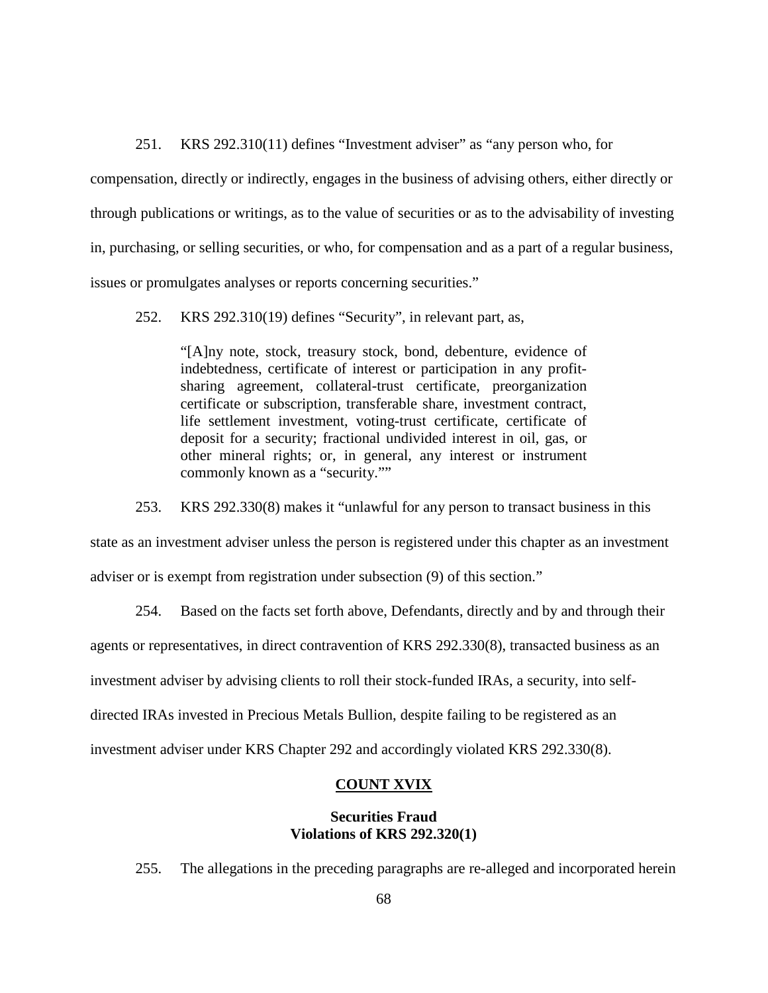251. KRS 292.310(11) defines "Investment adviser" as "any person who, for

compensation, directly or indirectly, engages in the business of advising others, either directly or through publications or writings, as to the value of securities or as to the advisability of investing in, purchasing, or selling securities, or who, for compensation and as a part of a regular business, issues or promulgates analyses or reports concerning securities."

252. KRS 292.310(19) defines "Security", in relevant part, as,

"[A]ny note, stock, treasury stock, bond, debenture, evidence of indebtedness, certificate of interest or participation in any profitsharing agreement, collateral-trust certificate, preorganization certificate or subscription, transferable share, investment contract, life settlement investment, voting-trust certificate, certificate of deposit for a security; fractional undivided interest in oil, gas, or other mineral rights; or, in general, any interest or instrument commonly known as a "security.""

253. KRS 292.330(8) makes it "unlawful for any person to transact business in this

state as an investment adviser unless the person is registered under this chapter as an investment adviser or is exempt from registration under subsection (9) of this section."

254. Based on the facts set forth above, Defendants, directly and by and through their

agents or representatives, in direct contravention of KRS 292.330(8), transacted business as an

investment adviser by advising clients to roll their stock-funded IRAs, a security, into self-

directed IRAs invested in Precious Metals Bullion, despite failing to be registered as an

investment adviser under KRS Chapter 292 and accordingly violated KRS 292.330(8).

### **COUNT XVIX**

### **Securities Fraud Violations of KRS 292.320(1)**

255. The allegations in the preceding paragraphs are re-alleged and incorporated herein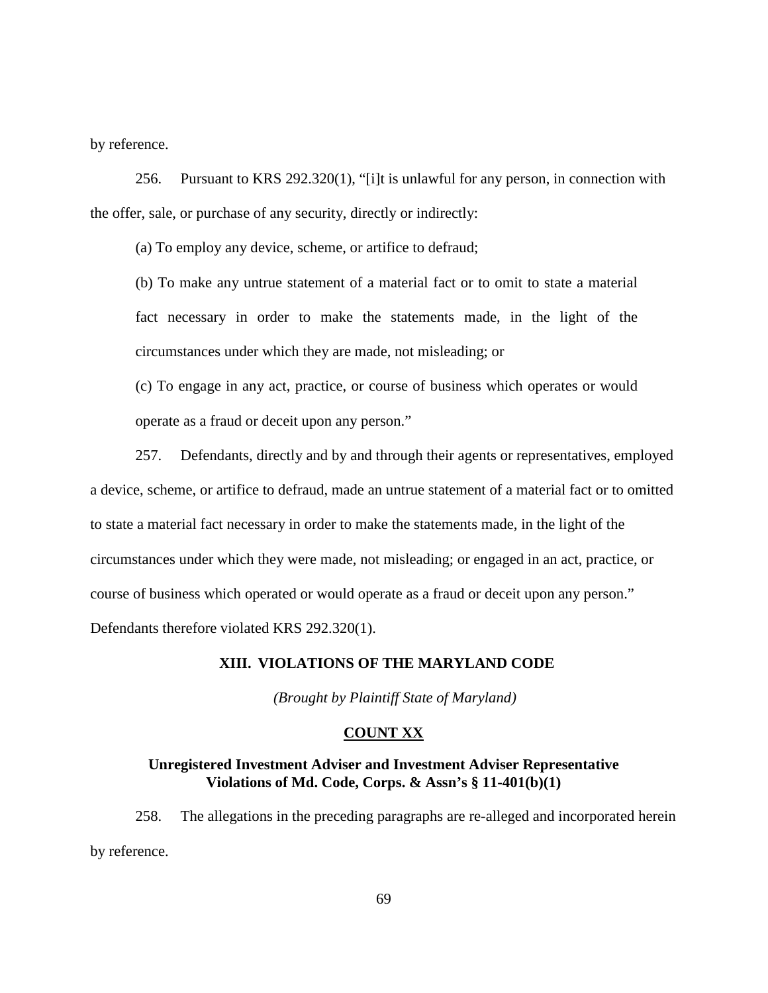by reference.

256. Pursuant to KRS 292.320(1), "[i]t is unlawful for any person, in connection with the offer, sale, or purchase of any security, directly or indirectly:

(a) To employ any device, scheme, or artifice to defraud;

(b) To make any untrue statement of a material fact or to omit to state a material fact necessary in order to make the statements made, in the light of the circumstances under which they are made, not misleading; or

(c) To engage in any act, practice, or course of business which operates or would operate as a fraud or deceit upon any person."

257. Defendants, directly and by and through their agents or representatives, employed a device, scheme, or artifice to defraud, made an untrue statement of a material fact or to omitted to state a material fact necessary in order to make the statements made, in the light of the circumstances under which they were made, not misleading; or engaged in an act, practice, or course of business which operated or would operate as a fraud or deceit upon any person." Defendants therefore violated KRS 292.320(1).

### **XIII. VIOLATIONS OF THE MARYLAND CODE**

*(Brought by Plaintiff State of Maryland)*

### **COUNT XX**

### **Unregistered Investment Adviser and Investment Adviser Representative Violations of Md. Code, Corps. & Assn's § 11-401(b)(1)**

258. The allegations in the preceding paragraphs are re-alleged and incorporated herein by reference.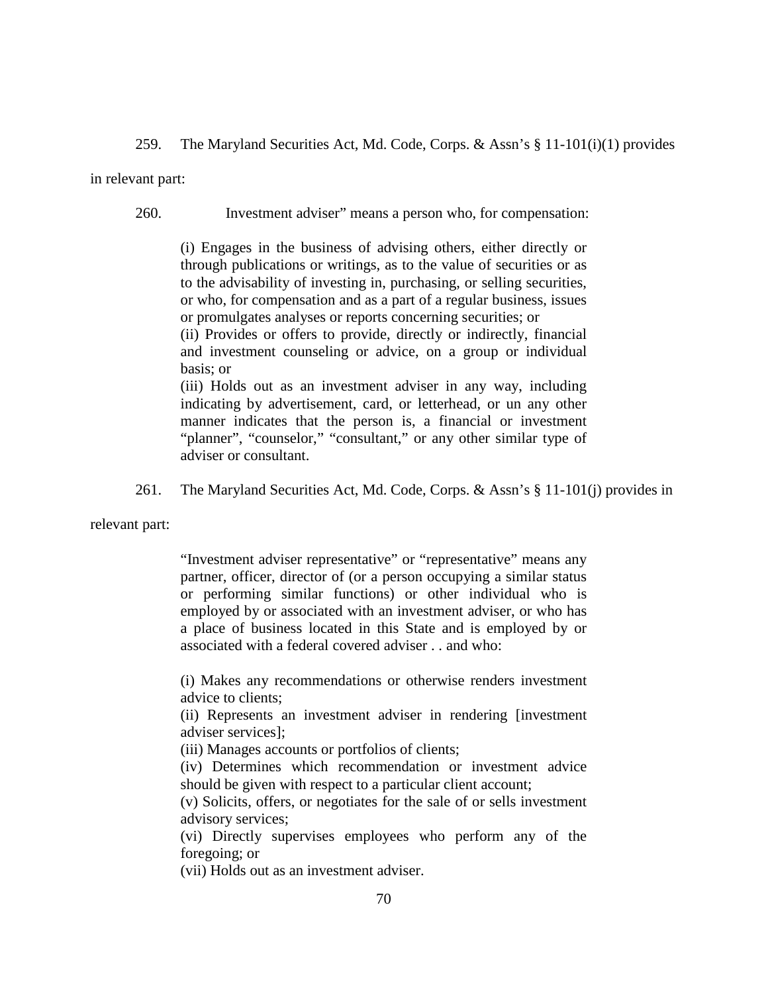259. The Maryland Securities Act, Md. Code, Corps. & Assn's § 11-101(i)(1) provides

in relevant part:

260. Investment adviser" means a person who, for compensation:

(i) Engages in the business of advising others, either directly or through publications or writings, as to the value of securities or as to the advisability of investing in, purchasing, or selling securities, or who, for compensation and as a part of a regular business, issues or promulgates analyses or reports concerning securities; or

(ii) Provides or offers to provide, directly or indirectly, financial and investment counseling or advice, on a group or individual basis; or

(iii) Holds out as an investment adviser in any way, including indicating by advertisement, card, or letterhead, or un any other manner indicates that the person is, a financial or investment "planner", "counselor," "consultant," or any other similar type of adviser or consultant.

261. The Maryland Securities Act, Md. Code, Corps. & Assn's § 11-101(j) provides in

relevant part:

"Investment adviser representative" or "representative" means any partner, officer, director of (or a person occupying a similar status or performing similar functions) or other individual who is employed by or associated with an investment adviser, or who has a place of business located in this State and is employed by or associated with a federal covered adviser . . and who:

(i) Makes any recommendations or otherwise renders investment advice to clients;

(ii) Represents an investment adviser in rendering [investment adviser services];

(iii) Manages accounts or portfolios of clients;

(iv) Determines which recommendation or investment advice should be given with respect to a particular client account;

(v) Solicits, offers, or negotiates for the sale of or sells investment advisory services;

(vi) Directly supervises employees who perform any of the foregoing; or

(vii) Holds out as an investment adviser.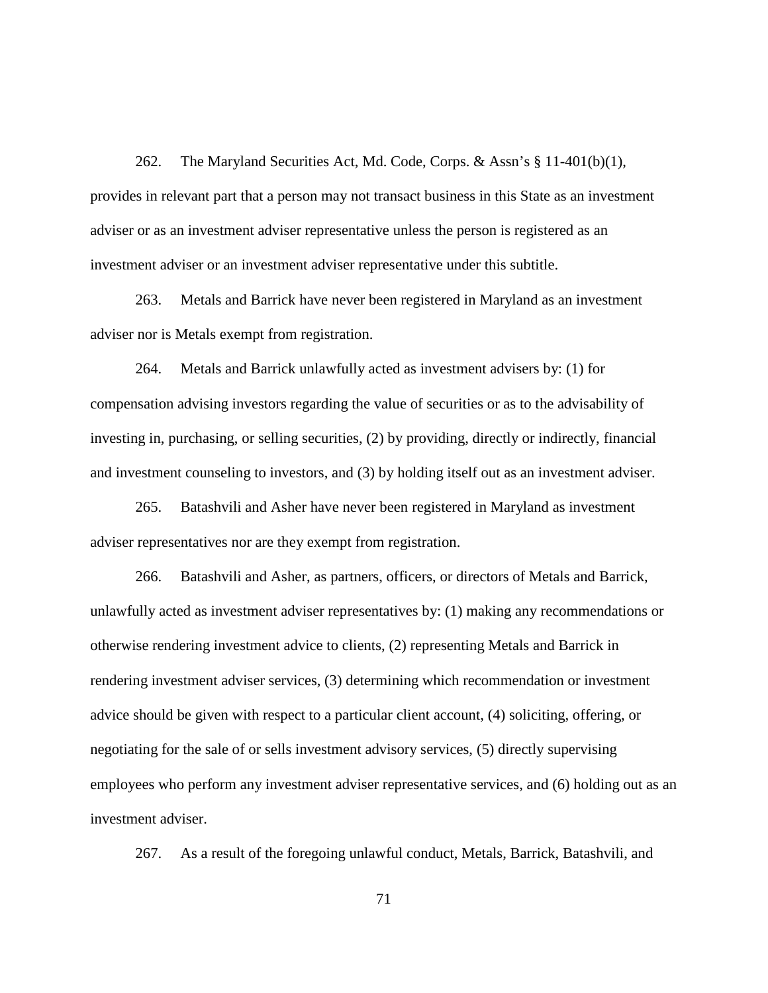262. The Maryland Securities Act, Md. Code, Corps. & Assn's § 11-401(b)(1), provides in relevant part that a person may not transact business in this State as an investment adviser or as an investment adviser representative unless the person is registered as an investment adviser or an investment adviser representative under this subtitle.

263. Metals and Barrick have never been registered in Maryland as an investment adviser nor is Metals exempt from registration.

264. Metals and Barrick unlawfully acted as investment advisers by: (1) for compensation advising investors regarding the value of securities or as to the advisability of investing in, purchasing, or selling securities, (2) by providing, directly or indirectly, financial and investment counseling to investors, and (3) by holding itself out as an investment adviser.

265. Batashvili and Asher have never been registered in Maryland as investment adviser representatives nor are they exempt from registration.

266. Batashvili and Asher, as partners, officers, or directors of Metals and Barrick, unlawfully acted as investment adviser representatives by: (1) making any recommendations or otherwise rendering investment advice to clients, (2) representing Metals and Barrick in rendering investment adviser services, (3) determining which recommendation or investment advice should be given with respect to a particular client account, (4) soliciting, offering, or negotiating for the sale of or sells investment advisory services, (5) directly supervising employees who perform any investment adviser representative services, and (6) holding out as an investment adviser.

267. As a result of the foregoing unlawful conduct, Metals, Barrick, Batashvili, and

71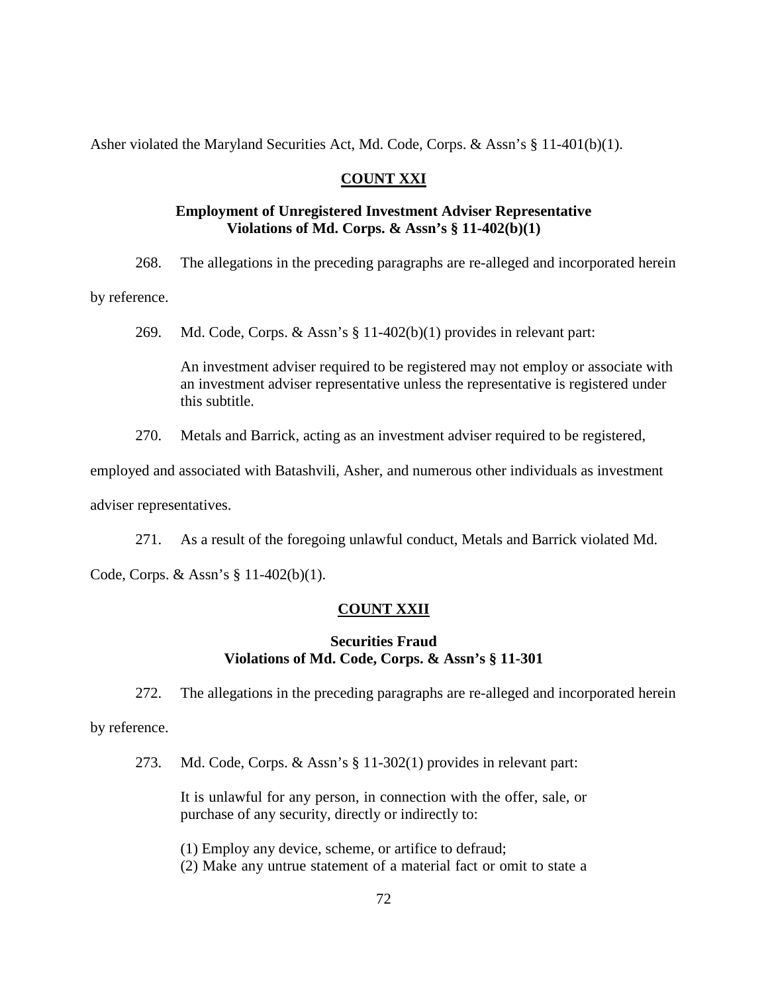Asher violated the Maryland Securities Act, Md. Code, Corps. & Assn's § 11-401(b)(1).

### **COUNT XXI**

### **Employment of Unregistered Investment Adviser Representative Violations of Md. Corps. & Assn's § 11-402(b)(1)**

268. The allegations in the preceding paragraphs are re-alleged and incorporated herein

by reference.

269. Md. Code, Corps. & Assn's § 11-402(b)(1) provides in relevant part:

An investment adviser required to be registered may not employ or associate with an investment adviser representative unless the representative is registered under this subtitle.

270. Metals and Barrick, acting as an investment adviser required to be registered,

employed and associated with Batashvili, Asher, and numerous other individuals as investment adviser representatives.

271. As a result of the foregoing unlawful conduct, Metals and Barrick violated Md.

Code, Corps. & Assn's § 11-402(b)(1).

## **COUNT XXII**

# **Securities Fraud Violations of Md. Code, Corps. & Assn's § 11-301**

272. The allegations in the preceding paragraphs are re-alleged and incorporated herein

by reference.

273. Md. Code, Corps. & Assn's § 11-302(1) provides in relevant part:

It is unlawful for any person, in connection with the offer, sale, or purchase of any security, directly or indirectly to:

(1) Employ any device, scheme, or artifice to defraud;

(2) Make any untrue statement of a material fact or omit to state a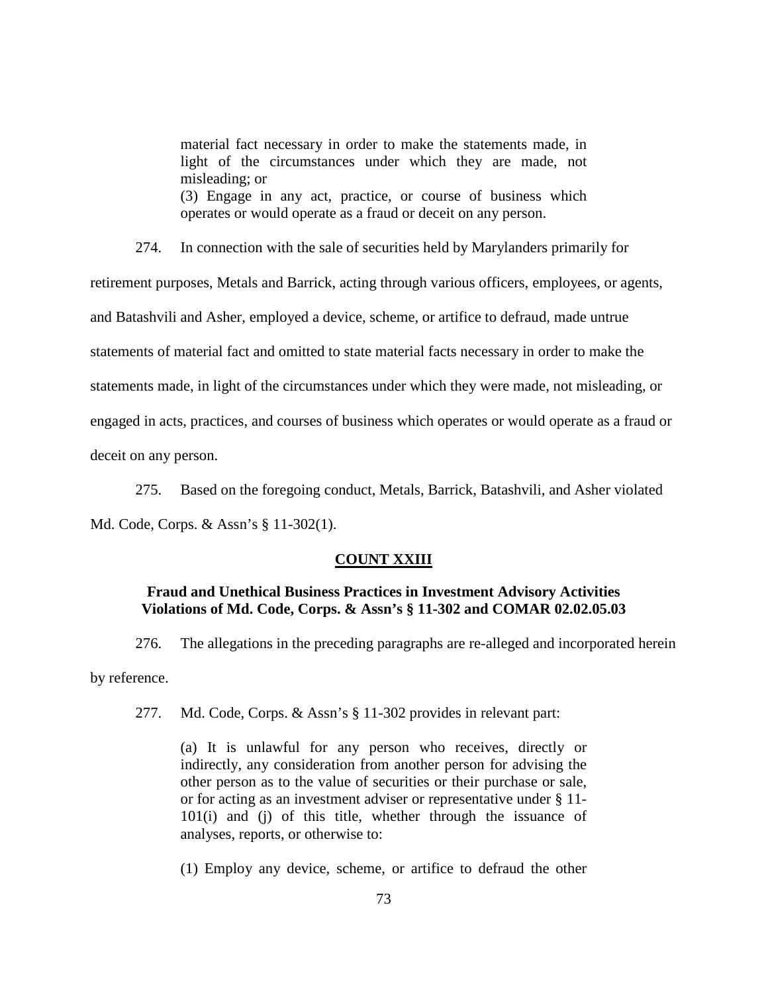material fact necessary in order to make the statements made, in light of the circumstances under which they are made, not misleading; or (3) Engage in any act, practice, or course of business which operates or would operate as a fraud or deceit on any person.

274. In connection with the sale of securities held by Marylanders primarily for retirement purposes, Metals and Barrick, acting through various officers, employees, or agents, and Batashvili and Asher, employed a device, scheme, or artifice to defraud, made untrue statements of material fact and omitted to state material facts necessary in order to make the statements made, in light of the circumstances under which they were made, not misleading, or engaged in acts, practices, and courses of business which operates or would operate as a fraud or deceit on any person.

275. Based on the foregoing conduct, Metals, Barrick, Batashvili, and Asher violated Md. Code, Corps. & Assn's § 11-302(1).

### **COUNT XXIII**

# **Fraud and Unethical Business Practices in Investment Advisory Activities Violations of Md. Code, Corps. & Assn's § 11-302 and COMAR 02.02.05.03**

276. The allegations in the preceding paragraphs are re-alleged and incorporated herein by reference.

277. Md. Code, Corps. & Assn's § 11-302 provides in relevant part:

(a) It is unlawful for any person who receives, directly or indirectly, any consideration from another person for advising the other person as to the value of securities or their purchase or sale, or for acting as an investment adviser or representative under § 11- 101(i) and (j) of this title, whether through the issuance of analyses, reports, or otherwise to:

(1) Employ any device, scheme, or artifice to defraud the other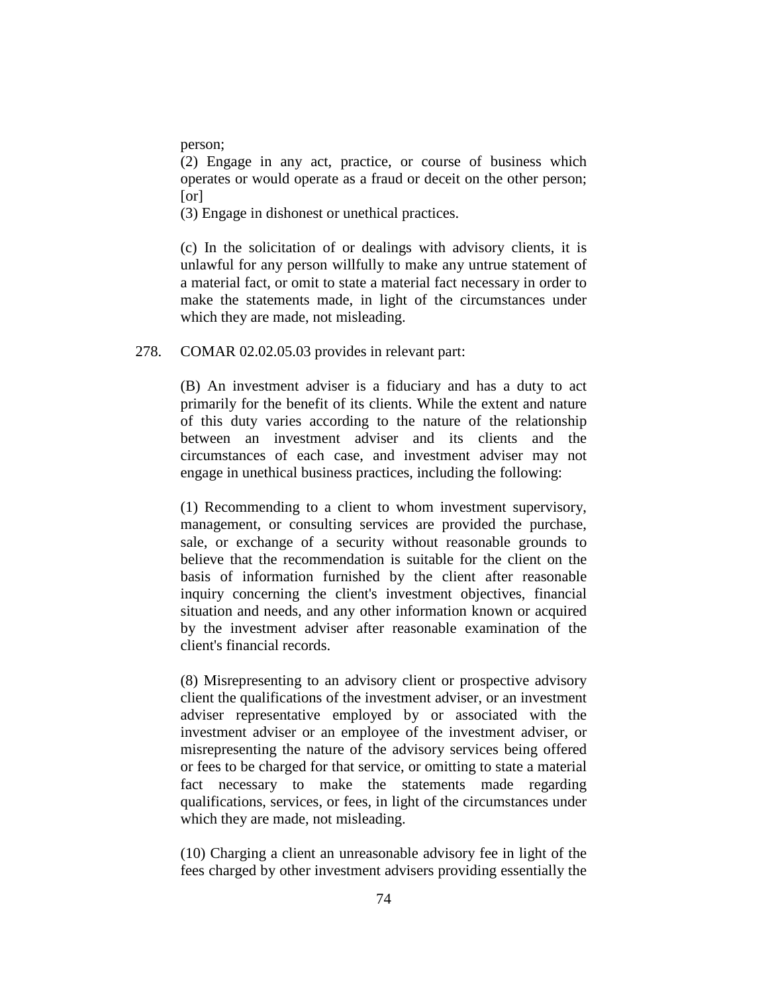person;

(2) Engage in any act, practice, or course of business which operates or would operate as a fraud or deceit on the other person; [or]

(3) Engage in dishonest or unethical practices.

(c) In the solicitation of or dealings with advisory clients, it is unlawful for any person willfully to make any untrue statement of a material fact, or omit to state a material fact necessary in order to make the statements made, in light of the circumstances under which they are made, not misleading.

### 278. COMAR 02.02.05.03 provides in relevant part:

(B) An investment adviser is a fiduciary and has a duty to act primarily for the benefit of its clients. While the extent and nature of this duty varies according to the nature of the relationship between an investment adviser and its clients and the circumstances of each case, and investment adviser may not engage in unethical business practices, including the following:

(1) Recommending to a client to whom investment supervisory, management, or consulting services are provided the purchase, sale, or exchange of a security without reasonable grounds to believe that the recommendation is suitable for the client on the basis of information furnished by the client after reasonable inquiry concerning the client's investment objectives, financial situation and needs, and any other information known or acquired by the investment adviser after reasonable examination of the client's financial records.

(8) Misrepresenting to an advisory client or prospective advisory client the qualifications of the investment adviser, or an investment adviser representative employed by or associated with the investment adviser or an employee of the investment adviser, or misrepresenting the nature of the advisory services being offered or fees to be charged for that service, or omitting to state a material fact necessary to make the statements made regarding qualifications, services, or fees, in light of the circumstances under which they are made, not misleading.

(10) Charging a client an unreasonable advisory fee in light of the fees charged by other investment advisers providing essentially the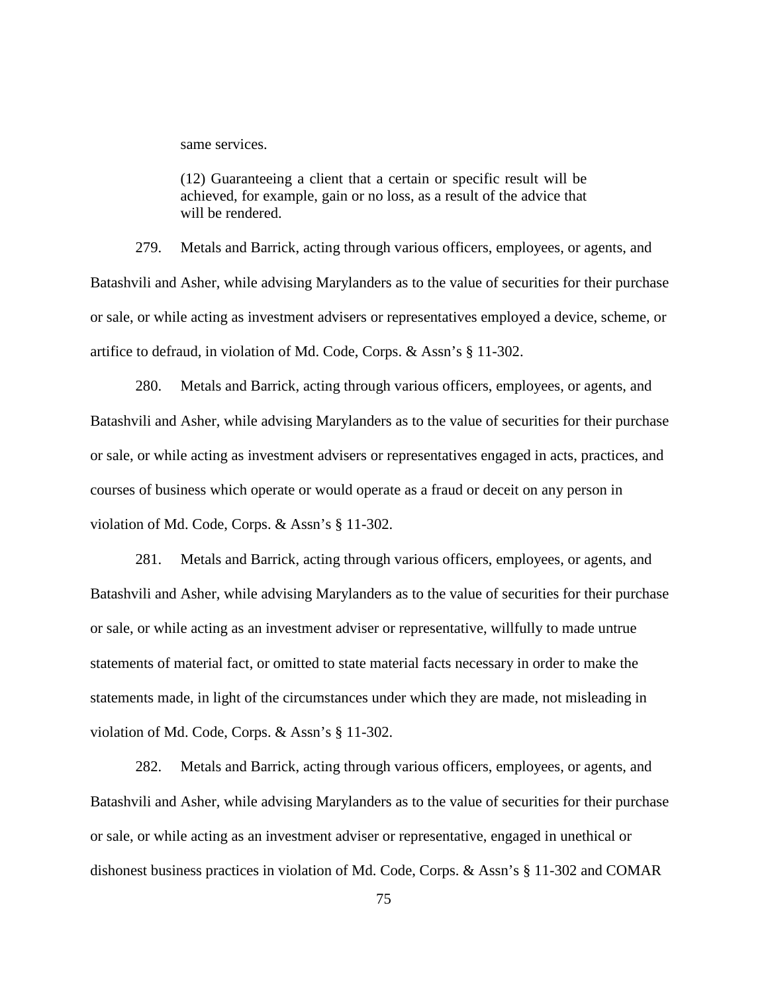same services.

(12) Guaranteeing a client that a certain or specific result will be achieved, for example, gain or no loss, as a result of the advice that will be rendered.

279. Metals and Barrick, acting through various officers, employees, or agents, and Batashvili and Asher, while advising Marylanders as to the value of securities for their purchase or sale, or while acting as investment advisers or representatives employed a device, scheme, or artifice to defraud, in violation of Md. Code, Corps. & Assn's § 11-302.

280. Metals and Barrick, acting through various officers, employees, or agents, and Batashvili and Asher, while advising Marylanders as to the value of securities for their purchase or sale, or while acting as investment advisers or representatives engaged in acts, practices, and courses of business which operate or would operate as a fraud or deceit on any person in violation of Md. Code, Corps. & Assn's § 11-302.

281. Metals and Barrick, acting through various officers, employees, or agents, and Batashvili and Asher, while advising Marylanders as to the value of securities for their purchase or sale, or while acting as an investment adviser or representative, willfully to made untrue statements of material fact, or omitted to state material facts necessary in order to make the statements made, in light of the circumstances under which they are made, not misleading in violation of Md. Code, Corps. & Assn's § 11-302.

282. Metals and Barrick, acting through various officers, employees, or agents, and Batashvili and Asher, while advising Marylanders as to the value of securities for their purchase or sale, or while acting as an investment adviser or representative, engaged in unethical or dishonest business practices in violation of Md. Code, Corps. & Assn's § 11-302 and COMAR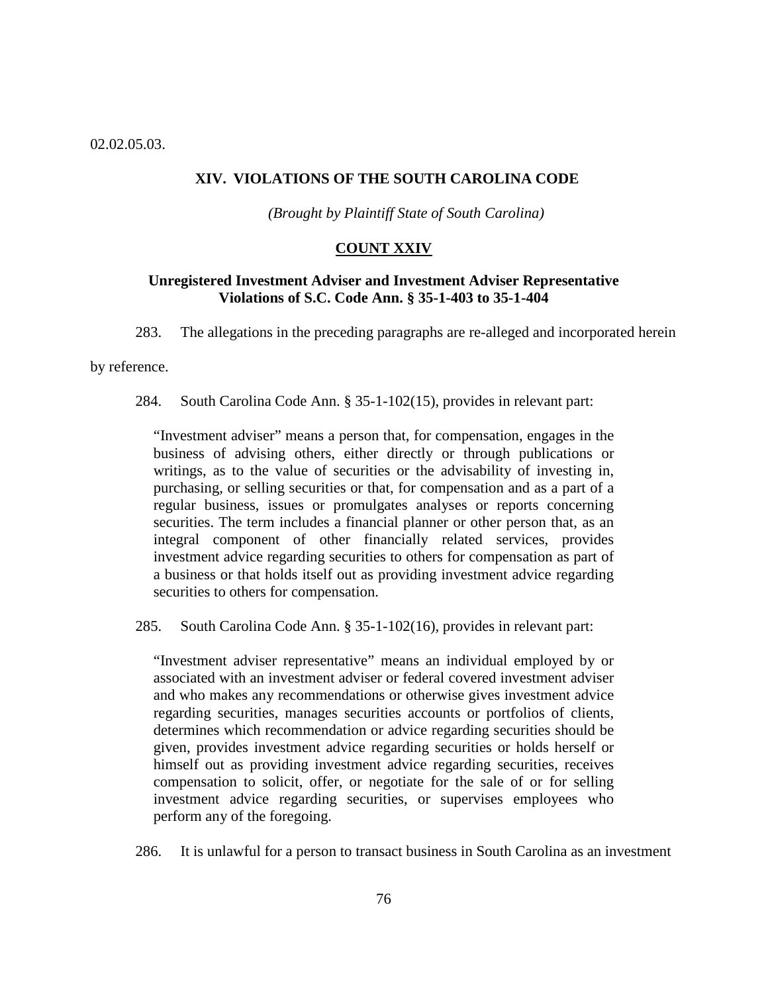02.02.05.03.

### **XIV. VIOLATIONS OF THE SOUTH CAROLINA CODE**

*(Brought by Plaintiff State of South Carolina)*

#### **COUNT XXIV**

## **Unregistered Investment Adviser and Investment Adviser Representative Violations of S.C. Code Ann. § 35-1-403 to 35-1-404**

283. The allegations in the preceding paragraphs are re-alleged and incorporated herein

by reference.

284. South Carolina Code Ann. § 35-1-102(15), provides in relevant part:

"Investment adviser" means a person that, for compensation, engages in the business of advising others, either directly or through publications or writings, as to the value of securities or the advisability of investing in, purchasing, or selling securities or that, for compensation and as a part of a regular business, issues or promulgates analyses or reports concerning securities. The term includes a financial planner or other person that, as an integral component of other financially related services, provides investment advice regarding securities to others for compensation as part of a business or that holds itself out as providing investment advice regarding securities to others for compensation.

285. South Carolina Code Ann. § 35-1-102(16), provides in relevant part:

"Investment adviser representative" means an individual employed by or associated with an investment adviser or federal covered investment adviser and who makes any recommendations or otherwise gives investment advice regarding securities, manages securities accounts or portfolios of clients, determines which recommendation or advice regarding securities should be given, provides investment advice regarding securities or holds herself or himself out as providing investment advice regarding securities, receives compensation to solicit, offer, or negotiate for the sale of or for selling investment advice regarding securities, or supervises employees who perform any of the foregoing.

286. It is unlawful for a person to transact business in South Carolina as an investment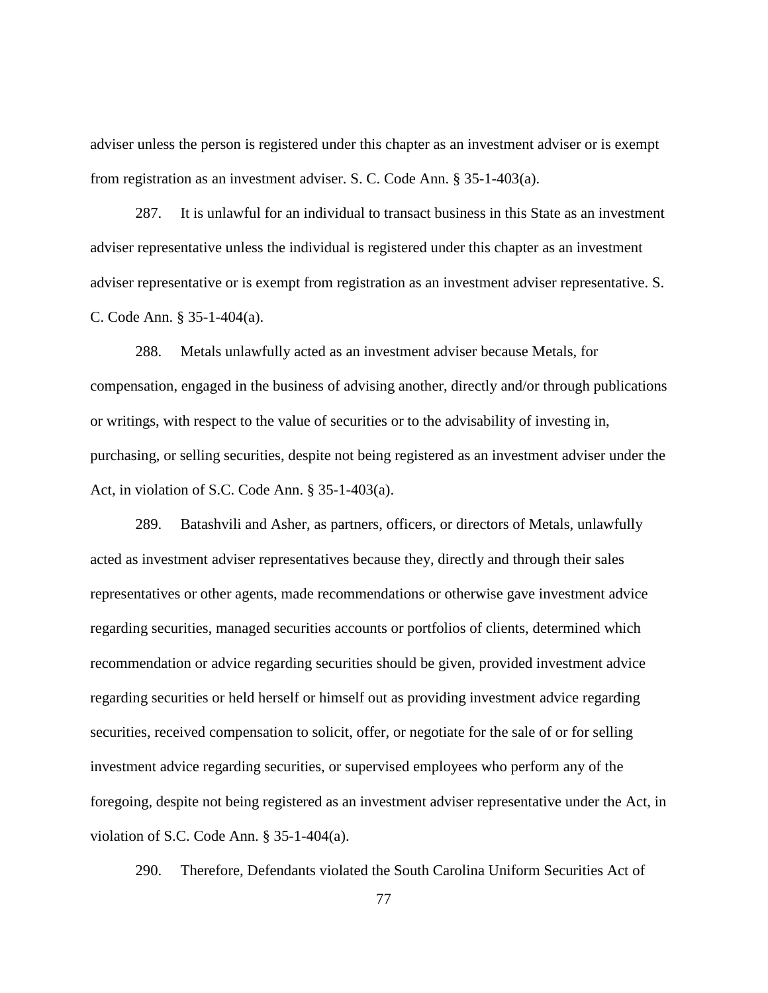adviser unless the person is registered under this chapter as an investment adviser or is exempt from registration as an investment adviser. S. C. Code Ann. § 35-1-403(a).

287. It is unlawful for an individual to transact business in this State as an investment adviser representative unless the individual is registered under this chapter as an investment adviser representative or is exempt from registration as an investment adviser representative. S. C. Code Ann. § 35-1-404(a).

288. Metals unlawfully acted as an investment adviser because Metals, for compensation, engaged in the business of advising another, directly and/or through publications or writings, with respect to the value of securities or to the advisability of investing in, purchasing, or selling securities, despite not being registered as an investment adviser under the Act, in violation of S.C. Code Ann. § 35-1-403(a).

289. Batashvili and Asher, as partners, officers, or directors of Metals, unlawfully acted as investment adviser representatives because they, directly and through their sales representatives or other agents, made recommendations or otherwise gave investment advice regarding securities, managed securities accounts or portfolios of clients, determined which recommendation or advice regarding securities should be given, provided investment advice regarding securities or held herself or himself out as providing investment advice regarding securities, received compensation to solicit, offer, or negotiate for the sale of or for selling investment advice regarding securities, or supervised employees who perform any of the foregoing, despite not being registered as an investment adviser representative under the Act, in violation of S.C. Code Ann. § 35-1-404(a).

290. Therefore, Defendants violated the South Carolina Uniform Securities Act of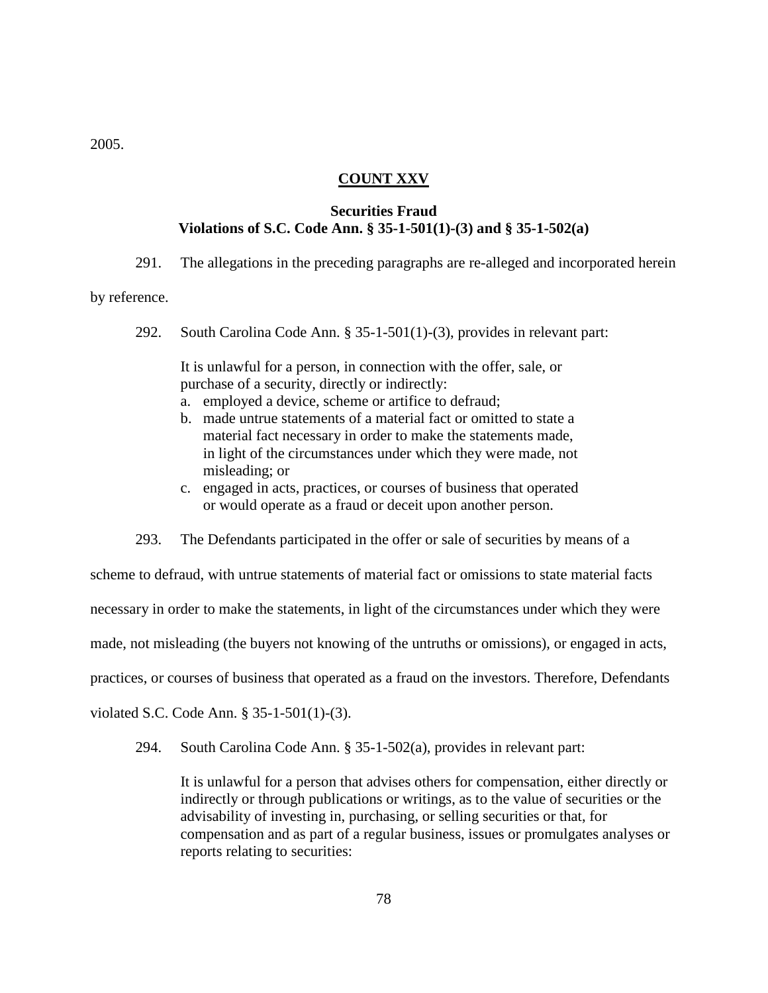2005.

### **COUNT XXV**

## **Securities Fraud Violations of S.C. Code Ann. § 35-1-501(1)-(3) and § 35-1-502(a)**

291. The allegations in the preceding paragraphs are re-alleged and incorporated herein

by reference.

292. South Carolina Code Ann. § 35-1-501(1)-(3), provides in relevant part:

It is unlawful for a person, in connection with the offer, sale, or purchase of a security, directly or indirectly:

- a. employed a device, scheme or artifice to defraud;
- b. made untrue statements of a material fact or omitted to state a material fact necessary in order to make the statements made, in light of the circumstances under which they were made, not misleading; or
- c. engaged in acts, practices, or courses of business that operated or would operate as a fraud or deceit upon another person.
- 293. The Defendants participated in the offer or sale of securities by means of a

scheme to defraud, with untrue statements of material fact or omissions to state material facts

necessary in order to make the statements, in light of the circumstances under which they were

made, not misleading (the buyers not knowing of the untruths or omissions), or engaged in acts,

practices, or courses of business that operated as a fraud on the investors. Therefore, Defendants

violated S.C. Code Ann. § 35-1-501(1)-(3).

294. South Carolina Code Ann. § 35-1-502(a), provides in relevant part:

It is unlawful for a person that advises others for compensation, either directly or indirectly or through publications or writings, as to the value of securities or the advisability of investing in, purchasing, or selling securities or that, for compensation and as part of a regular business, issues or promulgates analyses or reports relating to securities: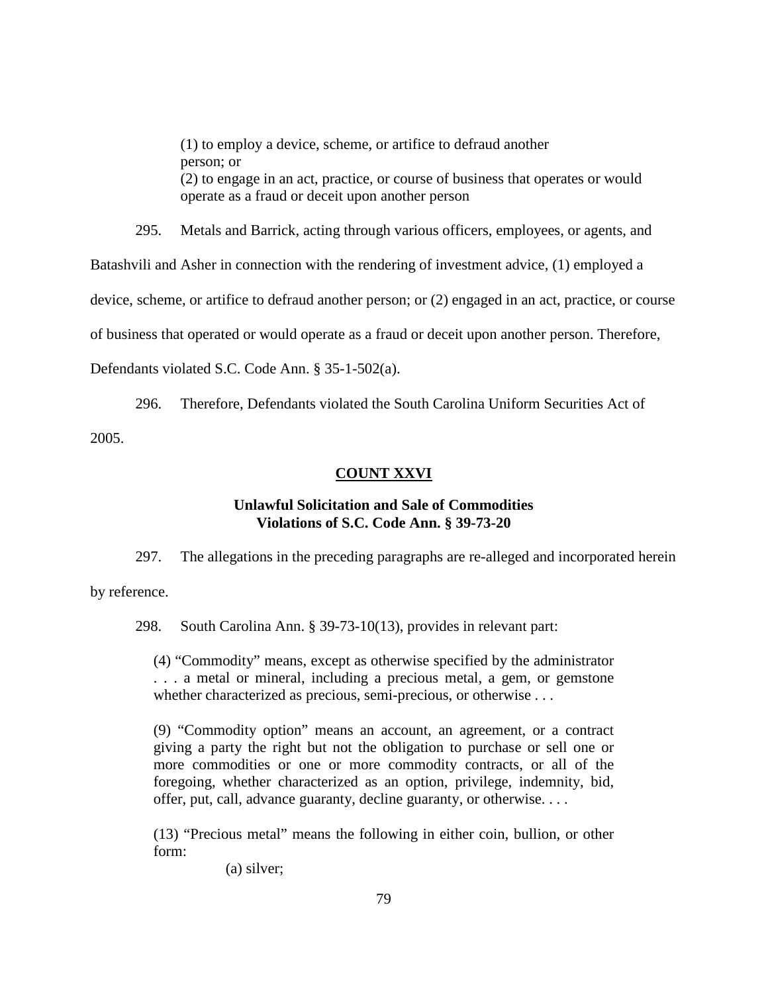(1) to employ a device, scheme, or artifice to defraud another person; or (2) to engage in an act, practice, or course of business that operates or would operate as a fraud or deceit upon another person

295. Metals and Barrick, acting through various officers, employees, or agents, and Batashvili and Asher in connection with the rendering of investment advice, (1) employed a device, scheme, or artifice to defraud another person; or (2) engaged in an act, practice, or course of business that operated or would operate as a fraud or deceit upon another person. Therefore, Defendants violated S.C. Code Ann. § 35-1-502(a).

296. Therefore, Defendants violated the South Carolina Uniform Securities Act of 2005.

# **COUNT XXVI**

### **Unlawful Solicitation and Sale of Commodities Violations of S.C. Code Ann. § 39-73-20**

297. The allegations in the preceding paragraphs are re-alleged and incorporated herein by reference.

298. South Carolina Ann. § 39-73-10(13), provides in relevant part:

(4) "Commodity" means, except as otherwise specified by the administrator . . . a metal or mineral, including a precious metal, a gem, or gemstone whether characterized as precious, semi-precious, or otherwise . . .

(9) "Commodity option" means an account, an agreement, or a contract giving a party the right but not the obligation to purchase or sell one or more commodities or one or more commodity contracts, or all of the foregoing, whether characterized as an option, privilege, indemnity, bid, offer, put, call, advance guaranty, decline guaranty, or otherwise. . . .

(13) "Precious metal" means the following in either coin, bullion, or other form:

(a) silver;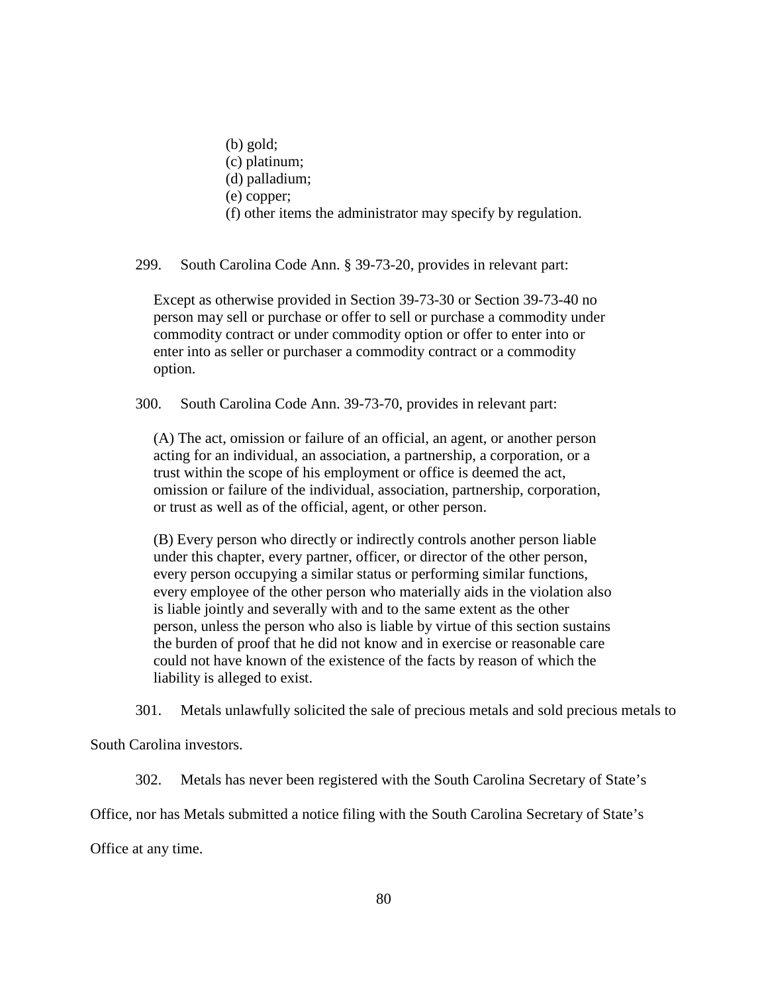(b) gold; (c) platinum; (d) palladium; (e) copper; (f) other items the administrator may specify by regulation.

299. South Carolina Code Ann. § 39-73-20, provides in relevant part:

Except as otherwise provided in Section 39-73-30 or Section 39-73-40 no person may sell or purchase or offer to sell or purchase a commodity under commodity contract or under commodity option or offer to enter into or enter into as seller or purchaser a commodity contract or a commodity option.

300. South Carolina Code Ann. 39-73-70, provides in relevant part:

(A) The act, omission or failure of an official, an agent, or another person acting for an individual, an association, a partnership, a corporation, or a trust within the scope of his employment or office is deemed the act, omission or failure of the individual, association, partnership, corporation, or trust as well as of the official, agent, or other person.

(B) Every person who directly or indirectly controls another person liable under this chapter, every partner, officer, or director of the other person, every person occupying a similar status or performing similar functions, every employee of the other person who materially aids in the violation also is liable jointly and severally with and to the same extent as the other person, unless the person who also is liable by virtue of this section sustains the burden of proof that he did not know and in exercise or reasonable care could not have known of the existence of the facts by reason of which the liability is alleged to exist.

301. Metals unlawfully solicited the sale of precious metals and sold precious metals to

South Carolina investors.

302. Metals has never been registered with the South Carolina Secretary of State's

Office, nor has Metals submitted a notice filing with the South Carolina Secretary of State's

Office at any time.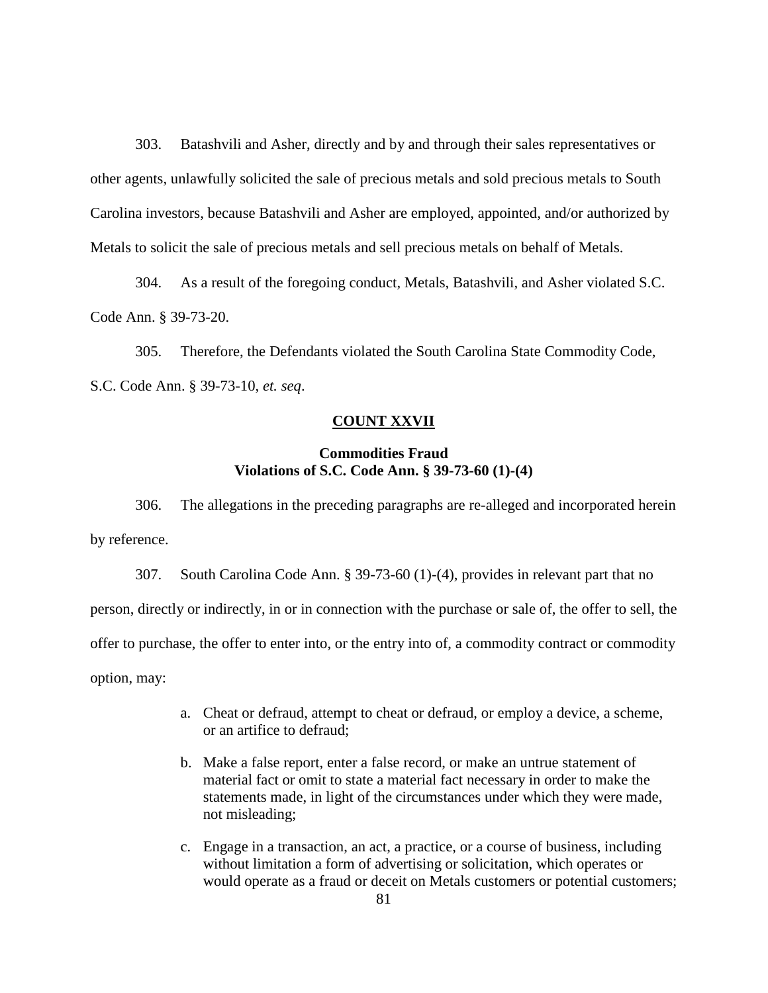303. Batashvili and Asher, directly and by and through their sales representatives or other agents, unlawfully solicited the sale of precious metals and sold precious metals to South Carolina investors, because Batashvili and Asher are employed, appointed, and/or authorized by Metals to solicit the sale of precious metals and sell precious metals on behalf of Metals.

304. As a result of the foregoing conduct, Metals, Batashvili, and Asher violated S.C. Code Ann. § 39-73-20.

305. Therefore, the Defendants violated the South Carolina State Commodity Code, S.C. Code Ann. § 39-73-10, *et. seq*.

## **COUNT XXVII**

## **Commodities Fraud Violations of S.C. Code Ann. § 39-73-60 (1)-(4)**

306. The allegations in the preceding paragraphs are re-alleged and incorporated herein by reference.

307. South Carolina Code Ann. § 39-73-60 (1)-(4), provides in relevant part that no person, directly or indirectly, in or in connection with the purchase or sale of, the offer to sell, the offer to purchase, the offer to enter into, or the entry into of, a commodity contract or commodity option, may:

- a. Cheat or defraud, attempt to cheat or defraud, or employ a device, a scheme, or an artifice to defraud;
- b. Make a false report, enter a false record, or make an untrue statement of material fact or omit to state a material fact necessary in order to make the statements made, in light of the circumstances under which they were made, not misleading;
- c. Engage in a transaction, an act, a practice, or a course of business, including without limitation a form of advertising or solicitation, which operates or would operate as a fraud or deceit on Metals customers or potential customers;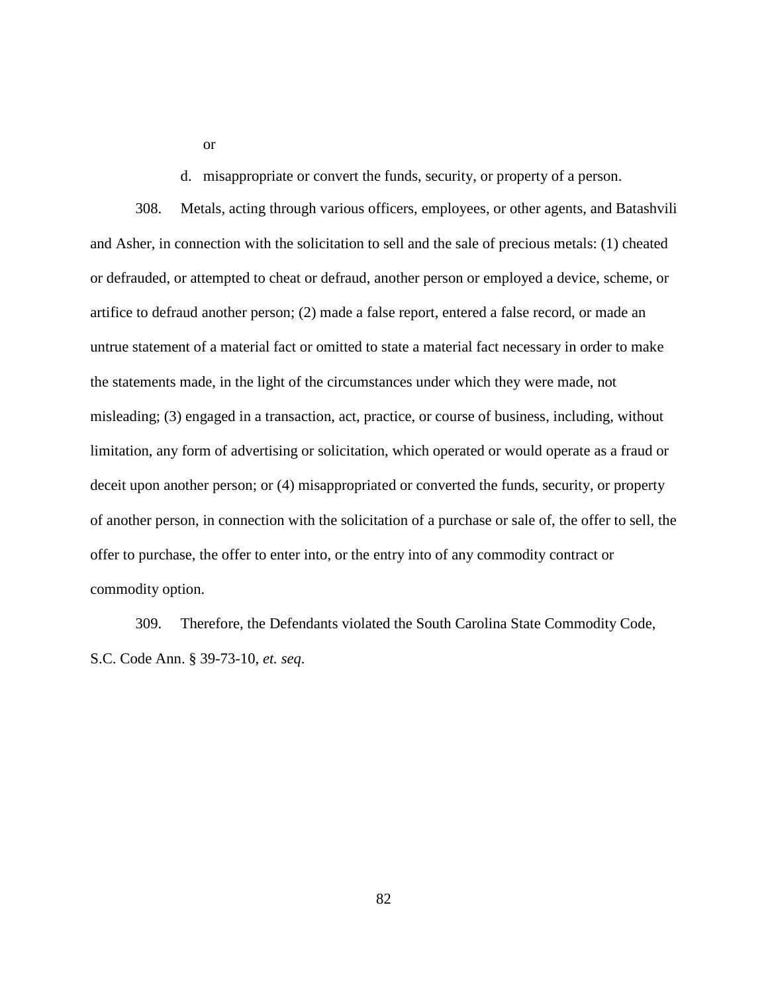or

d. misappropriate or convert the funds, security, or property of a person.

308. Metals, acting through various officers, employees, or other agents, and Batashvili and Asher, in connection with the solicitation to sell and the sale of precious metals: (1) cheated or defrauded, or attempted to cheat or defraud, another person or employed a device, scheme, or artifice to defraud another person; (2) made a false report, entered a false record, or made an untrue statement of a material fact or omitted to state a material fact necessary in order to make the statements made, in the light of the circumstances under which they were made, not misleading; (3) engaged in a transaction, act, practice, or course of business, including, without limitation, any form of advertising or solicitation, which operated or would operate as a fraud or deceit upon another person; or (4) misappropriated or converted the funds, security, or property of another person, in connection with the solicitation of a purchase or sale of, the offer to sell, the offer to purchase, the offer to enter into, or the entry into of any commodity contract or commodity option.

309. Therefore, the Defendants violated the South Carolina State Commodity Code, S.C. Code Ann. § 39-73-10, *et. seq*.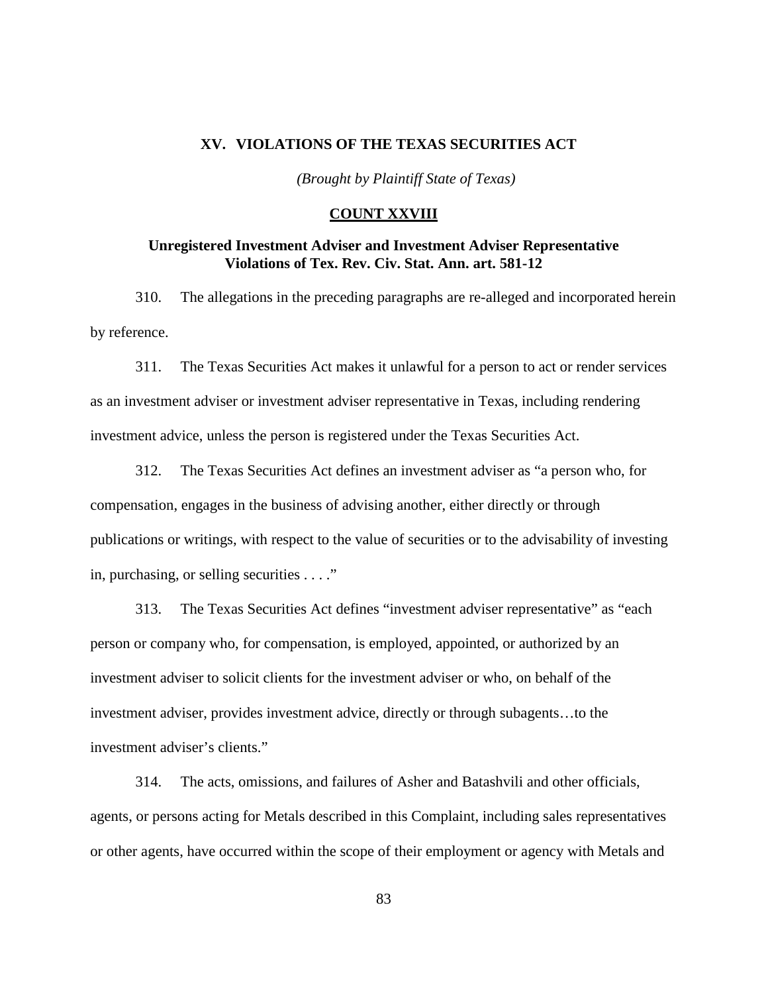### **XV. VIOLATIONS OF THE TEXAS SECURITIES ACT**

*(Brought by Plaintiff State of Texas)*

## **COUNT XXVIII**

### **Unregistered Investment Adviser and Investment Adviser Representative Violations of Tex. Rev. Civ. Stat. Ann. art. 581-12**

310. The allegations in the preceding paragraphs are re-alleged and incorporated herein by reference.

311. The Texas Securities Act makes it unlawful for a person to act or render services as an investment adviser or investment adviser representative in Texas, including rendering investment advice, unless the person is registered under the Texas Securities Act.

312. The Texas Securities Act defines an investment adviser as "a person who, for compensation, engages in the business of advising another, either directly or through publications or writings, with respect to the value of securities or to the advisability of investing in, purchasing, or selling securities . . . ."

313. The Texas Securities Act defines "investment adviser representative" as "each person or company who, for compensation, is employed, appointed, or authorized by an investment adviser to solicit clients for the investment adviser or who, on behalf of the investment adviser, provides investment advice, directly or through subagents…to the investment adviser's clients."

314. The acts, omissions, and failures of Asher and Batashvili and other officials, agents, or persons acting for Metals described in this Complaint, including sales representatives or other agents, have occurred within the scope of their employment or agency with Metals and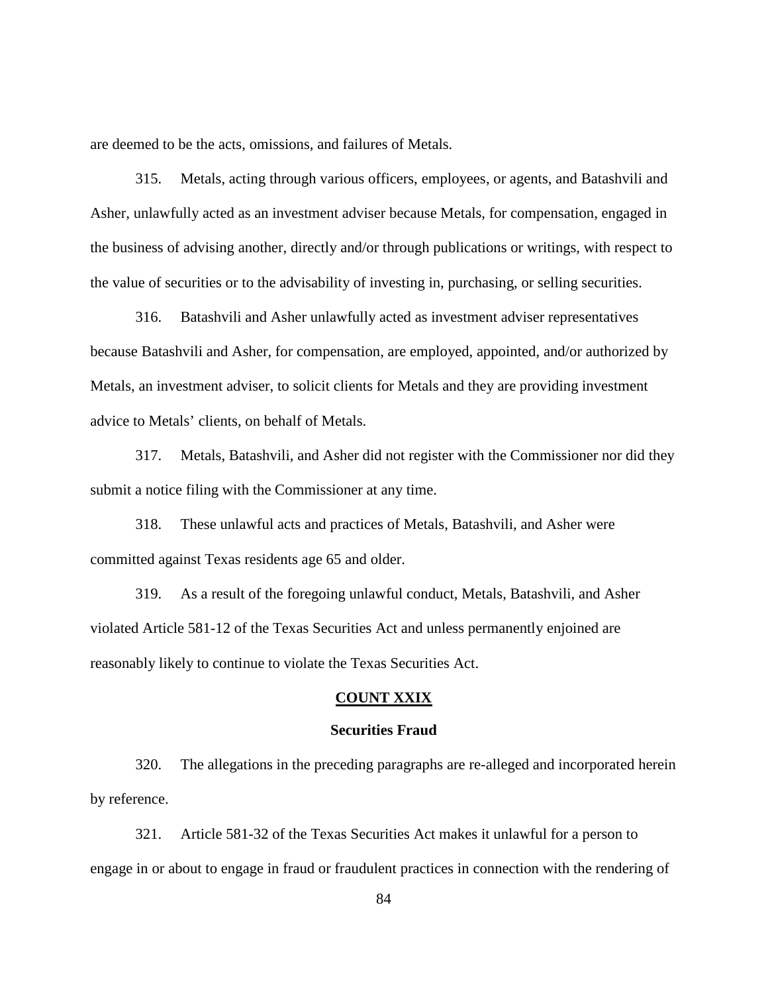are deemed to be the acts, omissions, and failures of Metals.

315. Metals, acting through various officers, employees, or agents, and Batashvili and Asher, unlawfully acted as an investment adviser because Metals, for compensation, engaged in the business of advising another, directly and/or through publications or writings, with respect to the value of securities or to the advisability of investing in, purchasing, or selling securities.

316. Batashvili and Asher unlawfully acted as investment adviser representatives because Batashvili and Asher, for compensation, are employed, appointed, and/or authorized by Metals, an investment adviser, to solicit clients for Metals and they are providing investment advice to Metals' clients, on behalf of Metals.

317. Metals, Batashvili, and Asher did not register with the Commissioner nor did they submit a notice filing with the Commissioner at any time.

318. These unlawful acts and practices of Metals, Batashvili, and Asher were committed against Texas residents age 65 and older.

319. As a result of the foregoing unlawful conduct, Metals, Batashvili, and Asher violated Article 581-12 of the Texas Securities Act and unless permanently enjoined are reasonably likely to continue to violate the Texas Securities Act.

#### **COUNT XXIX**

#### **Securities Fraud**

320. The allegations in the preceding paragraphs are re-alleged and incorporated herein by reference.

321. Article 581-32 of the Texas Securities Act makes it unlawful for a person to engage in or about to engage in fraud or fraudulent practices in connection with the rendering of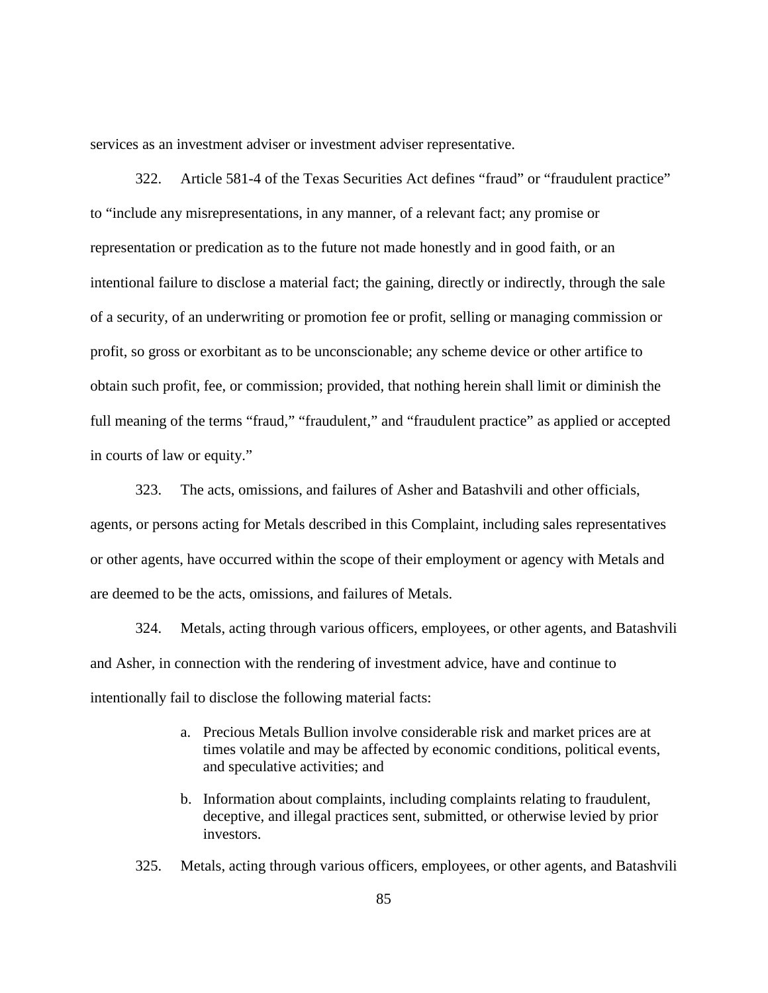services as an investment adviser or investment adviser representative.

322. Article 581-4 of the Texas Securities Act defines "fraud" or "fraudulent practice" to "include any misrepresentations, in any manner, of a relevant fact; any promise or representation or predication as to the future not made honestly and in good faith, or an intentional failure to disclose a material fact; the gaining, directly or indirectly, through the sale of a security, of an underwriting or promotion fee or profit, selling or managing commission or profit, so gross or exorbitant as to be unconscionable; any scheme device or other artifice to obtain such profit, fee, or commission; provided, that nothing herein shall limit or diminish the full meaning of the terms "fraud," "fraudulent," and "fraudulent practice" as applied or accepted in courts of law or equity."

323. The acts, omissions, and failures of Asher and Batashvili and other officials, agents, or persons acting for Metals described in this Complaint, including sales representatives or other agents, have occurred within the scope of their employment or agency with Metals and are deemed to be the acts, omissions, and failures of Metals.

324. Metals, acting through various officers, employees, or other agents, and Batashvili and Asher, in connection with the rendering of investment advice, have and continue to intentionally fail to disclose the following material facts:

- a. Precious Metals Bullion involve considerable risk and market prices are at times volatile and may be affected by economic conditions, political events, and speculative activities; and
- b. Information about complaints, including complaints relating to fraudulent, deceptive, and illegal practices sent, submitted, or otherwise levied by prior investors.
- 325. Metals, acting through various officers, employees, or other agents, and Batashvili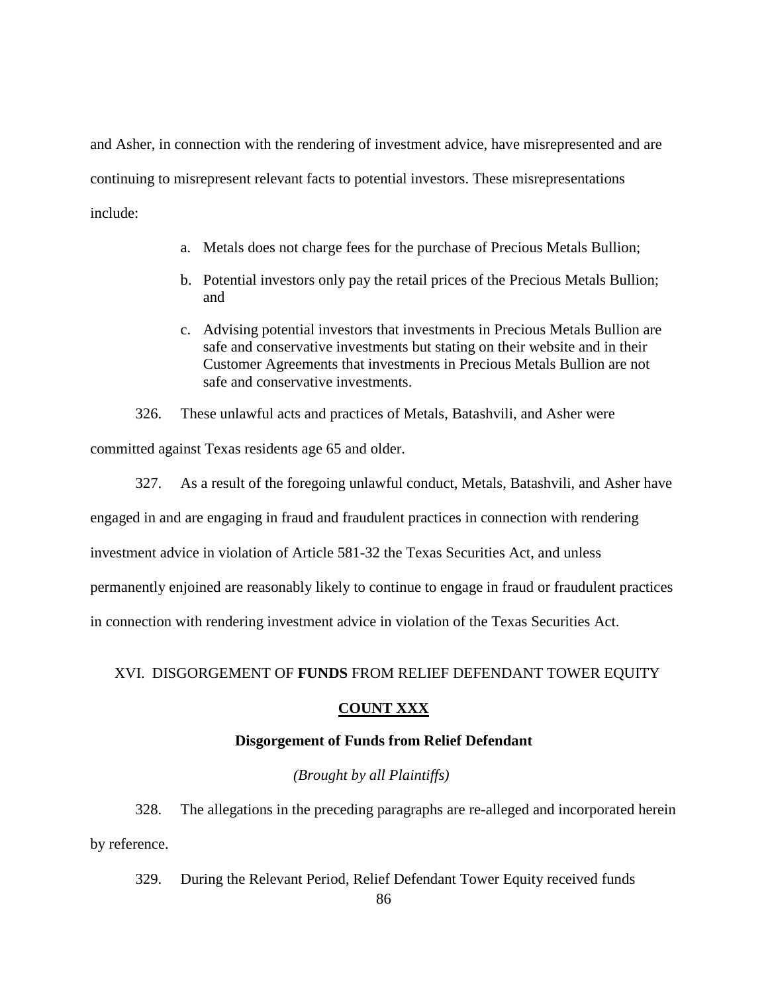and Asher, in connection with the rendering of investment advice, have misrepresented and are continuing to misrepresent relevant facts to potential investors. These misrepresentations include:

- a. Metals does not charge fees for the purchase of Precious Metals Bullion;
- b. Potential investors only pay the retail prices of the Precious Metals Bullion; and
- c. Advising potential investors that investments in Precious Metals Bullion are safe and conservative investments but stating on their website and in their Customer Agreements that investments in Precious Metals Bullion are not safe and conservative investments.

326. These unlawful acts and practices of Metals, Batashvili, and Asher were committed against Texas residents age 65 and older.

327. As a result of the foregoing unlawful conduct, Metals, Batashvili, and Asher have engaged in and are engaging in fraud and fraudulent practices in connection with rendering investment advice in violation of Article 581-32 the Texas Securities Act, and unless permanently enjoined are reasonably likely to continue to engage in fraud or fraudulent practices in connection with rendering investment advice in violation of the Texas Securities Act.

### XVI. DISGORGEMENT OF **FUNDS** FROM RELIEF DEFENDANT TOWER EQUITY

### **COUNT XXX**

# **Disgorgement of Funds from Relief Defendant**

#### *(Brought by all Plaintiffs)*

328. The allegations in the preceding paragraphs are re-alleged and incorporated herein by reference.

329. During the Relevant Period, Relief Defendant Tower Equity received funds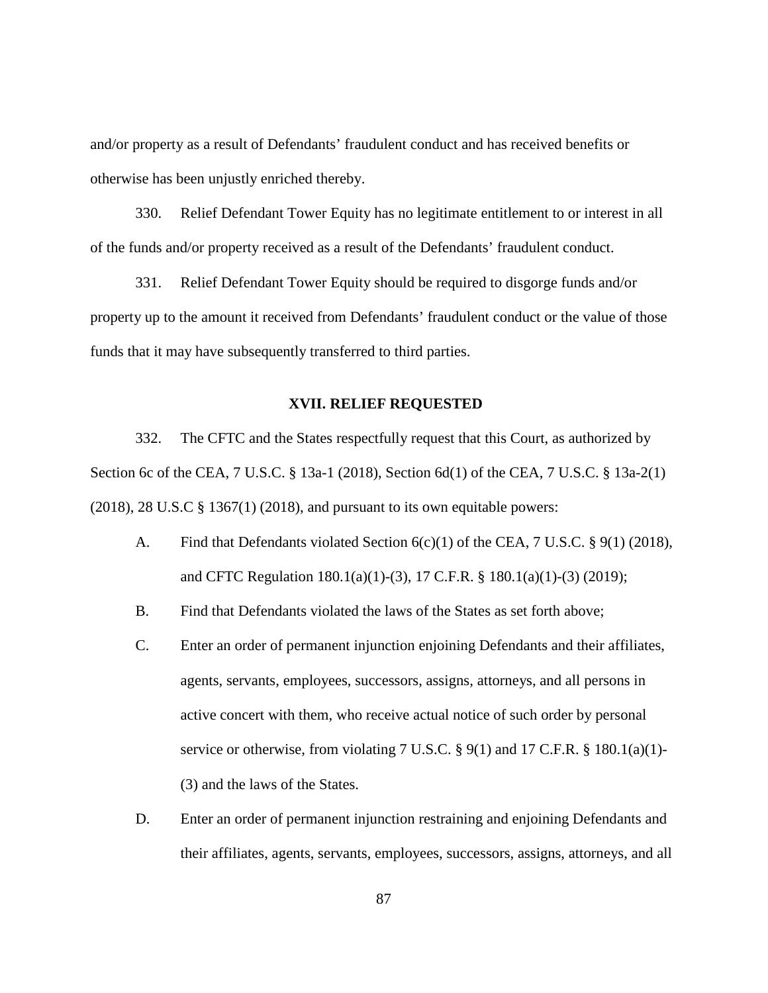and/or property as a result of Defendants' fraudulent conduct and has received benefits or otherwise has been unjustly enriched thereby.

330. Relief Defendant Tower Equity has no legitimate entitlement to or interest in all of the funds and/or property received as a result of the Defendants' fraudulent conduct.

331. Relief Defendant Tower Equity should be required to disgorge funds and/or property up to the amount it received from Defendants' fraudulent conduct or the value of those funds that it may have subsequently transferred to third parties.

#### **XVII. RELIEF REQUESTED**

332. The CFTC and the States respectfully request that this Court, as authorized by Section 6c of the CEA, 7 U.S.C. § 13a-1 (2018), Section 6d(1) of the CEA, 7 U.S.C. § 13a-2(1)  $(2018)$ , 28 U.S.C § 1367(1) (2018), and pursuant to its own equitable powers:

- A. Find that Defendants violated Section  $6(c)(1)$  of the CEA, 7 U.S.C. § 9(1) (2018), and CFTC Regulation 180.1(a)(1)-(3), 17 C.F.R. § 180.1(a)(1)-(3) (2019);
- B. Find that Defendants violated the laws of the States as set forth above;
- C. Enter an order of permanent injunction enjoining Defendants and their affiliates, agents, servants, employees, successors, assigns, attorneys, and all persons in active concert with them, who receive actual notice of such order by personal service or otherwise, from violating 7 U.S.C. § 9(1) and 17 C.F.R. § 180.1(a)(1)-(3) and the laws of the States.
- D. Enter an order of permanent injunction restraining and enjoining Defendants and their affiliates, agents, servants, employees, successors, assigns, attorneys, and all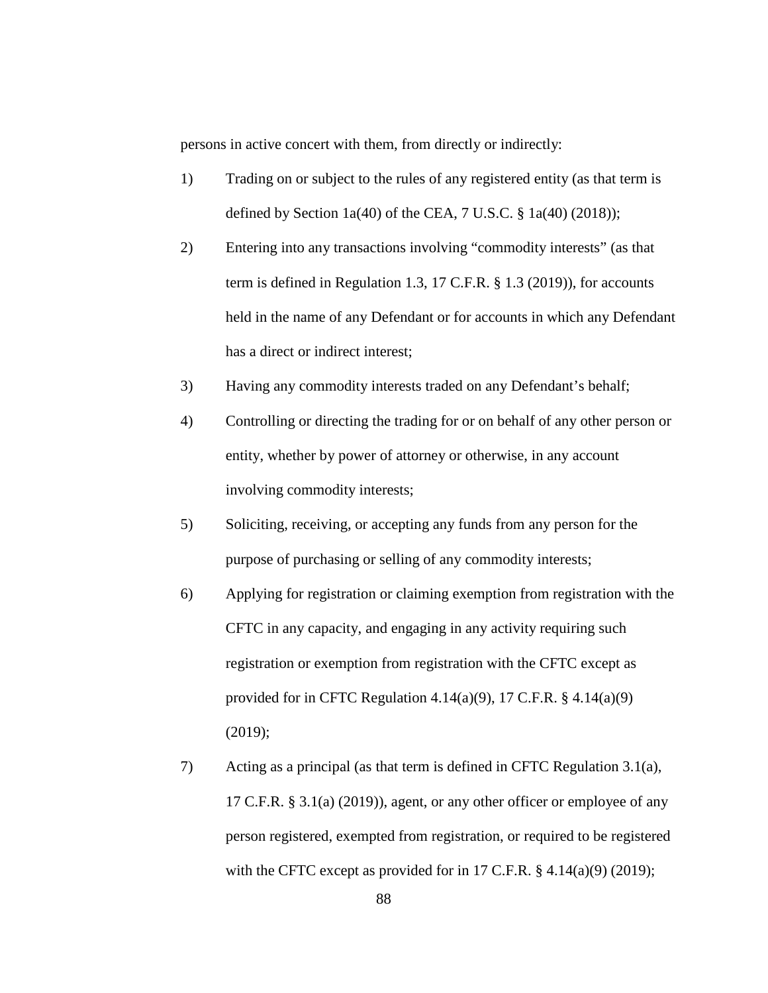persons in active concert with them, from directly or indirectly:

- 1) Trading on or subject to the rules of any registered entity (as that term is defined by Section  $1a(40)$  of the CEA,  $7$  U.S.C.  $\S$   $1a(40)$  (2018));
- 2) Entering into any transactions involving "commodity interests" (as that term is defined in Regulation 1.3, 17 C.F.R. § 1.3 (2019)), for accounts held in the name of any Defendant or for accounts in which any Defendant has a direct or indirect interest;
- 3) Having any commodity interests traded on any Defendant's behalf;
- 4) Controlling or directing the trading for or on behalf of any other person or entity, whether by power of attorney or otherwise, in any account involving commodity interests;
- 5) Soliciting, receiving, or accepting any funds from any person for the purpose of purchasing or selling of any commodity interests;
- 6) Applying for registration or claiming exemption from registration with the CFTC in any capacity, and engaging in any activity requiring such registration or exemption from registration with the CFTC except as provided for in CFTC Regulation 4.14(a)(9), 17 C.F.R.  $\S$  4.14(a)(9) (2019);
- 7) Acting as a principal (as that term is defined in CFTC Regulation 3.1(a), 17 C.F.R. § 3.1(a) (2019)), agent, or any other officer or employee of any person registered, exempted from registration, or required to be registered with the CFTC except as provided for in 17 C.F.R. § 4.14(a)(9) (2019);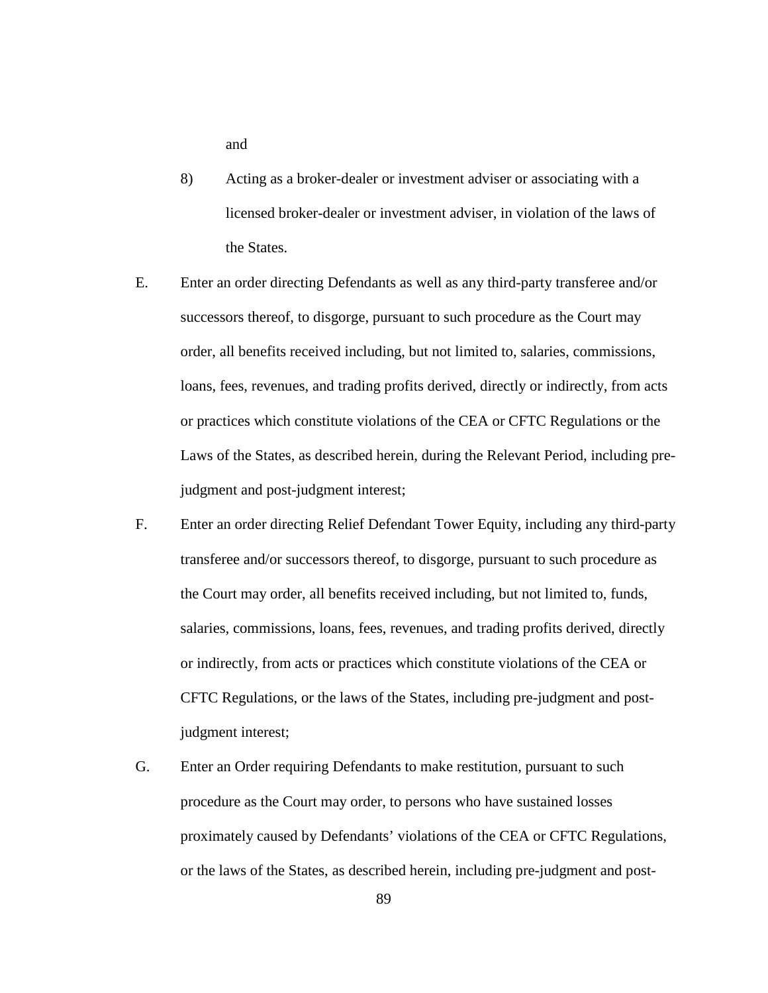and

- 8) Acting as a broker-dealer or investment adviser or associating with a licensed broker-dealer or investment adviser, in violation of the laws of the States.
- E. Enter an order directing Defendants as well as any third-party transferee and/or successors thereof, to disgorge, pursuant to such procedure as the Court may order, all benefits received including, but not limited to, salaries, commissions, loans, fees, revenues, and trading profits derived, directly or indirectly, from acts or practices which constitute violations of the CEA or CFTC Regulations or the Laws of the States, as described herein, during the Relevant Period, including prejudgment and post-judgment interest;
- F. Enter an order directing Relief Defendant Tower Equity, including any third-party transferee and/or successors thereof, to disgorge, pursuant to such procedure as the Court may order, all benefits received including, but not limited to, funds, salaries, commissions, loans, fees, revenues, and trading profits derived, directly or indirectly, from acts or practices which constitute violations of the CEA or CFTC Regulations, or the laws of the States, including pre-judgment and postjudgment interest;
- G. Enter an Order requiring Defendants to make restitution, pursuant to such procedure as the Court may order, to persons who have sustained losses proximately caused by Defendants' violations of the CEA or CFTC Regulations, or the laws of the States, as described herein, including pre-judgment and post-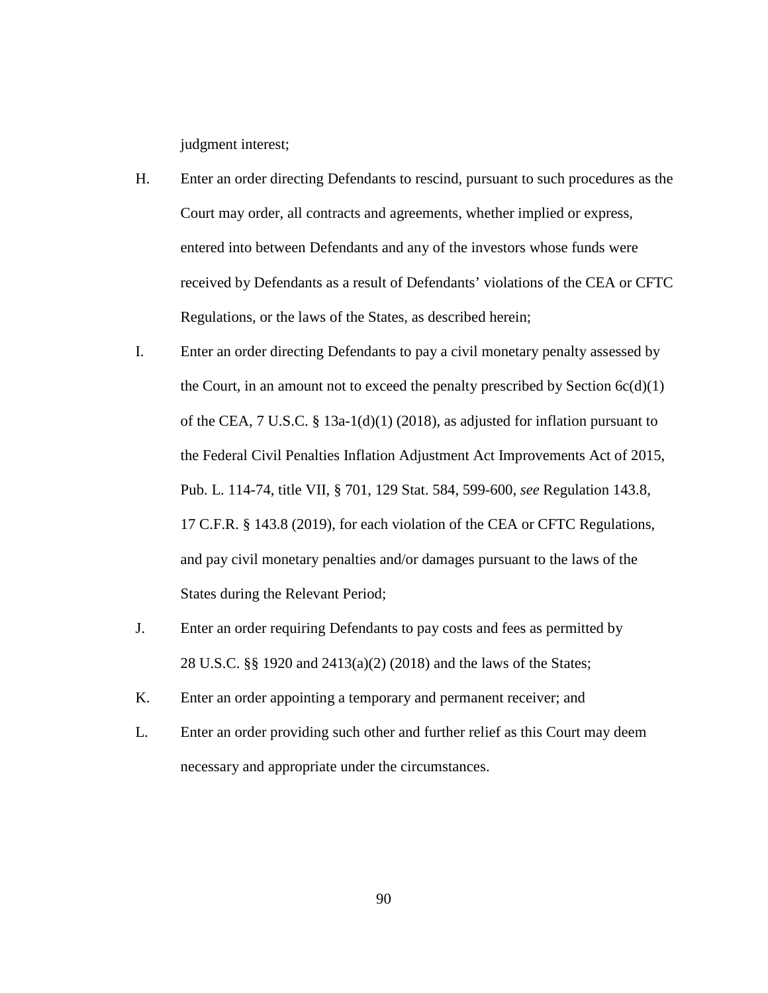judgment interest;

- H. Enter an order directing Defendants to rescind, pursuant to such procedures as the Court may order, all contracts and agreements, whether implied or express, entered into between Defendants and any of the investors whose funds were received by Defendants as a result of Defendants' violations of the CEA or CFTC Regulations, or the laws of the States, as described herein;
- I. Enter an order directing Defendants to pay a civil monetary penalty assessed by the Court, in an amount not to exceed the penalty prescribed by Section  $6c(d)(1)$ of the CEA,  $7 \text{ U.S.C. }$  § 13a-1(d)(1) (2018), as adjusted for inflation pursuant to the Federal Civil Penalties Inflation Adjustment Act Improvements Act of 2015, Pub. L. 114-74, title VII, § 701, 129 Stat. 584, 599-600, *see* Regulation 143.8, 17 C.F.R. § 143.8 (2019), for each violation of the CEA or CFTC Regulations, and pay civil monetary penalties and/or damages pursuant to the laws of the States during the Relevant Period;
- J. Enter an order requiring Defendants to pay costs and fees as permitted by 28 U.S.C. §§ 1920 and 2413(a)(2) (2018) and the laws of the States;
- K. Enter an order appointing a temporary and permanent receiver; and
- L. Enter an order providing such other and further relief as this Court may deem necessary and appropriate under the circumstances.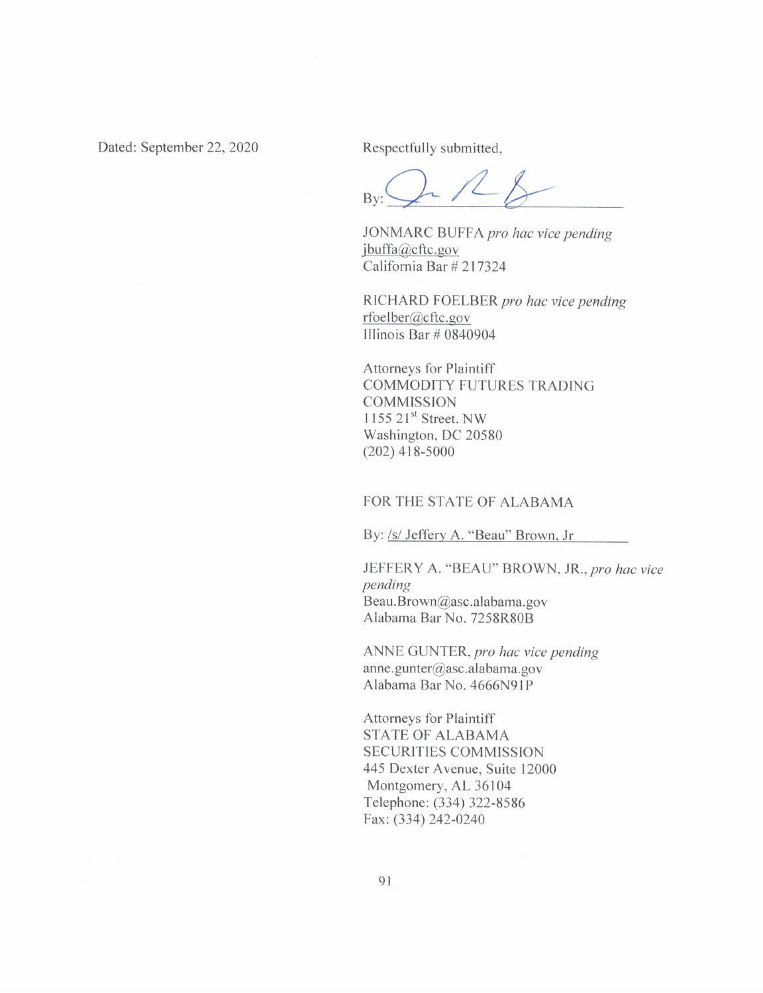Dated: September 22, 2020

Respectfully submitted,

 $Bv$ 

JONMARC BUFFA pro hac vice pending jbuffa@cftc.gov California Bar # 217324

RICHARD FOELBER pro hac vice pending rfoelber@cftc.gov Illinois Bar  $\#$  0840904

**Attorneys for Plaintiff** COMMODITY FUTURES TRADING **COMMISSION** 1155  $21^{st}$  Street. NW Washington, DC 20580  $(202)$  418-5000

## FOR THE STATE OF ALABAMA

By: /s/ Jeffery A. "Beau" Brown, Jr

JEFFERY A. "BEAU" BROWN, JR., pro hac vice pending Beau.Brown@asc.alabama.gov Alabama Bar No. 7258R80B

ANNE GUNTER, pro hac vice pending anne.gunter@asc.alabama.gov Alabama Bar No. 4666N91P

Attorneys for Plaintiff **STATE OF ALABAMA SECURITIES COMMISSION** 445 Dexter Avenue, Suite 12000 Montgomery, AL 36104 Telephone: (334) 322-8586 Fax: (334) 242-0240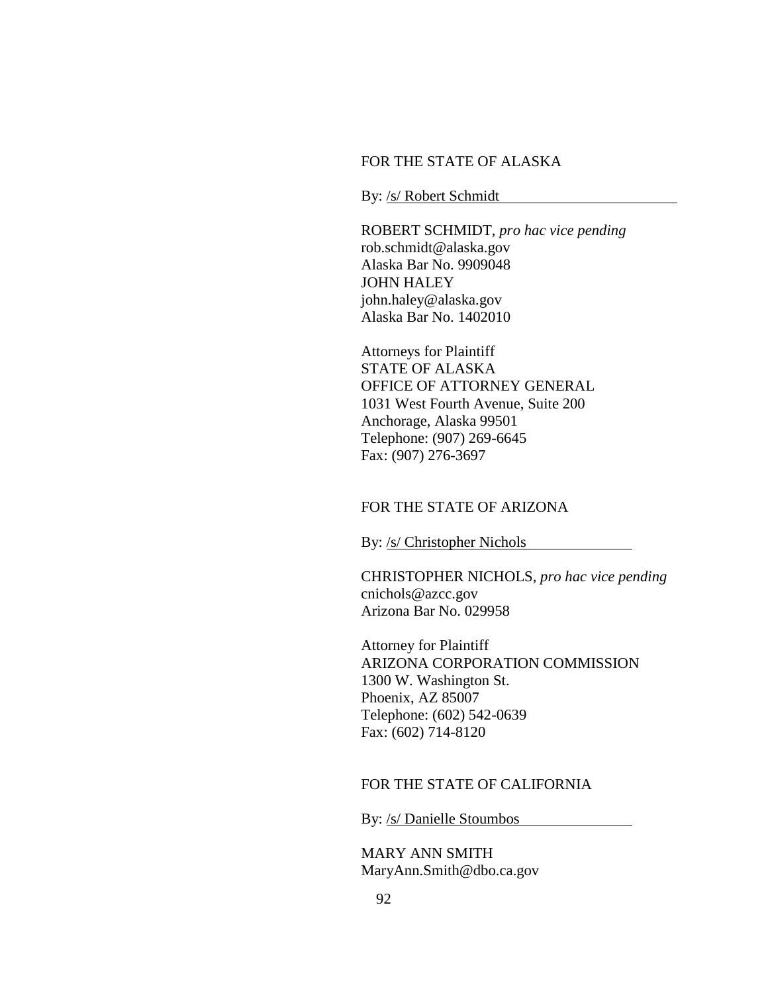# FOR THE STATE OF ALASKA

By: /s/ Robert Schmidt

ROBERT SCHMIDT, *pro hac vice pending* rob.schmidt@alaska.gov Alaska Bar No. 9909048 JOHN HALEY john.haley@alaska.gov Alaska Bar No. 1402010

Attorneys for Plaintiff STATE OF ALASKA OFFICE OF ATTORNEY GENERAL 1031 West Fourth Avenue, Suite 200 Anchorage, Alaska 99501 Telephone: (907) 269-6645 Fax: (907) 276-3697

### FOR THE STATE OF ARIZONA

By: /s/ Christopher Nichols

CHRISTOPHER NICHOLS, *pro hac vice pending* cnichols@azcc.gov Arizona Bar No. 029958

Attorney for Plaintiff ARIZONA CORPORATION COMMISSION 1300 W. Washington St. Phoenix, AZ 85007 Telephone: (602) 542-0639 Fax: (602) 714-8120

### FOR THE STATE OF CALIFORNIA

By: /s/ Danielle Stoumbos

MARY ANN SMITH MaryAnn.Smith@dbo.ca.gov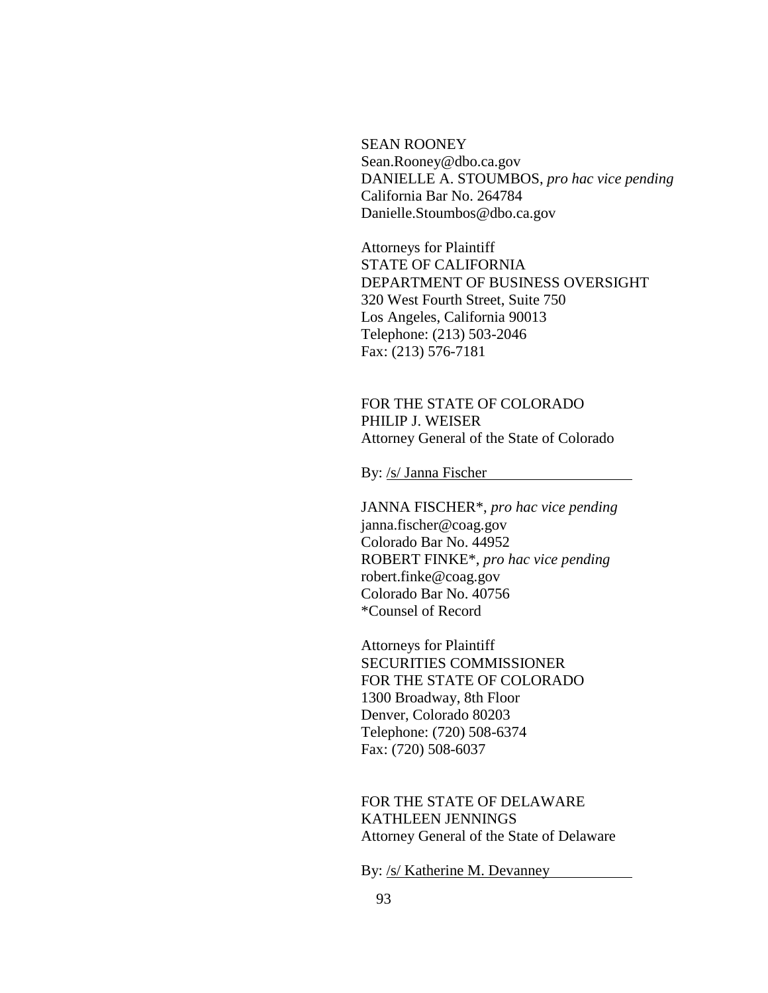SEAN ROONEY Sean.Rooney@dbo.ca.gov DANIELLE A. STOUMBOS, *pro hac vice pending* California Bar No. 264784 Danielle.Stoumbos@dbo.ca.gov

Attorneys for Plaintiff STATE OF CALIFORNIA DEPARTMENT OF BUSINESS OVERSIGHT 320 West Fourth Street, Suite 750 Los Angeles, California 90013 Telephone: (213) 503-2046 Fax: (213) 576-7181

# FOR THE STATE OF COLORADO PHILIP J. WEISER Attorney General of the State of Colorado

By: /s/ Janna Fischer

JANNA FISCHER\*, *pro hac vice pending* janna.fischer@coag.gov Colorado Bar No. 44952 ROBERT FINKE\*, *pro hac vice pending* robert.finke@coag.gov Colorado Bar No. 40756 \*Counsel of Record

Attorneys for Plaintiff SECURITIES COMMISSIONER FOR THE STATE OF COLORADO 1300 Broadway, 8th Floor Denver, Colorado 80203 Telephone: (720) 508-6374 Fax: (720) 508-6037

FOR THE STATE OF DELAWARE KATHLEEN JENNINGS Attorney General of the State of Delaware

By: /s/ Katherine M. Devanney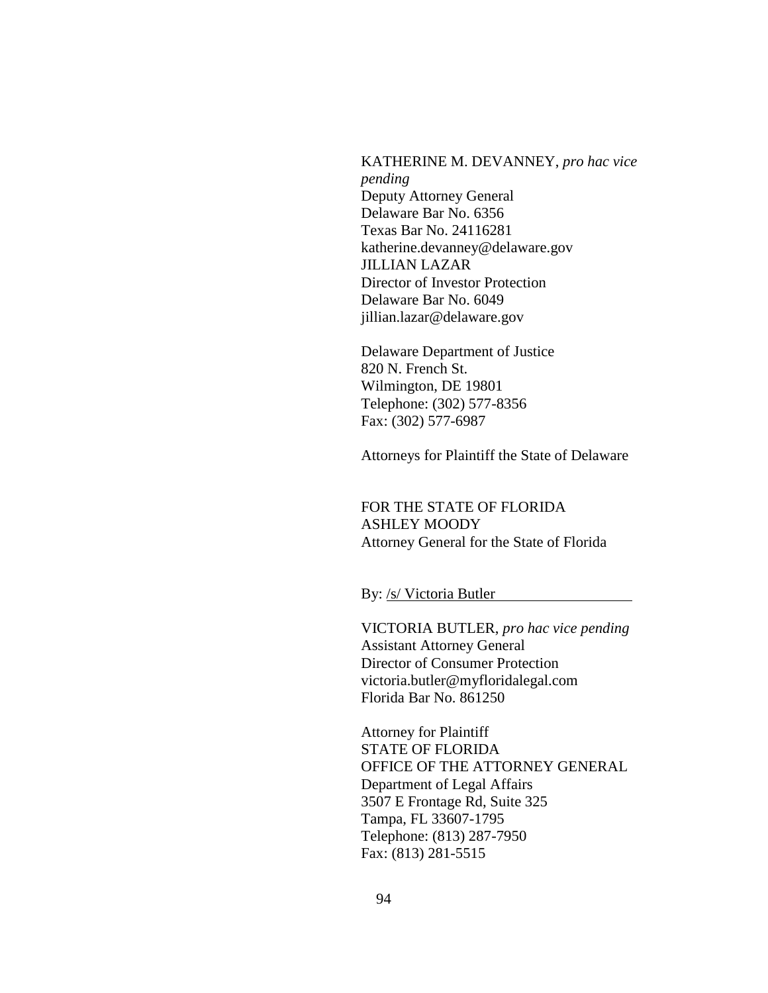KATHERINE M. DEVANNEY, *pro hac vice pending* Deputy Attorney General Delaware Bar No. 6356 Texas Bar No. 24116281 katherine.devanney@delaware.gov JILLIAN LAZAR Director of Investor Protection Delaware Bar No. 6049 jillian.lazar@delaware.gov

Delaware Department of Justice 820 N. French St. Wilmington, DE 19801 Telephone: (302) 577-8356 Fax: (302) 577-6987

Attorneys for Plaintiff the State of Delaware

FOR THE STATE OF FLORIDA ASHLEY MOODY Attorney General for the State of Florida

By: /s/ Victoria Butler

VICTORIA BUTLER, *pro hac vice pending* Assistant Attorney General Director of Consumer Protection victoria.butler@myfloridalegal.com Florida Bar No. 861250

Attorney for Plaintiff STATE OF FLORIDA OFFICE OF THE ATTORNEY GENERAL Department of Legal Affairs 3507 E Frontage Rd, Suite 325 Tampa, FL 33607-1795 Telephone: (813) 287-7950 Fax: (813) 281-5515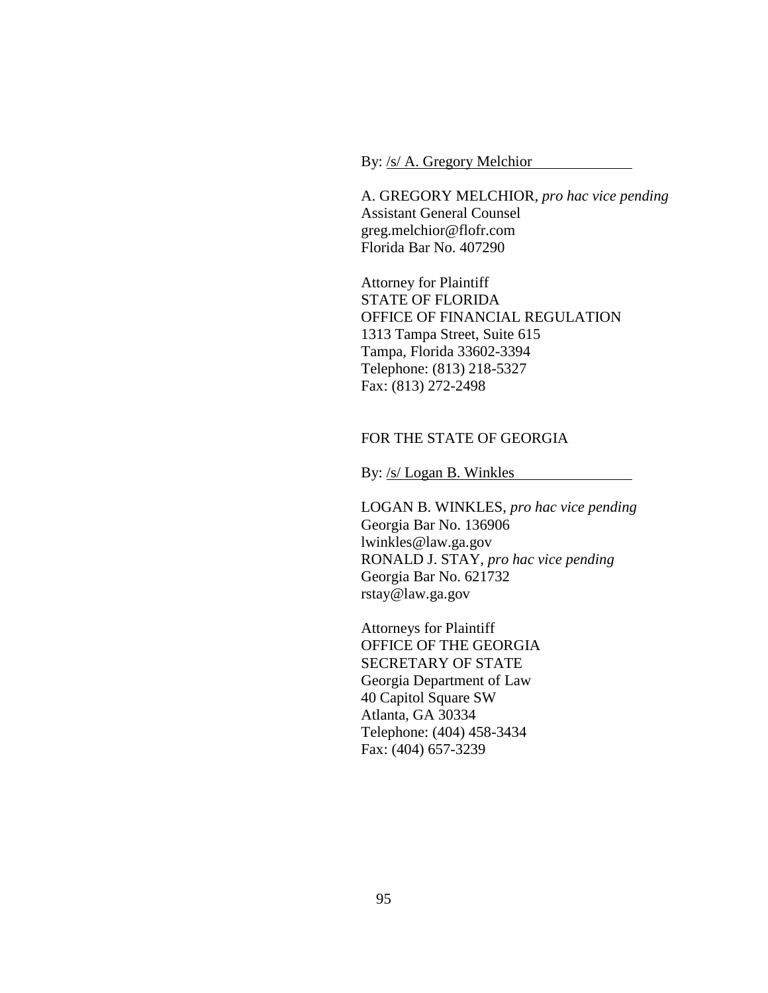By: /s/ A. Gregory Melchior

A. GREGORY MELCHIOR, *pro hac vice pending* Assistant General Counsel greg.melchior@flofr.com Florida Bar No. 407290

Attorney for Plaintiff STATE OF FLORIDA OFFICE OF FINANCIAL REGULATION 1313 Tampa Street, Suite 615 Tampa, Florida 33602-3394 Telephone: (813) 218-5327 Fax: (813) 272-2498

### FOR THE STATE OF GEORGIA

By: /s/ Logan B. Winkles

LOGAN B. WINKLES, *pro hac vice pending* Georgia Bar No. 136906 lwinkles@law.ga.gov RONALD J. STAY, *pro hac vice pending* Georgia Bar No. 621732 rstay@law.ga.gov

Attorneys for Plaintiff OFFICE OF THE GEORGIA SECRETARY OF STATE Georgia Department of Law 40 Capitol Square SW Atlanta, GA 30334 Telephone: (404) 458-3434 Fax: (404) 657-3239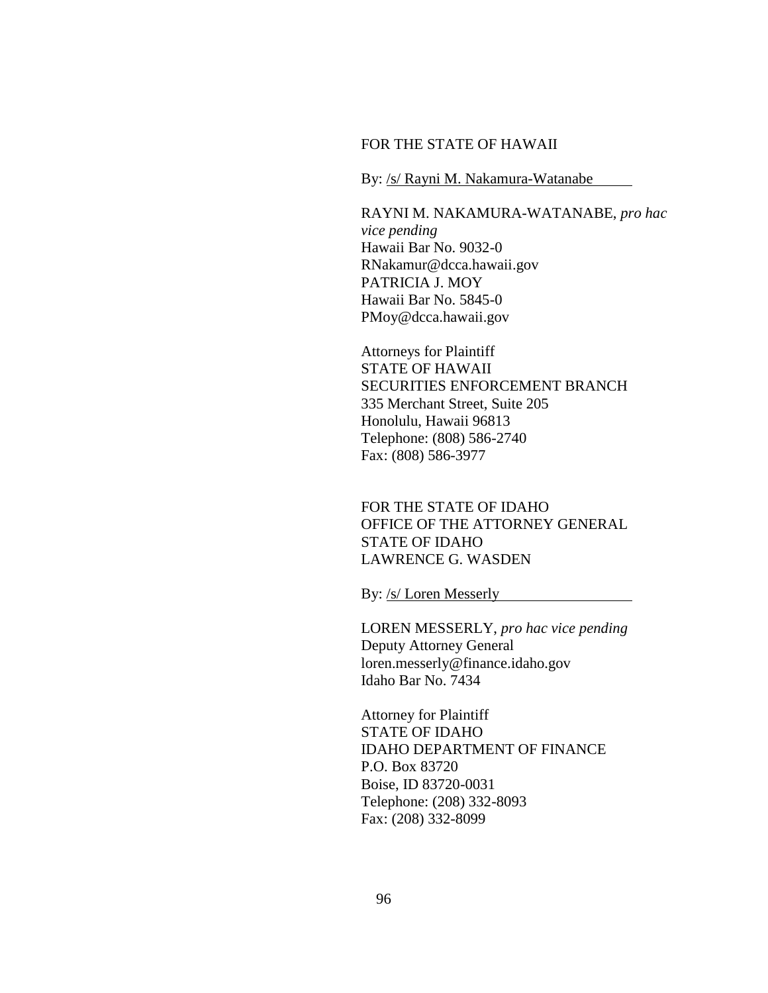#### FOR THE STATE OF HAWAII

By: /s/ Rayni M. Nakamura-Watanabe

RAYNI M. NAKAMURA-WATANABE, *pro hac vice pending* Hawaii Bar No. 9032-0 RNakamur@dcca.hawaii.gov PATRICIA J. MOY Hawaii Bar No. 5845-0 PMoy@dcca.hawaii.gov

Attorneys for Plaintiff STATE OF HAWAII SECURITIES ENFORCEMENT BRANCH 335 Merchant Street, Suite 205 Honolulu, Hawaii 96813 Telephone: (808) 586-2740 Fax: (808) 586-3977

FOR THE STATE OF IDAHO OFFICE OF THE ATTORNEY GENERAL STATE OF IDAHO LAWRENCE G. WASDEN

By: /s/ Loren Messerly

LOREN MESSERLY, *pro hac vice pending* Deputy Attorney General loren.messerly@finance.idaho.gov Idaho Bar No. 7434

Attorney for Plaintiff STATE OF IDAHO IDAHO DEPARTMENT OF FINANCE P.O. Box 83720 Boise, ID 83720-0031 Telephone: (208) 332-8093 Fax: (208) 332-8099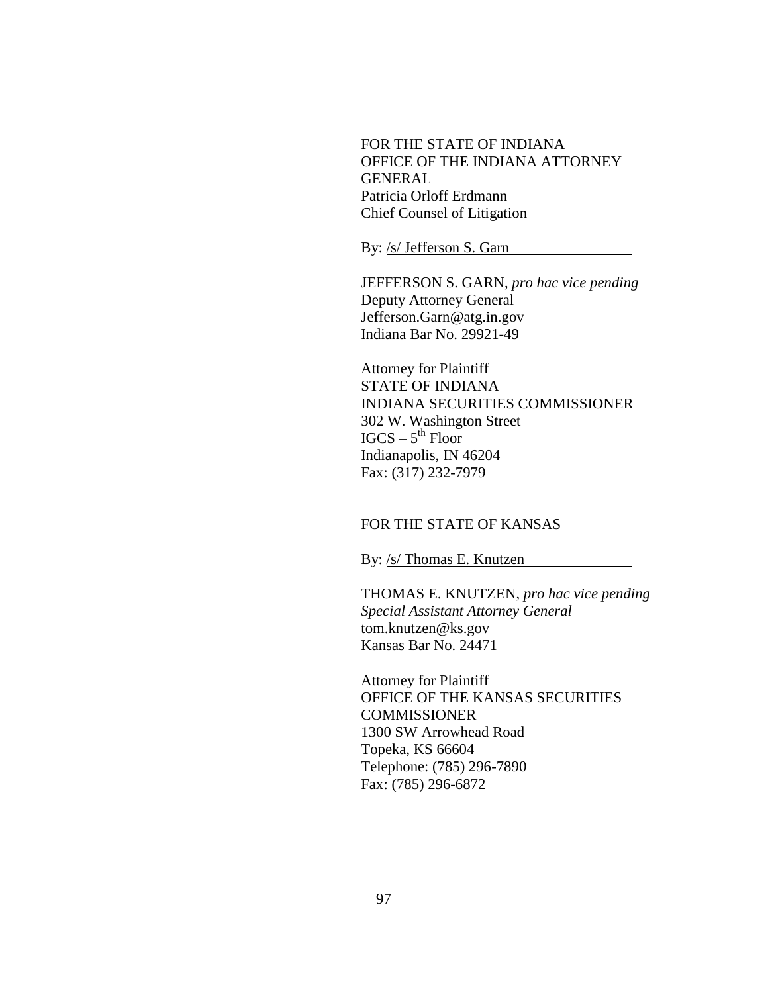FOR THE STATE OF INDIANA OFFICE OF THE INDIANA ATTORNEY GENERAL Patricia Orloff Erdmann Chief Counsel of Litigation

By: /s/ Jefferson S. Garn

JEFFERSON S. GARN, *pro hac vice pending* Deputy Attorney General Jefferson.Garn@atg.in.gov Indiana Bar No. 29921-49

Attorney for Plaintiff STATE OF INDIANA INDIANA SECURITIES COMMISSIONER 302 W. Washington Street  $IGCS - 5<sup>th</sup>$  Floor Indianapolis, IN 46204 Fax: (317) 232-7979

# FOR THE STATE OF KANSAS

By: /s/ Thomas E. Knutzen

THOMAS E. KNUTZEN, *pro hac vice pending Special Assistant Attorney General* tom.knutzen@ks.gov Kansas Bar No. 24471

Attorney for Plaintiff OFFICE OF THE KANSAS SECURITIES **COMMISSIONER** 1300 SW Arrowhead Road Topeka, KS 66604 Telephone: (785) 296-7890 Fax: (785) 296-6872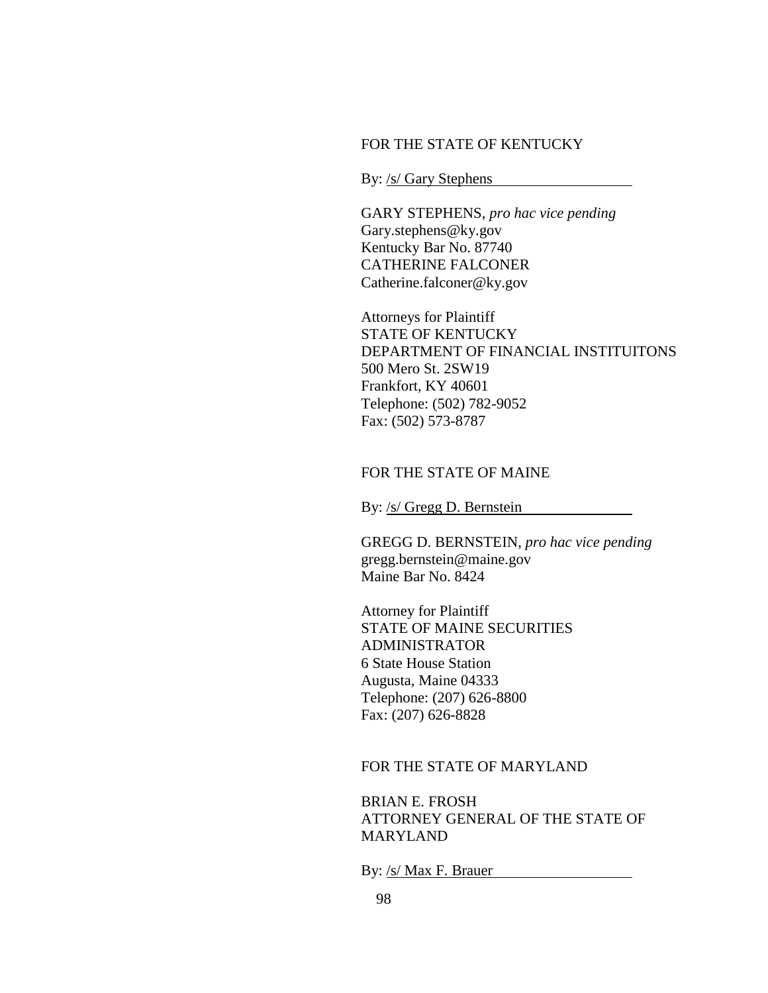### FOR THE STATE OF KENTUCKY

By: /s/ Gary Stephens

GARY STEPHENS, *pro hac vice pending* Gary.stephens@ky.gov Kentucky Bar No. 87740 CATHERINE FALCONER Catherine.falconer@ky.gov

Attorneys for Plaintiff STATE OF KENTUCKY DEPARTMENT OF FINANCIAL INSTITUITONS 500 Mero St. 2SW19 Frankfort, KY 40601 Telephone: (502) 782-9052 Fax: (502) 573-8787

# FOR THE STATE OF MAINE

By: /s/ Gregg D. Bernstein

GREGG D. BERNSTEIN, *pro hac vice pending* gregg.bernstein@maine.gov Maine Bar No. 8424

Attorney for Plaintiff STATE OF MAINE SECURITIES ADMINISTRATOR 6 State House Station Augusta, Maine 04333 Telephone: (207) 626-8800 Fax: (207) 626-8828

## FOR THE STATE OF MARYLAND

BRIAN E. FROSH ATTORNEY GENERAL OF THE STATE OF **MARYLAND** 

By: /s/ Max F. Brauer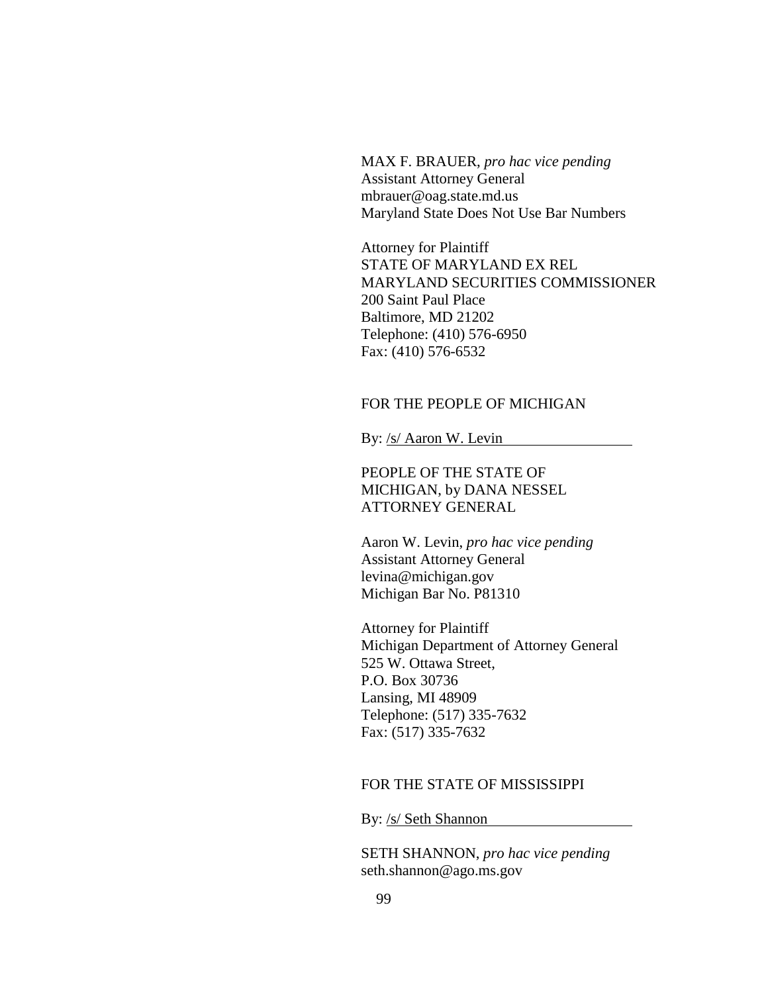MAX F. BRAUER, *pro hac vice pending* Assistant Attorney General mbrauer@oag.state.md.us Maryland State Does Not Use Bar Numbers

Attorney for Plaintiff STATE OF MARYLAND EX REL MARYLAND SECURITIES COMMISSIONER 200 Saint Paul Place Baltimore, MD 21202 Telephone: (410) 576-6950 Fax: (410) 576-6532

# FOR THE PEOPLE OF MICHIGAN

By: /s/ Aaron W. Levin

PEOPLE OF THE STATE OF MICHIGAN, by DANA NESSEL ATTORNEY GENERAL

Aaron W. Levin, *pro hac vice pending* Assistant Attorney General levina@michigan.gov Michigan Bar No. P81310

Attorney for Plaintiff Michigan Department of Attorney General 525 W. Ottawa Street, P.O. Box 30736 Lansing, MI 48909 Telephone: (517) 335-7632 Fax: (517) 335-7632

#### FOR THE STATE OF MISSISSIPPI

By: /s/ Seth Shannon

SETH SHANNON, *pro hac vice pending* seth.shannon@ago.ms.gov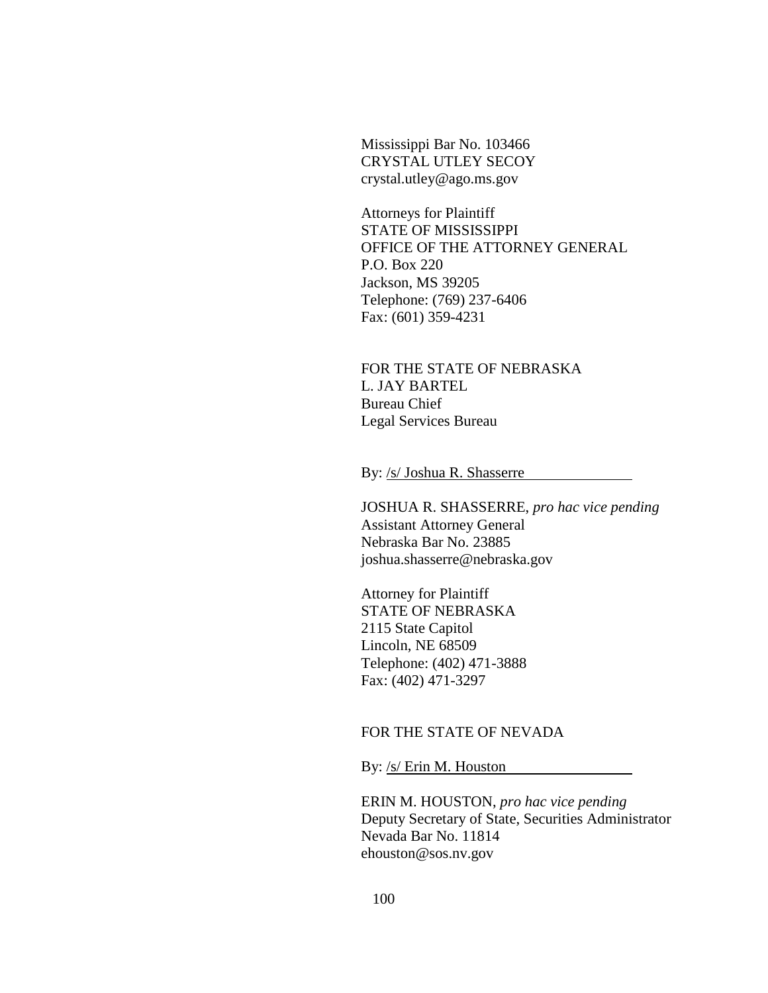Mississippi Bar No. 103466 CRYSTAL UTLEY SECOY crystal.utley@ago.ms.gov

Attorneys for Plaintiff STATE OF MISSISSIPPI OFFICE OF THE ATTORNEY GENERAL P.O. Box 220 Jackson, MS 39205 Telephone: (769) 237-6406 Fax: (601) 359-4231

FOR THE STATE OF NEBRASKA L. JAY BARTEL Bureau Chief Legal Services Bureau

By: /s/ Joshua R. Shasserre

JOSHUA R. SHASSERRE, *pro hac vice pending* Assistant Attorney General Nebraska Bar No. 23885 joshua.shasserre@nebraska.gov

Attorney for Plaintiff STATE OF NEBRASKA 2115 State Capitol Lincoln, NE 68509 Telephone: (402) 471-3888 Fax: (402) 471-3297

### FOR THE STATE OF NEVADA

By: /s/ Erin M. Houston

ERIN M. HOUSTON, *pro hac vice pending* Deputy Secretary of State, Securities Administrator Nevada Bar No. 11814 ehouston@sos.nv.gov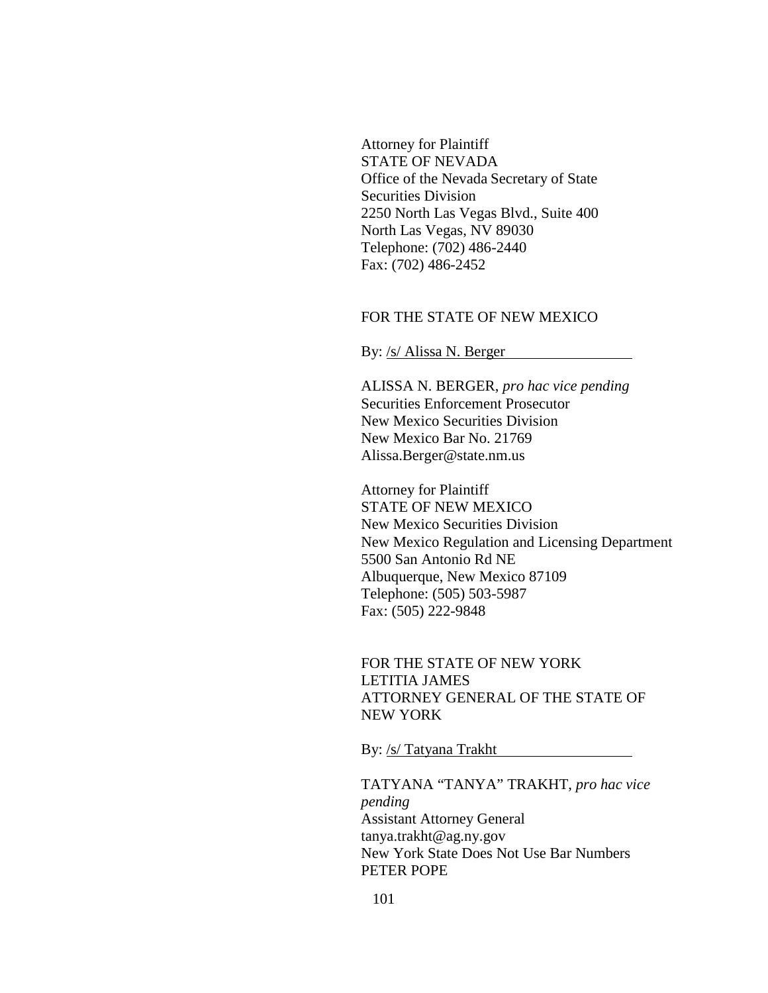Attorney for Plaintiff STATE OF NEVADA Office of the Nevada Secretary of State Securities Division 2250 North Las Vegas Blvd., Suite 400 North Las Vegas, NV 89030 Telephone: (702) 486-2440 Fax: (702) 486-2452

## FOR THE STATE OF NEW MEXICO

By: /s/ Alissa N. Berger

ALISSA N. BERGER, *pro hac vice pending* Securities Enforcement Prosecutor New Mexico Securities Division New Mexico Bar No. 21769 Alissa.Berger@state.nm.us

Attorney for Plaintiff STATE OF NEW MEXICO New Mexico Securities Division New Mexico Regulation and Licensing Department 5500 San Antonio Rd NE Albuquerque, New Mexico 87109 Telephone: (505) 503-5987 Fax: (505) 222-9848

FOR THE STATE OF NEW YORK LETITIA JAMES ATTORNEY GENERAL OF THE STATE OF NEW YORK

By: /s/ Tatyana Trakht

TATYANA "TANYA" TRAKHT, *pro hac vice pending* Assistant Attorney General tanya.trakht@ag.ny.gov New York State Does Not Use Bar Numbers PETER POPE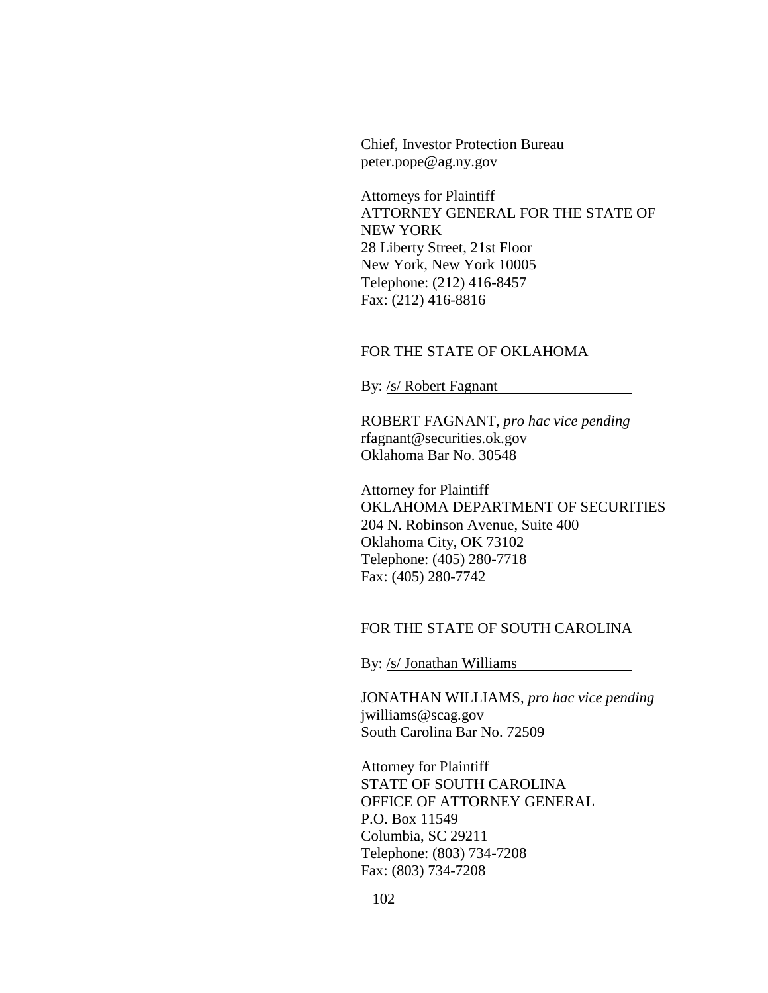Chief, Investor Protection Bureau peter.pope@ag.ny.gov

Attorneys for Plaintiff ATTORNEY GENERAL FOR THE STATE OF NEW YORK 28 Liberty Street, 21st Floor New York, New York 10005 Telephone: (212) 416-8457 Fax: (212) 416-8816

## FOR THE STATE OF OKLAHOMA

By: /s/ Robert Fagnant

ROBERT FAGNANT, *pro hac vice pending* rfagnant@securities.ok.gov Oklahoma Bar No. 30548

Attorney for Plaintiff OKLAHOMA DEPARTMENT OF SECURITIES 204 N. Robinson Avenue, Suite 400 Oklahoma City, OK 73102 Telephone: (405) 280-7718 Fax: (405) 280-7742

# FOR THE STATE OF SOUTH CAROLINA

By: /s/ Jonathan Williams

JONATHAN WILLIAMS, *pro hac vice pending* jwilliams@scag.gov South Carolina Bar No. 72509

Attorney for Plaintiff STATE OF SOUTH CAROLINA OFFICE OF ATTORNEY GENERAL P.O. Box 11549 Columbia, SC 29211 Telephone: (803) 734-7208 Fax: (803) 734-7208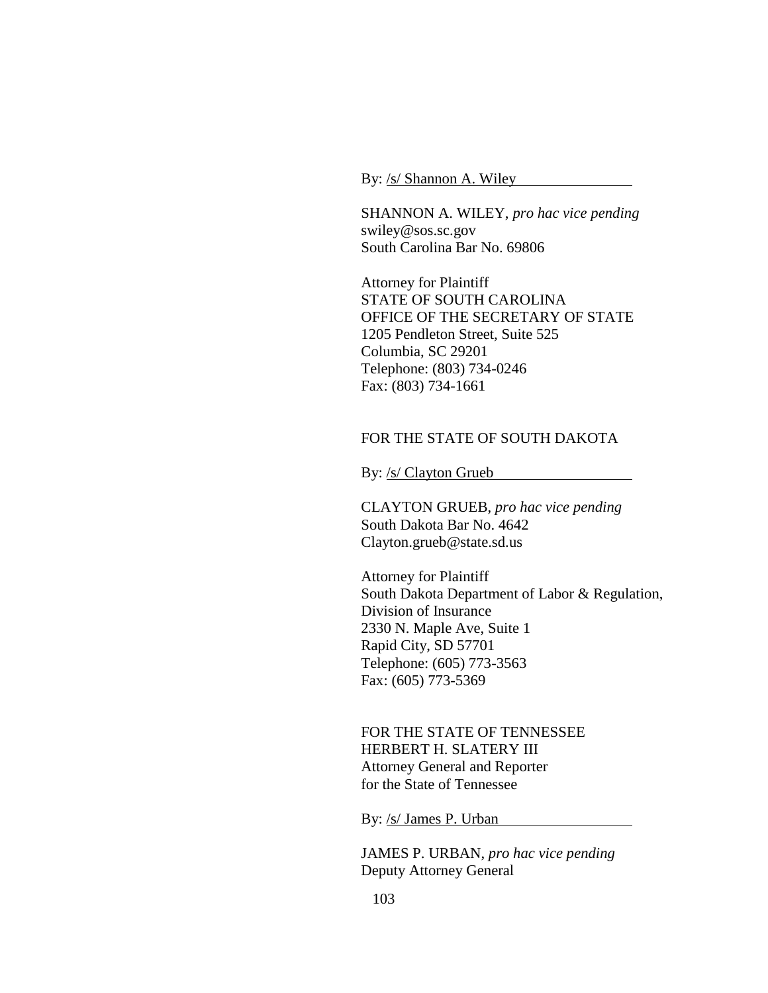By: /s/ Shannon A. Wiley

SHANNON A. WILEY, *pro hac vice pending* swiley@sos.sc.gov South Carolina Bar No. 69806

Attorney for Plaintiff STATE OF SOUTH CAROLINA OFFICE OF THE SECRETARY OF STATE 1205 Pendleton Street, Suite 525 Columbia, SC 29201 Telephone: (803) 734-0246 Fax: (803) 734-1661

## FOR THE STATE OF SOUTH DAKOTA

By: /s/ Clayton Grueb

CLAYTON GRUEB, *pro hac vice pending* South Dakota Bar No. 4642 Clayton.grueb@state.sd.us

Attorney for Plaintiff South Dakota Department of Labor & Regulation, Division of Insurance 2330 N. Maple Ave, Suite 1 Rapid City, SD 57701 Telephone: (605) 773-3563 Fax: (605) 773-5369

FOR THE STATE OF TENNESSEE HERBERT H. SLATERY III Attorney General and Reporter for the State of Tennessee

By: /s/ James P. Urban

JAMES P. URBAN, *pro hac vice pending* Deputy Attorney General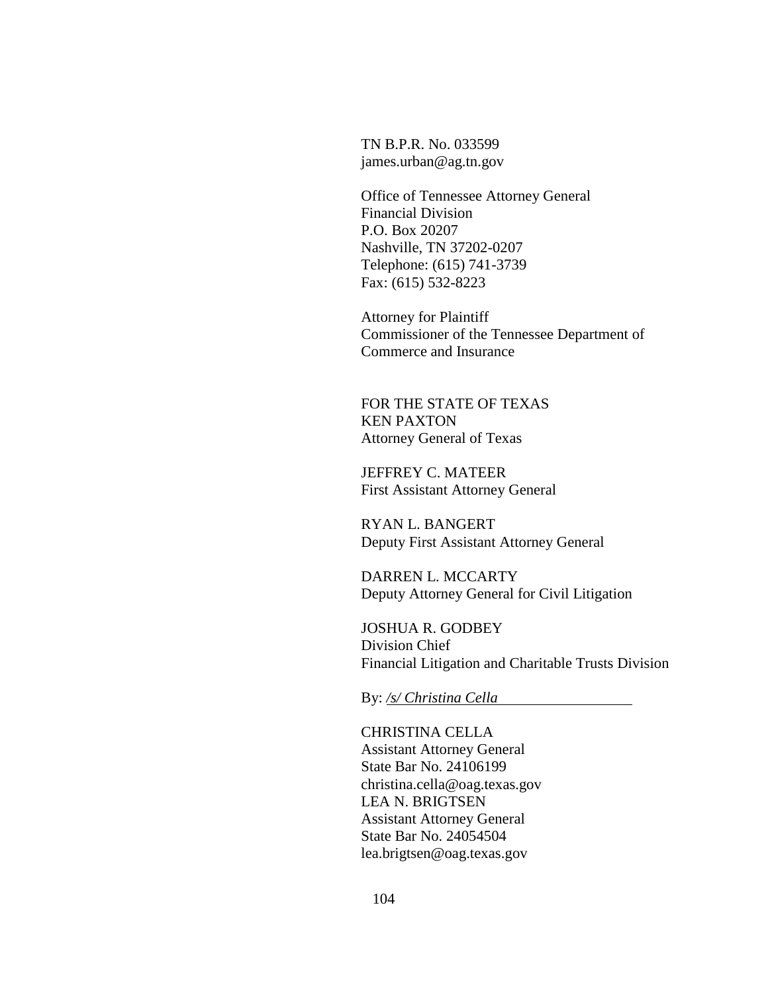TN B.P.R. No. 033599 james.urban@ag.tn.gov

Office of Tennessee Attorney General Financial Division P.O. Box 20207 Nashville, TN 37202-0207 Telephone: (615) 741-3739 Fax: (615) 532-8223

Attorney for Plaintiff Commissioner of the Tennessee Department of Commerce and Insurance

FOR THE STATE OF TEXAS KEN PAXTON Attorney General of Texas

JEFFREY C. MATEER First Assistant Attorney General

RYAN L. BANGERT Deputy First Assistant Attorney General

DARREN L. MCCARTY Deputy Attorney General for Civil Litigation

JOSHUA R. GODBEY Division Chief Financial Litigation and Charitable Trusts Division

By: */s/ Christina Cella*

CHRISTINA CELLA Assistant Attorney General State Bar No. 24106199 christina.cella@oag.texas.gov LEA N. BRIGTSEN Assistant Attorney General State Bar No. 24054504 lea.brigtsen@oag.texas.gov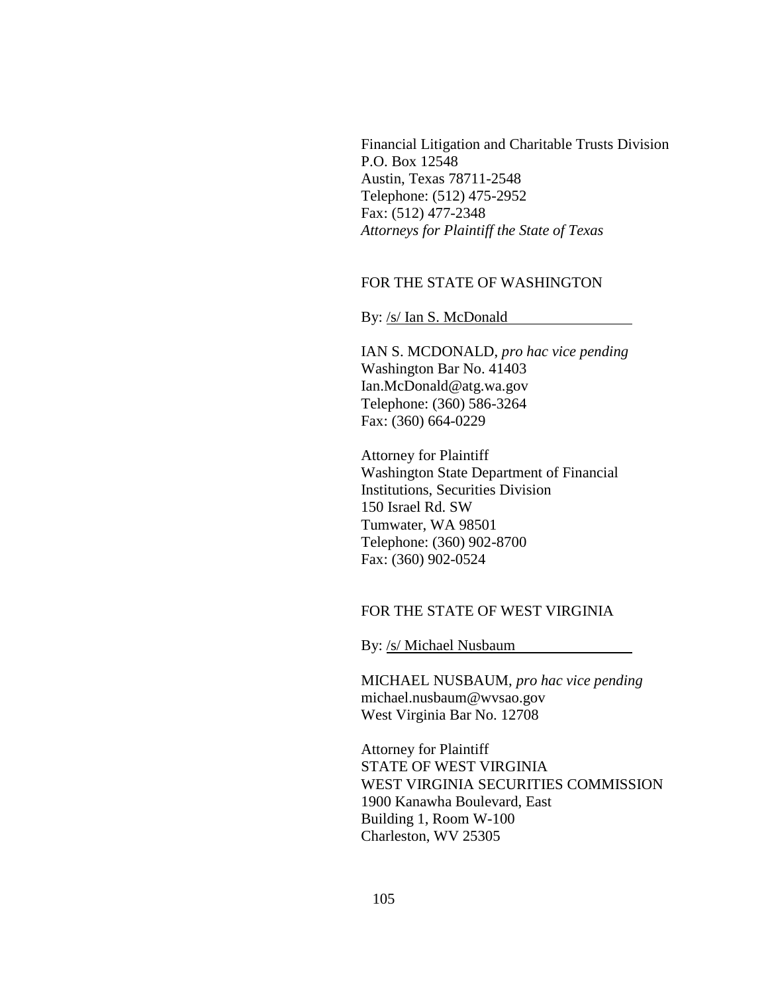Financial Litigation and Charitable Trusts Division P.O. Box 12548 Austin, Texas 78711-2548 Telephone: (512) 475-2952 Fax: (512) 477-2348 *Attorneys for Plaintiff the State of Texas*

# FOR THE STATE OF WASHINGTON

By: /s/ Ian S. McDonald

IAN S. MCDONALD, *pro hac vice pending* Washington Bar No. 41403 Ian.McDonald@atg.wa.gov Telephone: (360) 586-3264 Fax: (360) 664-0229

Attorney for Plaintiff Washington State Department of Financial Institutions, Securities Division 150 Israel Rd. SW Tumwater, WA 98501 Telephone: (360) 902-8700 Fax: (360) 902-0524

#### FOR THE STATE OF WEST VIRGINIA

By: /s/ Michael Nusbaum

MICHAEL NUSBAUM, *pro hac vice pending* michael.nusbaum@wvsao.gov West Virginia Bar No. 12708

Attorney for Plaintiff STATE OF WEST VIRGINIA WEST VIRGINIA SECURITIES COMMISSION 1900 Kanawha Boulevard, East Building 1, Room W-100 Charleston, WV 25305